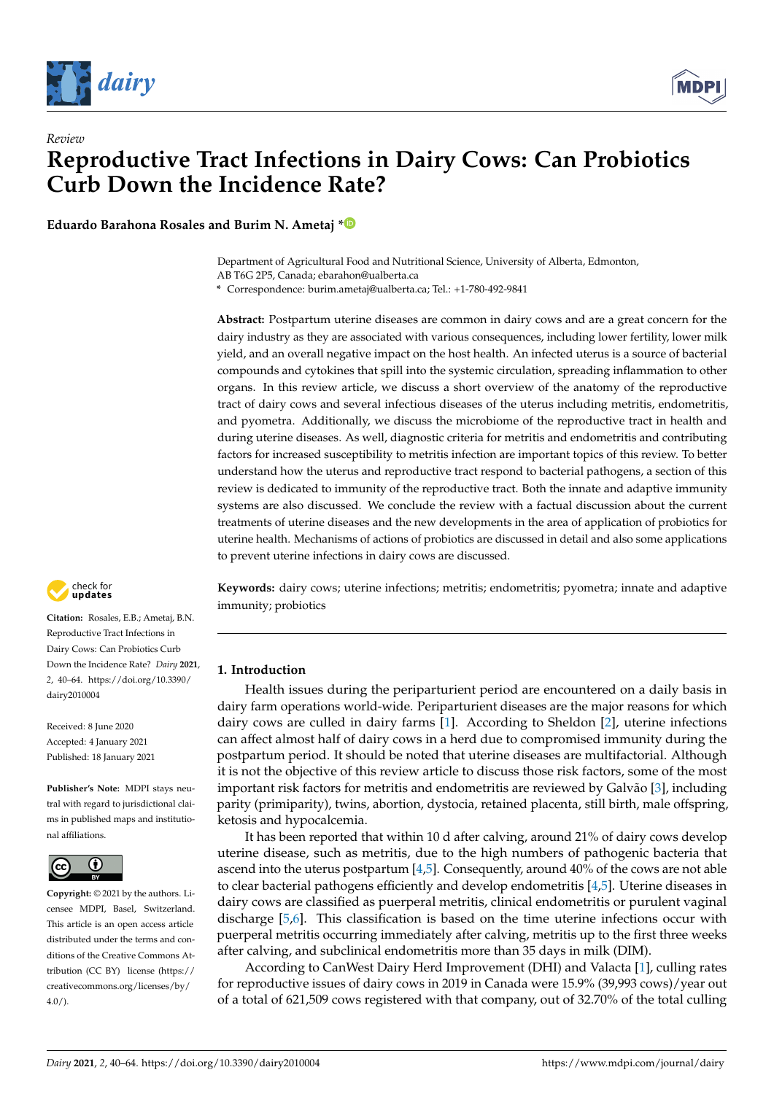



**Eduardo Barahona Rosales and Burim N. Ametaj [\\*](https://orcid.org/0000-0003-0957-9373)**

Department of Agricultural Food and Nutritional Science, University of Alberta, Edmonton, AB T6G 2P5, Canada; ebarahon@ualberta.ca

**\*** Correspondence: burim.ametaj@ualberta.ca; Tel.: +1-780-492-9841

**Abstract:** Postpartum uterine diseases are common in dairy cows and are a great concern for the dairy industry as they are associated with various consequences, including lower fertility, lower milk yield, and an overall negative impact on the host health. An infected uterus is a source of bacterial compounds and cytokines that spill into the systemic circulation, spreading inflammation to other organs. In this review article, we discuss a short overview of the anatomy of the reproductive tract of dairy cows and several infectious diseases of the uterus including metritis, endometritis, and pyometra. Additionally, we discuss the microbiome of the reproductive tract in health and during uterine diseases. As well, diagnostic criteria for metritis and endometritis and contributing factors for increased susceptibility to metritis infection are important topics of this review. To better understand how the uterus and reproductive tract respond to bacterial pathogens, a section of this review is dedicated to immunity of the reproductive tract. Both the innate and adaptive immunity systems are also discussed. We conclude the review with a factual discussion about the current treatments of uterine diseases and the new developments in the area of application of probiotics for uterine health. Mechanisms of actions of probiotics are discussed in detail and also some applications to prevent uterine infections in dairy cows are discussed.



**Citation:** Rosales, E.B.; Ametaj, B.N. Reproductive Tract Infections in Dairy Cows: Can Probiotics Curb Down the Incidence Rate? *Dairy* **2021**, *2*, 40–64. [https://doi.org/10.3390/](https://doi.org/10.3390/dairy2010004) [dairy2010004](https://doi.org/10.3390/dairy2010004)

Received: 8 June 2020 Accepted: 4 January 2021 Published: 18 January 2021

**Publisher's Note:** MDPI stays neutral with regard to jurisdictional claims in published maps and institutional affiliations.



**Copyright:** © 2021 by the authors. Licensee MDPI, Basel, Switzerland. This article is an open access article distributed under the terms and conditions of the Creative Commons Attribution (CC BY) license [\(https://](https://creativecommons.org/licenses/by/4.0/) [creativecommons.org/licenses/by/](https://creativecommons.org/licenses/by/4.0/)  $4.0/$ ).

**Keywords:** dairy cows; uterine infections; metritis; endometritis; pyometra; innate and adaptive immunity; probiotics

# **1. Introduction**

Health issues during the periparturient period are encountered on a daily basis in dairy farm operations world-wide. Periparturient diseases are the major reasons for which dairy cows are culled in dairy farms [\[1\]](#page-17-0). According to Sheldon [\[2\]](#page-17-1), uterine infections can affect almost half of dairy cows in a herd due to compromised immunity during the postpartum period. It should be noted that uterine diseases are multifactorial. Although it is not the objective of this review article to discuss those risk factors, some of the most important risk factors for metritis and endometritis are reviewed by Galvão [\[3\]](#page-17-2), including parity (primiparity), twins, abortion, dystocia, retained placenta, still birth, male offspring, ketosis and hypocalcemia.

It has been reported that within 10 d after calving, around 21% of dairy cows develop uterine disease, such as metritis, due to the high numbers of pathogenic bacteria that ascend into the uterus postpartum [\[4](#page-17-3)[,5\]](#page-17-4). Consequently, around 40% of the cows are not able to clear bacterial pathogens efficiently and develop endometritis [\[4,](#page-17-3)[5\]](#page-17-4). Uterine diseases in dairy cows are classified as puerperal metritis, clinical endometritis or purulent vaginal discharge [\[5](#page-17-4)[,6\]](#page-17-5). This classification is based on the time uterine infections occur with puerperal metritis occurring immediately after calving, metritis up to the first three weeks after calving, and subclinical endometritis more than 35 days in milk (DIM).

According to CanWest Dairy Herd Improvement (DHI) and Valacta [\[1\]](#page-17-0), culling rates for reproductive issues of dairy cows in 2019 in Canada were 15.9% (39,993 cows)/year out of a total of 621,509 cows registered with that company, out of 32.70% of the total culling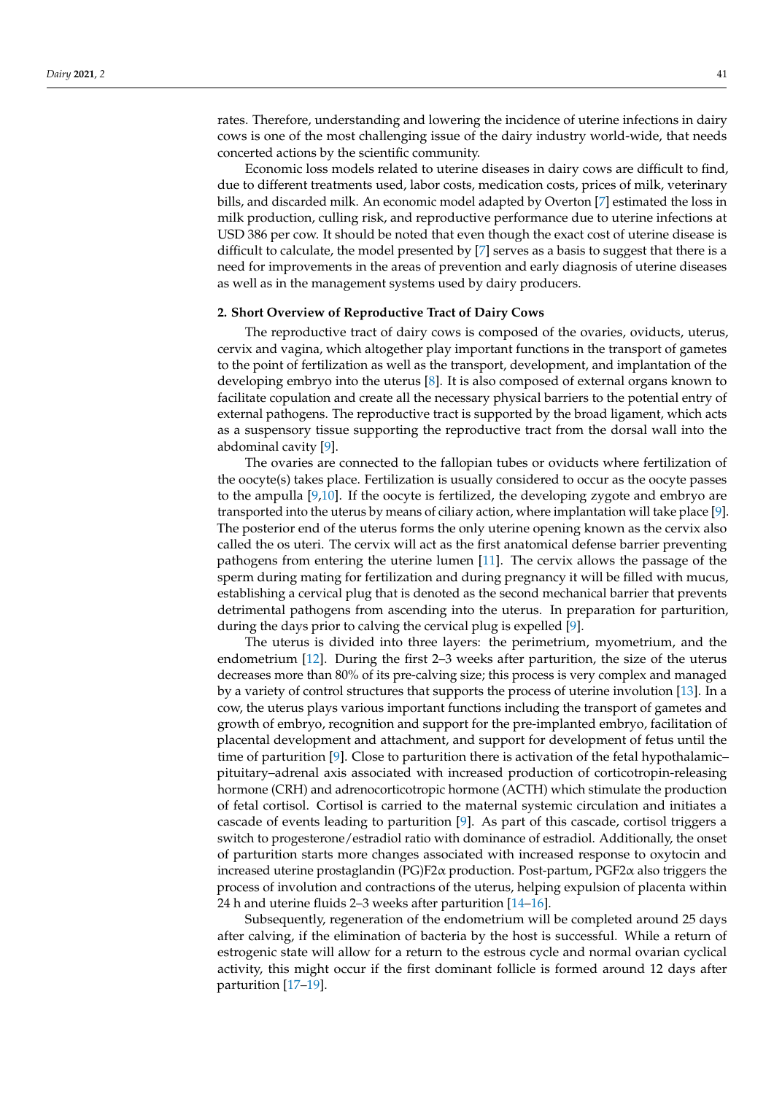rates. Therefore, understanding and lowering the incidence of uterine infections in dairy cows is one of the most challenging issue of the dairy industry world-wide, that needs concerted actions by the scientific community.

Economic loss models related to uterine diseases in dairy cows are difficult to find, due to different treatments used, labor costs, medication costs, prices of milk, veterinary bills, and discarded milk. An economic model adapted by Overton [\[7\]](#page-17-6) estimated the loss in milk production, culling risk, and reproductive performance due to uterine infections at USD 386 per cow. It should be noted that even though the exact cost of uterine disease is difficult to calculate, the model presented by  $[7]$  serves as a basis to suggest that there is a need for improvements in the areas of prevention and early diagnosis of uterine diseases as well as in the management systems used by dairy producers.

#### **2. Short Overview of Reproductive Tract of Dairy Cows**

The reproductive tract of dairy cows is composed of the ovaries, oviducts, uterus, cervix and vagina, which altogether play important functions in the transport of gametes to the point of fertilization as well as the transport, development, and implantation of the developing embryo into the uterus [\[8\]](#page-17-7). It is also composed of external organs known to facilitate copulation and create all the necessary physical barriers to the potential entry of external pathogens. The reproductive tract is supported by the broad ligament, which acts as a suspensory tissue supporting the reproductive tract from the dorsal wall into the abdominal cavity [\[9\]](#page-17-8).

The ovaries are connected to the fallopian tubes or oviducts where fertilization of the oocyte(s) takes place. Fertilization is usually considered to occur as the oocyte passes to the ampulla  $[9,10]$  $[9,10]$ . If the oocyte is fertilized, the developing zygote and embryo are transported into the uterus by means of ciliary action, where implantation will take place [\[9\]](#page-17-8). The posterior end of the uterus forms the only uterine opening known as the cervix also called the os uteri. The cervix will act as the first anatomical defense barrier preventing pathogens from entering the uterine lumen [\[11\]](#page-17-10). The cervix allows the passage of the sperm during mating for fertilization and during pregnancy it will be filled with mucus, establishing a cervical plug that is denoted as the second mechanical barrier that prevents detrimental pathogens from ascending into the uterus. In preparation for parturition, during the days prior to calving the cervical plug is expelled [\[9\]](#page-17-8).

The uterus is divided into three layers: the perimetrium, myometrium, and the endometrium [\[12\]](#page-17-11). During the first 2–3 weeks after parturition, the size of the uterus decreases more than 80% of its pre-calving size; this process is very complex and managed by a variety of control structures that supports the process of uterine involution [\[13\]](#page-17-12). In a cow, the uterus plays various important functions including the transport of gametes and growth of embryo, recognition and support for the pre-implanted embryo, facilitation of placental development and attachment, and support for development of fetus until the time of parturition [\[9\]](#page-17-8). Close to parturition there is activation of the fetal hypothalamic– pituitary–adrenal axis associated with increased production of corticotropin-releasing hormone (CRH) and adrenocorticotropic hormone (ACTH) which stimulate the production of fetal cortisol. Cortisol is carried to the maternal systemic circulation and initiates a cascade of events leading to parturition [\[9\]](#page-17-8). As part of this cascade, cortisol triggers a switch to progesterone/estradiol ratio with dominance of estradiol. Additionally, the onset of parturition starts more changes associated with increased response to oxytocin and increased uterine prostaglandin (PG)F2α production. Post-partum, PGF2α also triggers the process of involution and contractions of the uterus, helping expulsion of placenta within 24 h and uterine fluids 2–3 weeks after parturition [\[14](#page-17-13)[–16\]](#page-17-14).

Subsequently, regeneration of the endometrium will be completed around 25 days after calving, if the elimination of bacteria by the host is successful. While a return of estrogenic state will allow for a return to the estrous cycle and normal ovarian cyclical activity, this might occur if the first dominant follicle is formed around 12 days after parturition [\[17](#page-17-15)[–19\]](#page-17-16).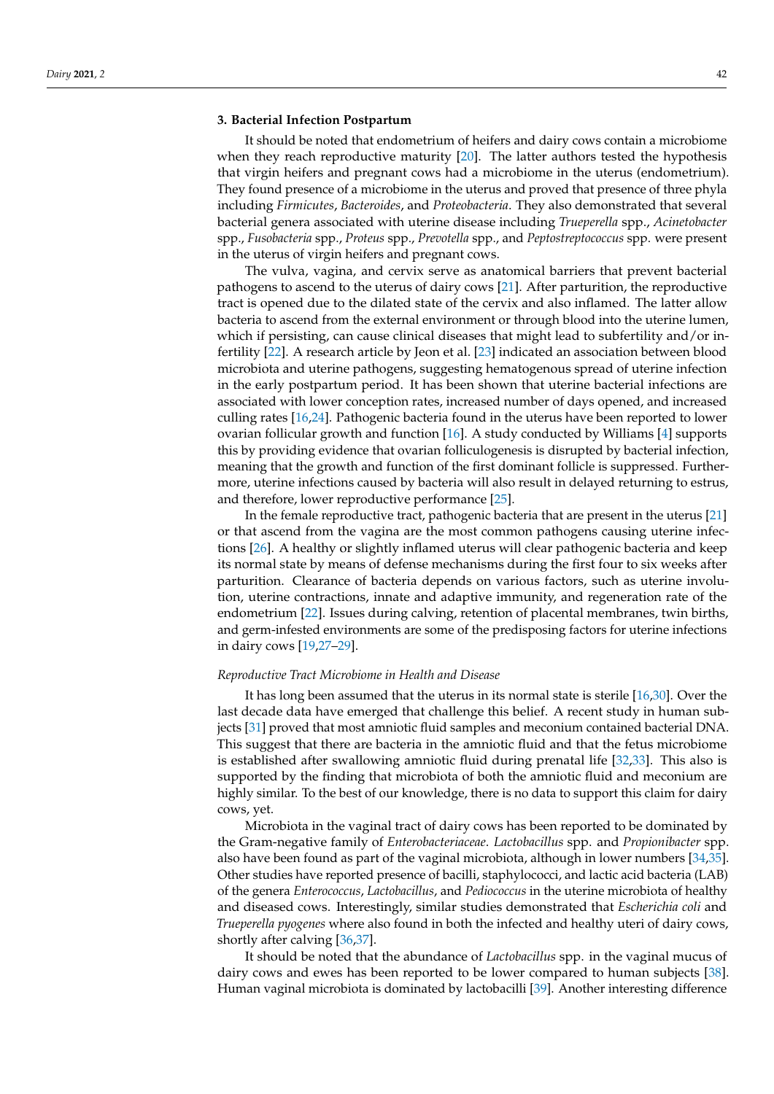# **3. Bacterial Infection Postpartum**

It should be noted that endometrium of heifers and dairy cows contain a microbiome when they reach reproductive maturity [\[20\]](#page-17-17). The latter authors tested the hypothesis that virgin heifers and pregnant cows had a microbiome in the uterus (endometrium). They found presence of a microbiome in the uterus and proved that presence of three phyla including *Firmicutes*, *Bacteroides*, and *Proteobacteria*. They also demonstrated that several bacterial genera associated with uterine disease including *Trueperella* spp., *Acinetobacter* spp., *Fusobacteria* spp., *Proteus* spp., *Prevotella* spp., and *Peptostreptococcus* spp. were present in the uterus of virgin heifers and pregnant cows.

The vulva, vagina, and cervix serve as anatomical barriers that prevent bacterial pathogens to ascend to the uterus of dairy cows [\[21\]](#page-17-18). After parturition, the reproductive tract is opened due to the dilated state of the cervix and also inflamed. The latter allow bacteria to ascend from the external environment or through blood into the uterine lumen, which if persisting, can cause clinical diseases that might lead to subfertility and/or infertility [\[22\]](#page-17-19). A research article by Jeon et al. [\[23\]](#page-17-20) indicated an association between blood microbiota and uterine pathogens, suggesting hematogenous spread of uterine infection in the early postpartum period. It has been shown that uterine bacterial infections are associated with lower conception rates, increased number of days opened, and increased culling rates [\[16](#page-17-14)[,24\]](#page-17-21). Pathogenic bacteria found in the uterus have been reported to lower ovarian follicular growth and function [\[16\]](#page-17-14). A study conducted by Williams [\[4\]](#page-17-3) supports this by providing evidence that ovarian folliculogenesis is disrupted by bacterial infection, meaning that the growth and function of the first dominant follicle is suppressed. Furthermore, uterine infections caused by bacteria will also result in delayed returning to estrus, and therefore, lower reproductive performance [\[25\]](#page-17-22).

In the female reproductive tract, pathogenic bacteria that are present in the uterus [\[21\]](#page-17-18) or that ascend from the vagina are the most common pathogens causing uterine infections [\[26\]](#page-17-23). A healthy or slightly inflamed uterus will clear pathogenic bacteria and keep its normal state by means of defense mechanisms during the first four to six weeks after parturition. Clearance of bacteria depends on various factors, such as uterine involution, uterine contractions, innate and adaptive immunity, and regeneration rate of the endometrium [\[22\]](#page-17-19). Issues during calving, retention of placental membranes, twin births, and germ-infested environments are some of the predisposing factors for uterine infections in dairy cows [\[19,](#page-17-16)[27–](#page-18-0)[29\]](#page-18-1).

# *Reproductive Tract Microbiome in Health and Disease*

It has long been assumed that the uterus in its normal state is sterile [\[16](#page-17-14)[,30\]](#page-18-2). Over the last decade data have emerged that challenge this belief. A recent study in human subjects [\[31\]](#page-18-3) proved that most amniotic fluid samples and meconium contained bacterial DNA. This suggest that there are bacteria in the amniotic fluid and that the fetus microbiome is established after swallowing amniotic fluid during prenatal life [\[32,](#page-18-4)[33\]](#page-18-5). This also is supported by the finding that microbiota of both the amniotic fluid and meconium are highly similar. To the best of our knowledge, there is no data to support this claim for dairy cows, yet.

Microbiota in the vaginal tract of dairy cows has been reported to be dominated by the Gram-negative family of *Enterobacteriaceae*. *Lactobacillus* spp. and *Propionibacter* spp. also have been found as part of the vaginal microbiota, although in lower numbers [\[34](#page-18-6)[,35\]](#page-18-7). Other studies have reported presence of bacilli, staphylococci, and lactic acid bacteria (LAB) of the genera *Enterococcus*, *Lactobacillus*, and *Pediococcus* in the uterine microbiota of healthy and diseased cows. Interestingly, similar studies demonstrated that *Escherichia coli* and *Trueperella pyogenes* where also found in both the infected and healthy uteri of dairy cows, shortly after calving [\[36,](#page-18-8)[37\]](#page-18-9).

It should be noted that the abundance of *Lactobacillus* spp. in the vaginal mucus of dairy cows and ewes has been reported to be lower compared to human subjects [\[38\]](#page-18-10). Human vaginal microbiota is dominated by lactobacilli [\[39\]](#page-18-11). Another interesting difference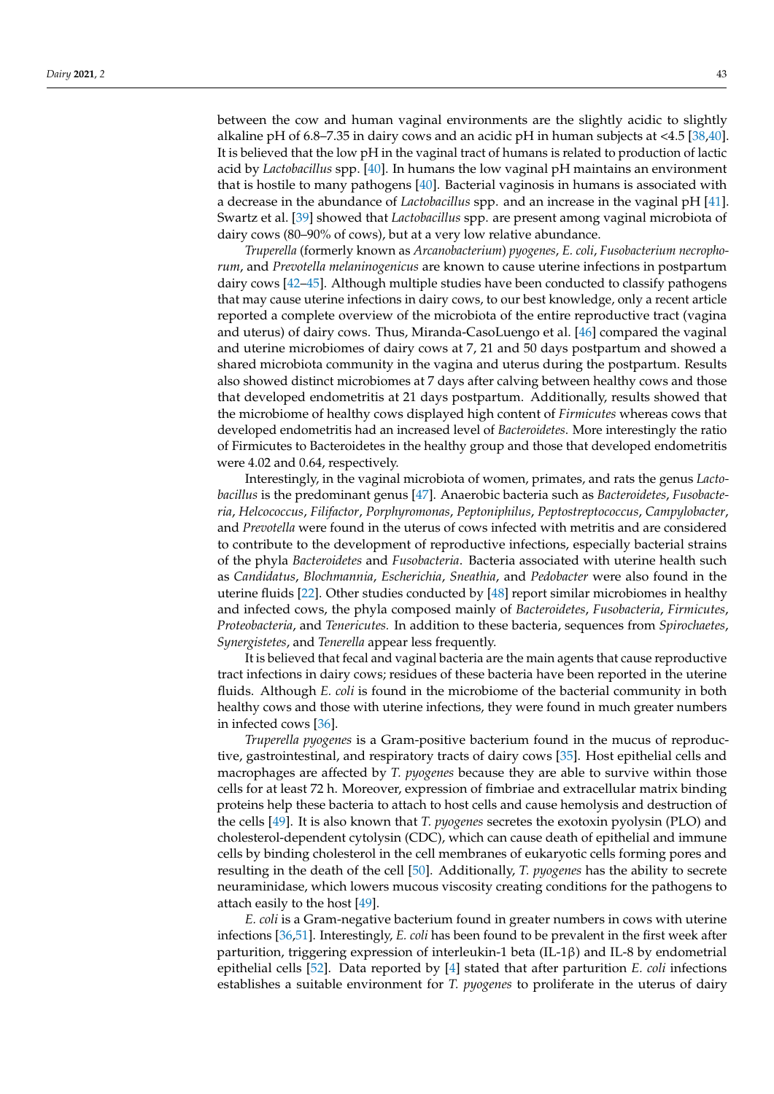between the cow and human vaginal environments are the slightly acidic to slightly alkaline pH of 6.8–7.35 in dairy cows and an acidic pH in human subjects at <4.5 [\[38,](#page-18-10)[40\]](#page-18-12). It is believed that the low pH in the vaginal tract of humans is related to production of lactic acid by *Lactobacillus* spp. [\[40\]](#page-18-12). In humans the low vaginal pH maintains an environment that is hostile to many pathogens [\[40\]](#page-18-12). Bacterial vaginosis in humans is associated with a decrease in the abundance of *Lactobacillus* spp. and an increase in the vaginal pH [\[41\]](#page-18-13). Swartz et al. [\[39\]](#page-18-11) showed that *Lactobacillus* spp. are present among vaginal microbiota of dairy cows (80–90% of cows), but at a very low relative abundance.

*Truperella* (formerly known as *Arcanobacterium*) *pyogenes*, *E. coli*, *Fusobacterium necrophorum*, and *Prevotella melaninogenicus* are known to cause uterine infections in postpartum dairy cows [\[42](#page-18-14)[–45\]](#page-18-15). Although multiple studies have been conducted to classify pathogens that may cause uterine infections in dairy cows, to our best knowledge, only a recent article reported a complete overview of the microbiota of the entire reproductive tract (vagina and uterus) of dairy cows. Thus, Miranda-CasoLuengo et al. [\[46\]](#page-18-16) compared the vaginal and uterine microbiomes of dairy cows at 7, 21 and 50 days postpartum and showed a shared microbiota community in the vagina and uterus during the postpartum. Results also showed distinct microbiomes at 7 days after calving between healthy cows and those that developed endometritis at 21 days postpartum. Additionally, results showed that the microbiome of healthy cows displayed high content of *Firmicutes* whereas cows that developed endometritis had an increased level of *Bacteroidetes*. More interestingly the ratio of Firmicutes to Bacteroidetes in the healthy group and those that developed endometritis were 4.02 and 0.64, respectively.

Interestingly, in the vaginal microbiota of women, primates, and rats the genus *Lactobacillus* is the predominant genus [\[47\]](#page-18-17). Anaerobic bacteria such as *Bacteroidetes*, *Fusobacteria*, *Helcococcus*, *Filifactor*, *Porphyromonas*, *Peptoniphilus*, *Peptostreptococcus*, *Campylobacter*, and *Prevotella* were found in the uterus of cows infected with metritis and are considered to contribute to the development of reproductive infections, especially bacterial strains of the phyla *Bacteroidetes* and *Fusobacteria*. Bacteria associated with uterine health such as *Candidatus*, *Blochmannia*, *Escherichia*, *Sneathia*, and *Pedobacter* were also found in the uterine fluids [\[22\]](#page-17-19). Other studies conducted by [\[48\]](#page-18-18) report similar microbiomes in healthy and infected cows, the phyla composed mainly of *Bacteroidetes*, *Fusobacteria*, *Firmicutes*, *Proteobacteria*, and *Tenericutes.* In addition to these bacteria, sequences from *Spirochaetes*, *Synergistetes*, and *Tenerella* appear less frequently.

It is believed that fecal and vaginal bacteria are the main agents that cause reproductive tract infections in dairy cows; residues of these bacteria have been reported in the uterine fluids. Although *E. coli* is found in the microbiome of the bacterial community in both healthy cows and those with uterine infections, they were found in much greater numbers in infected cows [\[36\]](#page-18-8).

*Truperella pyogenes* is a Gram-positive bacterium found in the mucus of reproductive, gastrointestinal, and respiratory tracts of dairy cows [\[35\]](#page-18-7). Host epithelial cells and macrophages are affected by *T. pyogenes* because they are able to survive within those cells for at least 72 h. Moreover, expression of fimbriae and extracellular matrix binding proteins help these bacteria to attach to host cells and cause hemolysis and destruction of the cells [\[49\]](#page-18-19). It is also known that *T. pyogenes* secretes the exotoxin pyolysin (PLO) and cholesterol-dependent cytolysin (CDC), which can cause death of epithelial and immune cells by binding cholesterol in the cell membranes of eukaryotic cells forming pores and resulting in the death of the cell [\[50\]](#page-18-20). Additionally, *T. pyogenes* has the ability to secrete neuraminidase, which lowers mucous viscosity creating conditions for the pathogens to attach easily to the host [\[49\]](#page-18-19).

*E. coli* is a Gram-negative bacterium found in greater numbers in cows with uterine infections [\[36](#page-18-8)[,51\]](#page-18-21). Interestingly, *E. coli* has been found to be prevalent in the first week after parturition, triggering expression of interleukin-1 beta (IL-1β) and IL-8 by endometrial epithelial cells [\[52\]](#page-18-22). Data reported by [\[4\]](#page-17-3) stated that after parturition *E. coli* infections establishes a suitable environment for *T. pyogenes* to proliferate in the uterus of dairy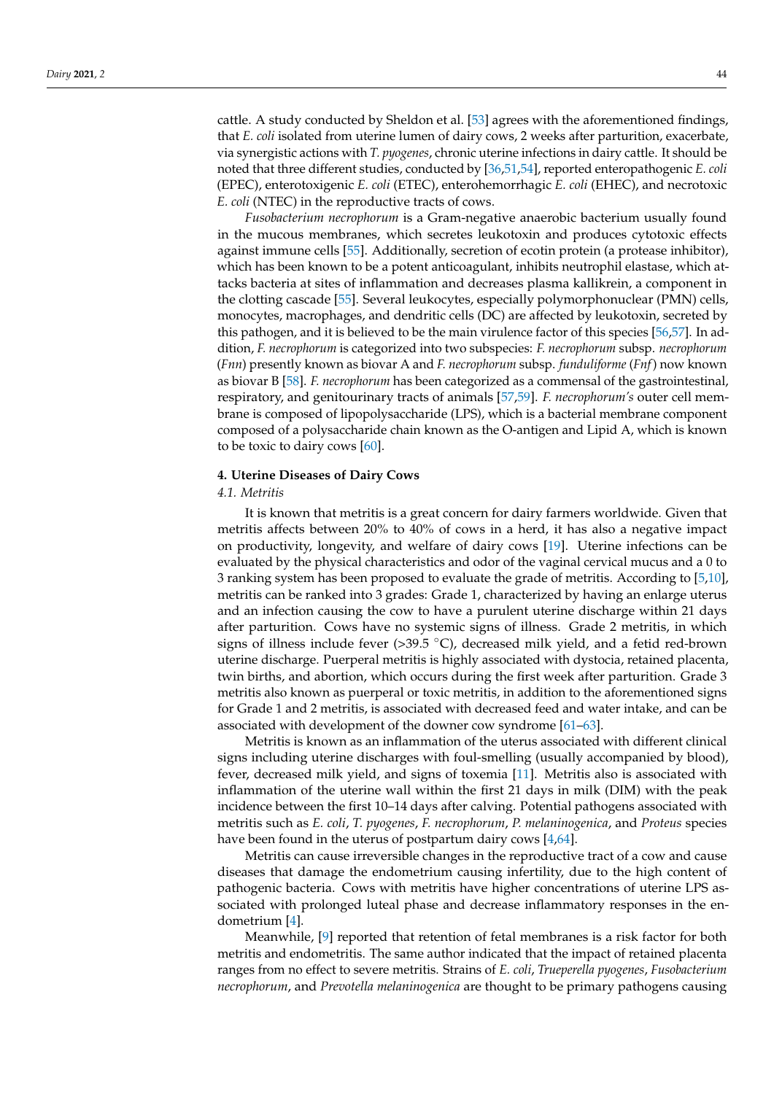cattle. A study conducted by Sheldon et al. [\[53\]](#page-18-23) agrees with the aforementioned findings, that *E. coli* isolated from uterine lumen of dairy cows, 2 weeks after parturition, exacerbate, via synergistic actions with *T. pyogenes*, chronic uterine infections in dairy cattle. It should be noted that three different studies, conducted by [\[36,](#page-18-8)[51,](#page-18-21)[54\]](#page-18-24), reported enteropathogenic *E. coli* (EPEC), enterotoxigenic *E. coli* (ETEC), enterohemorrhagic *E. coli* (EHEC), and necrotoxic *E. coli* (NTEC) in the reproductive tracts of cows.

*Fusobacterium necrophorum* is a Gram-negative anaerobic bacterium usually found in the mucous membranes, which secretes leukotoxin and produces cytotoxic effects against immune cells [\[55\]](#page-19-0). Additionally, secretion of ecotin protein (a protease inhibitor), which has been known to be a potent anticoagulant, inhibits neutrophil elastase, which attacks bacteria at sites of inflammation and decreases plasma kallikrein, a component in the clotting cascade [\[55\]](#page-19-0). Several leukocytes, especially polymorphonuclear (PMN) cells, monocytes, macrophages, and dendritic cells (DC) are affected by leukotoxin, secreted by this pathogen, and it is believed to be the main virulence factor of this species [\[56](#page-19-1)[,57\]](#page-19-2). In addition, *F. necrophorum* is categorized into two subspecies: *F. necrophorum* subsp. *necrophorum* (*Fnn*) presently known as biovar A and *F. necrophorum* subsp. *funduliforme* (*Fnf*) now known as biovar B [\[58\]](#page-19-3). *F. necrophorum* has been categorized as a commensal of the gastrointestinal, respiratory, and genitourinary tracts of animals [\[57,](#page-19-2)[59\]](#page-19-4). *F. necrophorum's* outer cell membrane is composed of lipopolysaccharide (LPS), which is a bacterial membrane component composed of a polysaccharide chain known as the O-antigen and Lipid A, which is known to be toxic to dairy cows [\[60\]](#page-19-5).

# **4. Uterine Diseases of Dairy Cows**

## *4.1. Metritis*

It is known that metritis is a great concern for dairy farmers worldwide. Given that metritis affects between 20% to 40% of cows in a herd, it has also a negative impact on productivity, longevity, and welfare of dairy cows [\[19\]](#page-17-16). Uterine infections can be evaluated by the physical characteristics and odor of the vaginal cervical mucus and a 0 to 3 ranking system has been proposed to evaluate the grade of metritis. According to [\[5](#page-17-4)[,10\]](#page-17-9), metritis can be ranked into 3 grades: Grade 1, characterized by having an enlarge uterus and an infection causing the cow to have a purulent uterine discharge within 21 days after parturition. Cows have no systemic signs of illness. Grade 2 metritis, in which signs of illness include fever  $(>39.5\text{ °C})$ , decreased milk yield, and a fetid red-brown uterine discharge. Puerperal metritis is highly associated with dystocia, retained placenta, twin births, and abortion, which occurs during the first week after parturition. Grade 3 metritis also known as puerperal or toxic metritis, in addition to the aforementioned signs for Grade 1 and 2 metritis, is associated with decreased feed and water intake, and can be associated with development of the downer cow syndrome [\[61–](#page-19-6)[63\]](#page-19-7).

Metritis is known as an inflammation of the uterus associated with different clinical signs including uterine discharges with foul-smelling (usually accompanied by blood), fever, decreased milk yield, and signs of toxemia [\[11\]](#page-17-10). Metritis also is associated with inflammation of the uterine wall within the first 21 days in milk (DIM) with the peak incidence between the first 10–14 days after calving. Potential pathogens associated with metritis such as *E. coli*, *T. pyogenes*, *F. necrophorum*, *P. melaninogenica*, and *Proteus* species have been found in the uterus of postpartum dairy cows [\[4](#page-17-3)[,64\]](#page-19-8).

Metritis can cause irreversible changes in the reproductive tract of a cow and cause diseases that damage the endometrium causing infertility, due to the high content of pathogenic bacteria. Cows with metritis have higher concentrations of uterine LPS associated with prolonged luteal phase and decrease inflammatory responses in the endometrium [\[4\]](#page-17-3).

Meanwhile, [\[9\]](#page-17-8) reported that retention of fetal membranes is a risk factor for both metritis and endometritis. The same author indicated that the impact of retained placenta ranges from no effect to severe metritis. Strains of *E. coli*, *Trueperella pyogenes*, *Fusobacterium necrophorum*, and *Prevotella melaninogenica* are thought to be primary pathogens causing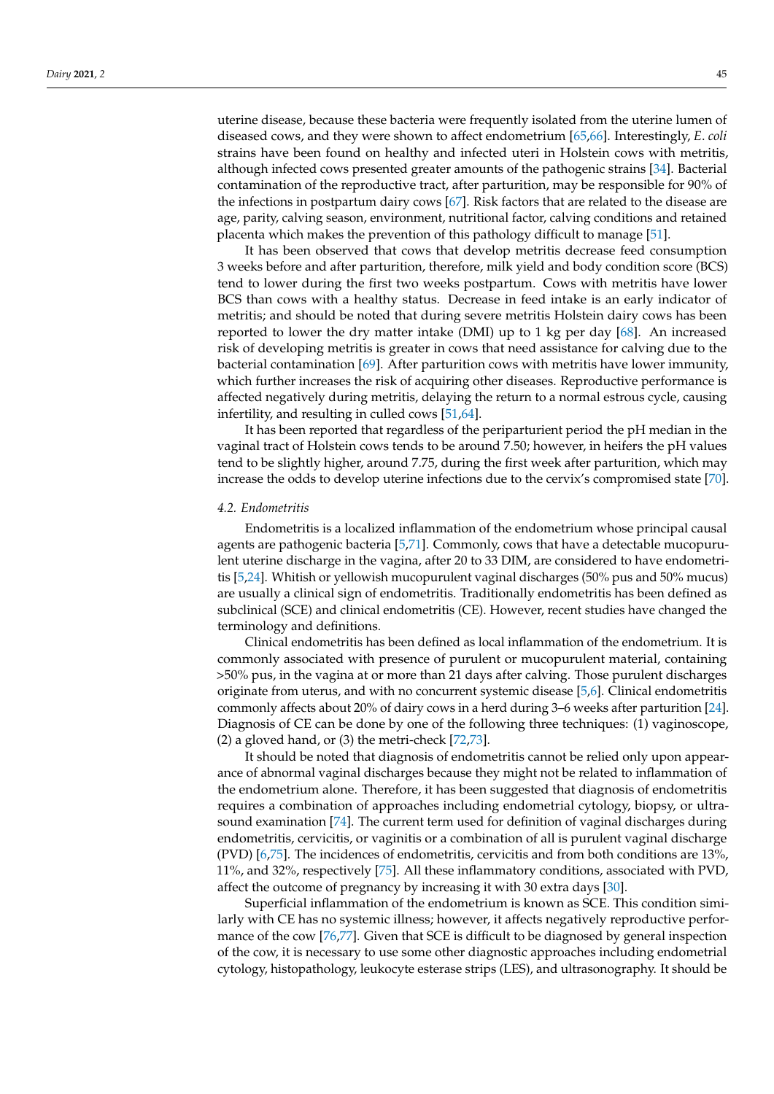uterine disease, because these bacteria were frequently isolated from the uterine lumen of diseased cows, and they were shown to affect endometrium [\[65](#page-19-9)[,66\]](#page-19-10). Interestingly, *E*. *coli* strains have been found on healthy and infected uteri in Holstein cows with metritis, although infected cows presented greater amounts of the pathogenic strains [\[34\]](#page-18-6). Bacterial contamination of the reproductive tract, after parturition, may be responsible for 90% of the infections in postpartum dairy cows [\[67\]](#page-19-11). Risk factors that are related to the disease are age, parity, calving season, environment, nutritional factor, calving conditions and retained placenta which makes the prevention of this pathology difficult to manage [\[51\]](#page-18-21).

It has been observed that cows that develop metritis decrease feed consumption 3 weeks before and after parturition, therefore, milk yield and body condition score (BCS) tend to lower during the first two weeks postpartum. Cows with metritis have lower BCS than cows with a healthy status. Decrease in feed intake is an early indicator of metritis; and should be noted that during severe metritis Holstein dairy cows has been reported to lower the dry matter intake (DMI) up to 1 kg per day [\[68\]](#page-19-12). An increased risk of developing metritis is greater in cows that need assistance for calving due to the bacterial contamination [\[69\]](#page-19-13). After parturition cows with metritis have lower immunity, which further increases the risk of acquiring other diseases. Reproductive performance is affected negatively during metritis, delaying the return to a normal estrous cycle, causing infertility, and resulting in culled cows [\[51,](#page-18-21)[64\]](#page-19-8).

It has been reported that regardless of the periparturient period the pH median in the vaginal tract of Holstein cows tends to be around 7.50; however, in heifers the pH values tend to be slightly higher, around 7.75, during the first week after parturition, which may increase the odds to develop uterine infections due to the cervix's compromised state [\[70\]](#page-19-14).

# *4.2. Endometritis*

Endometritis is a localized inflammation of the endometrium whose principal causal agents are pathogenic bacteria [\[5](#page-17-4)[,71\]](#page-19-15). Commonly, cows that have a detectable mucopurulent uterine discharge in the vagina, after 20 to 33 DIM, are considered to have endometritis [\[5](#page-17-4)[,24\]](#page-17-21). Whitish or yellowish mucopurulent vaginal discharges (50% pus and 50% mucus) are usually a clinical sign of endometritis. Traditionally endometritis has been defined as subclinical (SCE) and clinical endometritis (CE). However, recent studies have changed the terminology and definitions.

Clinical endometritis has been defined as local inflammation of the endometrium. It is commonly associated with presence of purulent or mucopurulent material, containing >50% pus, in the vagina at or more than 21 days after calving. Those purulent discharges originate from uterus, and with no concurrent systemic disease [\[5](#page-17-4)[,6\]](#page-17-5). Clinical endometritis commonly affects about 20% of dairy cows in a herd during 3–6 weeks after parturition [\[24\]](#page-17-21). Diagnosis of CE can be done by one of the following three techniques: (1) vaginoscope, (2) a gloved hand, or (3) the metri-check [\[72](#page-19-16)[,73\]](#page-19-17).

It should be noted that diagnosis of endometritis cannot be relied only upon appearance of abnormal vaginal discharges because they might not be related to inflammation of the endometrium alone. Therefore, it has been suggested that diagnosis of endometritis requires a combination of approaches including endometrial cytology, biopsy, or ultrasound examination [\[74\]](#page-19-18). The current term used for definition of vaginal discharges during endometritis, cervicitis, or vaginitis or a combination of all is purulent vaginal discharge (PVD) [\[6](#page-17-5)[,75\]](#page-19-19). The incidences of endometritis, cervicitis and from both conditions are 13%, 11%, and 32%, respectively [\[75\]](#page-19-19). All these inflammatory conditions, associated with PVD, affect the outcome of pregnancy by increasing it with 30 extra days [\[30\]](#page-18-2).

Superficial inflammation of the endometrium is known as SCE. This condition similarly with CE has no systemic illness; however, it affects negatively reproductive performance of the cow [\[76](#page-19-20)[,77\]](#page-19-21). Given that SCE is difficult to be diagnosed by general inspection of the cow, it is necessary to use some other diagnostic approaches including endometrial cytology, histopathology, leukocyte esterase strips (LES), and ultrasonography. It should be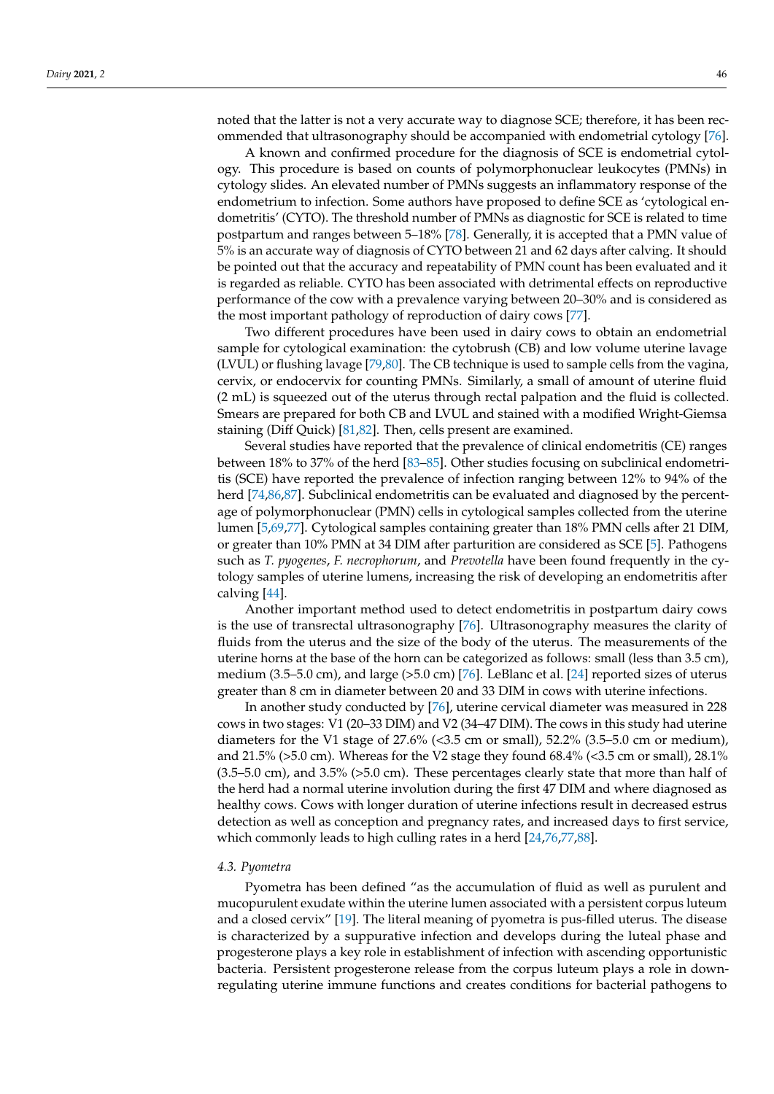noted that the latter is not a very accurate way to diagnose SCE; therefore, it has been recommended that ultrasonography should be accompanied with endometrial cytology [\[76\]](#page-19-20).

A known and confirmed procedure for the diagnosis of SCE is endometrial cytology. This procedure is based on counts of polymorphonuclear leukocytes (PMNs) in cytology slides. An elevated number of PMNs suggests an inflammatory response of the endometrium to infection. Some authors have proposed to define SCE as 'cytological endometritis' (CYTO). The threshold number of PMNs as diagnostic for SCE is related to time postpartum and ranges between 5–18% [\[78\]](#page-19-22). Generally, it is accepted that a PMN value of 5% is an accurate way of diagnosis of CYTO between 21 and 62 days after calving. It should be pointed out that the accuracy and repeatability of PMN count has been evaluated and it is regarded as reliable. CYTO has been associated with detrimental effects on reproductive performance of the cow with a prevalence varying between 20–30% and is considered as the most important pathology of reproduction of dairy cows [\[77\]](#page-19-21).

Two different procedures have been used in dairy cows to obtain an endometrial sample for cytological examination: the cytobrush (CB) and low volume uterine lavage (LVUL) or flushing lavage [\[79](#page-19-23)[,80\]](#page-19-24). The CB technique is used to sample cells from the vagina, cervix, or endocervix for counting PMNs. Similarly, a small of amount of uterine fluid (2 mL) is squeezed out of the uterus through rectal palpation and the fluid is collected. Smears are prepared for both CB and LVUL and stained with a modified Wright-Giemsa staining (Diff Quick) [\[81](#page-19-25)[,82\]](#page-19-26). Then, cells present are examined.

Several studies have reported that the prevalence of clinical endometritis (CE) ranges between 18% to 37% of the herd [\[83](#page-19-27)[–85\]](#page-20-0). Other studies focusing on subclinical endometritis (SCE) have reported the prevalence of infection ranging between 12% to 94% of the herd [\[74,](#page-19-18)[86,](#page-20-1)[87\]](#page-20-2). Subclinical endometritis can be evaluated and diagnosed by the percentage of polymorphonuclear (PMN) cells in cytological samples collected from the uterine lumen [\[5,](#page-17-4)[69](#page-19-13)[,77\]](#page-19-21). Cytological samples containing greater than 18% PMN cells after 21 DIM, or greater than 10% PMN at 34 DIM after parturition are considered as SCE [\[5\]](#page-17-4). Pathogens such as *T. pyogenes*, *F. necrophorum*, and *Prevotella* have been found frequently in the cytology samples of uterine lumens, increasing the risk of developing an endometritis after calving [\[44\]](#page-18-25).

Another important method used to detect endometritis in postpartum dairy cows is the use of transrectal ultrasonography [\[76\]](#page-19-20). Ultrasonography measures the clarity of fluids from the uterus and the size of the body of the uterus. The measurements of the uterine horns at the base of the horn can be categorized as follows: small (less than 3.5 cm), medium (3.5–5.0 cm), and large (>5.0 cm) [\[76\]](#page-19-20). LeBlanc et al. [\[24\]](#page-17-21) reported sizes of uterus greater than 8 cm in diameter between 20 and 33 DIM in cows with uterine infections.

In another study conducted by [\[76\]](#page-19-20), uterine cervical diameter was measured in 228 cows in two stages: V1 (20–33 DIM) and V2 (34–47 DIM). The cows in this study had uterine diameters for the V1 stage of  $27.6\%$  (<3.5 cm or small), 52.2% (3.5–5.0 cm or medium), and 21.5% ( $>5.0$  cm). Whereas for the V2 stage they found 68.4% ( $<$ 3.5 cm or small), 28.1% (3.5–5.0 cm), and 3.5% (>5.0 cm). These percentages clearly state that more than half of the herd had a normal uterine involution during the first 47 DIM and where diagnosed as healthy cows. Cows with longer duration of uterine infections result in decreased estrus detection as well as conception and pregnancy rates, and increased days to first service, which commonly leads to high culling rates in a herd [\[24](#page-17-21)[,76,](#page-19-20)[77,](#page-19-21)[88\]](#page-20-3).

## *4.3. Pyometra*

Pyometra has been defined "as the accumulation of fluid as well as purulent and mucopurulent exudate within the uterine lumen associated with a persistent corpus luteum and a closed cervix" [\[19\]](#page-17-16). The literal meaning of pyometra is pus-filled uterus. The disease is characterized by a suppurative infection and develops during the luteal phase and progesterone plays a key role in establishment of infection with ascending opportunistic bacteria. Persistent progesterone release from the corpus luteum plays a role in downregulating uterine immune functions and creates conditions for bacterial pathogens to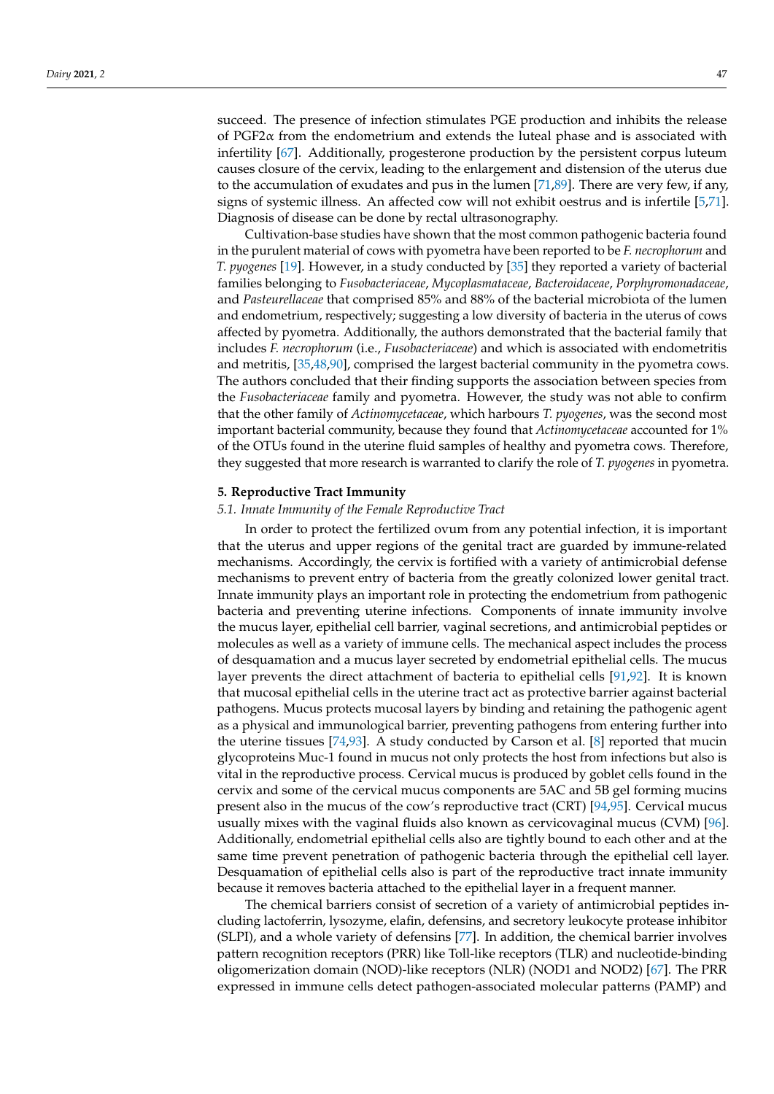succeed. The presence of infection stimulates PGE production and inhibits the release of PGF2 $\alpha$  from the endometrium and extends the luteal phase and is associated with infertility [\[67\]](#page-19-11). Additionally, progesterone production by the persistent corpus luteum causes closure of the cervix, leading to the enlargement and distension of the uterus due to the accumulation of exudates and pus in the lumen [\[71,](#page-19-15)[89\]](#page-20-4). There are very few, if any, signs of systemic illness. An affected cow will not exhibit oestrus and is infertile [\[5,](#page-17-4)[71\]](#page-19-15). Diagnosis of disease can be done by rectal ultrasonography.

Cultivation-base studies have shown that the most common pathogenic bacteria found in the purulent material of cows with pyometra have been reported to be *F. necrophorum* and *T. pyogenes* [\[19\]](#page-17-16). However, in a study conducted by [\[35\]](#page-18-7) they reported a variety of bacterial families belonging to *Fusobacteriaceae*, *Mycoplasmataceae*, *Bacteroidaceae*, *Porphyromonadaceae*, and *Pasteurellaceae* that comprised 85% and 88% of the bacterial microbiota of the lumen and endometrium, respectively; suggesting a low diversity of bacteria in the uterus of cows affected by pyometra. Additionally, the authors demonstrated that the bacterial family that includes *F. necrophorum* (i.e., *Fusobacteriaceae*) and which is associated with endometritis and metritis, [\[35](#page-18-7)[,48](#page-18-18)[,90\]](#page-20-5), comprised the largest bacterial community in the pyometra cows. The authors concluded that their finding supports the association between species from the *Fusobacteriaceae* family and pyometra. However, the study was not able to confirm that the other family of *Actinomycetaceae*, which harbours *T. pyogenes*, was the second most important bacterial community, because they found that *Actinomycetaceae* accounted for 1% of the OTUs found in the uterine fluid samples of healthy and pyometra cows. Therefore, they suggested that more research is warranted to clarify the role of *T. pyogenes* in pyometra.

## **5. Reproductive Tract Immunity**

# *5.1. Innate Immunity of the Female Reproductive Tract*

In order to protect the fertilized ovum from any potential infection, it is important that the uterus and upper regions of the genital tract are guarded by immune-related mechanisms. Accordingly, the cervix is fortified with a variety of antimicrobial defense mechanisms to prevent entry of bacteria from the greatly colonized lower genital tract. Innate immunity plays an important role in protecting the endometrium from pathogenic bacteria and preventing uterine infections. Components of innate immunity involve the mucus layer, epithelial cell barrier, vaginal secretions, and antimicrobial peptides or molecules as well as a variety of immune cells. The mechanical aspect includes the process of desquamation and a mucus layer secreted by endometrial epithelial cells. The mucus layer prevents the direct attachment of bacteria to epithelial cells [\[91,](#page-20-6)[92\]](#page-20-7). It is known that mucosal epithelial cells in the uterine tract act as protective barrier against bacterial pathogens. Mucus protects mucosal layers by binding and retaining the pathogenic agent as a physical and immunological barrier, preventing pathogens from entering further into the uterine tissues [\[74,](#page-19-18)[93\]](#page-20-8). A study conducted by Carson et al. [\[8\]](#page-17-7) reported that mucin glycoproteins Muc-1 found in mucus not only protects the host from infections but also is vital in the reproductive process. Cervical mucus is produced by goblet cells found in the cervix and some of the cervical mucus components are 5AC and 5B gel forming mucins present also in the mucus of the cow's reproductive tract (CRT) [\[94,](#page-20-9)[95\]](#page-20-10). Cervical mucus usually mixes with the vaginal fluids also known as cervicovaginal mucus (CVM) [\[96\]](#page-20-11). Additionally, endometrial epithelial cells also are tightly bound to each other and at the same time prevent penetration of pathogenic bacteria through the epithelial cell layer. Desquamation of epithelial cells also is part of the reproductive tract innate immunity because it removes bacteria attached to the epithelial layer in a frequent manner.

The chemical barriers consist of secretion of a variety of antimicrobial peptides including lactoferrin, lysozyme, elafin, defensins, and secretory leukocyte protease inhibitor (SLPI), and a whole variety of defensins [\[77\]](#page-19-21). In addition, the chemical barrier involves pattern recognition receptors (PRR) like Toll-like receptors (TLR) and nucleotide-binding oligomerization domain (NOD)-like receptors (NLR) (NOD1 and NOD2) [\[67\]](#page-19-11). The PRR expressed in immune cells detect pathogen-associated molecular patterns (PAMP) and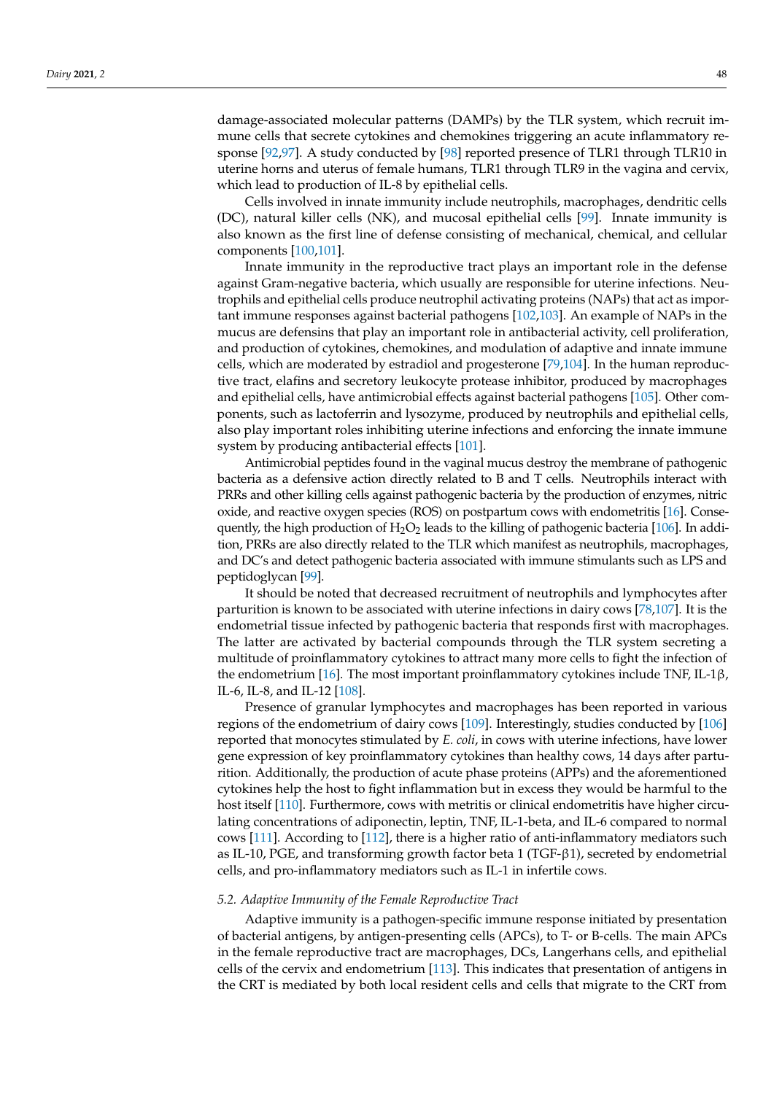damage-associated molecular patterns (DAMPs) by the TLR system, which recruit immune cells that secrete cytokines and chemokines triggering an acute inflammatory response [\[92](#page-20-7)[,97\]](#page-20-12). A study conducted by [\[98\]](#page-20-13) reported presence of TLR1 through TLR10 in uterine horns and uterus of female humans, TLR1 through TLR9 in the vagina and cervix, which lead to production of IL-8 by epithelial cells.

Cells involved in innate immunity include neutrophils, macrophages, dendritic cells (DC), natural killer cells (NK), and mucosal epithelial cells [\[99\]](#page-20-14). Innate immunity is also known as the first line of defense consisting of mechanical, chemical, and cellular components [\[100](#page-20-15)[,101\]](#page-20-16).

Innate immunity in the reproductive tract plays an important role in the defense against Gram-negative bacteria, which usually are responsible for uterine infections. Neutrophils and epithelial cells produce neutrophil activating proteins (NAPs) that act as important immune responses against bacterial pathogens [\[102](#page-20-17)[,103\]](#page-20-18). An example of NAPs in the mucus are defensins that play an important role in antibacterial activity, cell proliferation, and production of cytokines, chemokines, and modulation of adaptive and innate immune cells, which are moderated by estradiol and progesterone [\[79](#page-19-23)[,104\]](#page-20-19). In the human reproductive tract, elafins and secretory leukocyte protease inhibitor, produced by macrophages and epithelial cells, have antimicrobial effects against bacterial pathogens [\[105\]](#page-20-20). Other components, such as lactoferrin and lysozyme, produced by neutrophils and epithelial cells, also play important roles inhibiting uterine infections and enforcing the innate immune system by producing antibacterial effects [\[101\]](#page-20-16).

Antimicrobial peptides found in the vaginal mucus destroy the membrane of pathogenic bacteria as a defensive action directly related to B and T cells. Neutrophils interact with PRRs and other killing cells against pathogenic bacteria by the production of enzymes, nitric oxide, and reactive oxygen species (ROS) on postpartum cows with endometritis [\[16\]](#page-17-14). Consequently, the high production of  $H_2O_2$  leads to the killing of pathogenic bacteria [\[106\]](#page-20-21). In addition, PRRs are also directly related to the TLR which manifest as neutrophils, macrophages, and DC's and detect pathogenic bacteria associated with immune stimulants such as LPS and peptidoglycan [\[99\]](#page-20-14).

It should be noted that decreased recruitment of neutrophils and lymphocytes after parturition is known to be associated with uterine infections in dairy cows [\[78,](#page-19-22)[107\]](#page-20-22). It is the endometrial tissue infected by pathogenic bacteria that responds first with macrophages. The latter are activated by bacterial compounds through the TLR system secreting a multitude of proinflammatory cytokines to attract many more cells to fight the infection of the endometrium [\[16\]](#page-17-14). The most important proinflammatory cytokines include TNF, IL-1 $\beta$ , IL-6, IL-8, and IL-12 [\[108\]](#page-20-23).

Presence of granular lymphocytes and macrophages has been reported in various regions of the endometrium of dairy cows [\[109\]](#page-20-24). Interestingly, studies conducted by [\[106\]](#page-20-21) reported that monocytes stimulated by *E. coli*, in cows with uterine infections, have lower gene expression of key proinflammatory cytokines than healthy cows, 14 days after parturition. Additionally, the production of acute phase proteins (APPs) and the aforementioned cytokines help the host to fight inflammation but in excess they would be harmful to the host itself [\[110\]](#page-20-25). Furthermore, cows with metritis or clinical endometritis have higher circulating concentrations of adiponectin, leptin, TNF, IL-1-beta, and IL-6 compared to normal cows [\[111\]](#page-20-26). According to [\[112\]](#page-20-27), there is a higher ratio of anti-inflammatory mediators such as IL-10, PGE, and transforming growth factor beta 1 (TGF-β1), secreted by endometrial cells, and pro-inflammatory mediators such as IL-1 in infertile cows.

# *5.2. Adaptive Immunity of the Female Reproductive Tract*

Adaptive immunity is a pathogen-specific immune response initiated by presentation of bacterial antigens, by antigen-presenting cells (APCs), to T- or B-cells. The main APCs in the female reproductive tract are macrophages, DCs, Langerhans cells, and epithelial cells of the cervix and endometrium [\[113\]](#page-21-0). This indicates that presentation of antigens in the CRT is mediated by both local resident cells and cells that migrate to the CRT from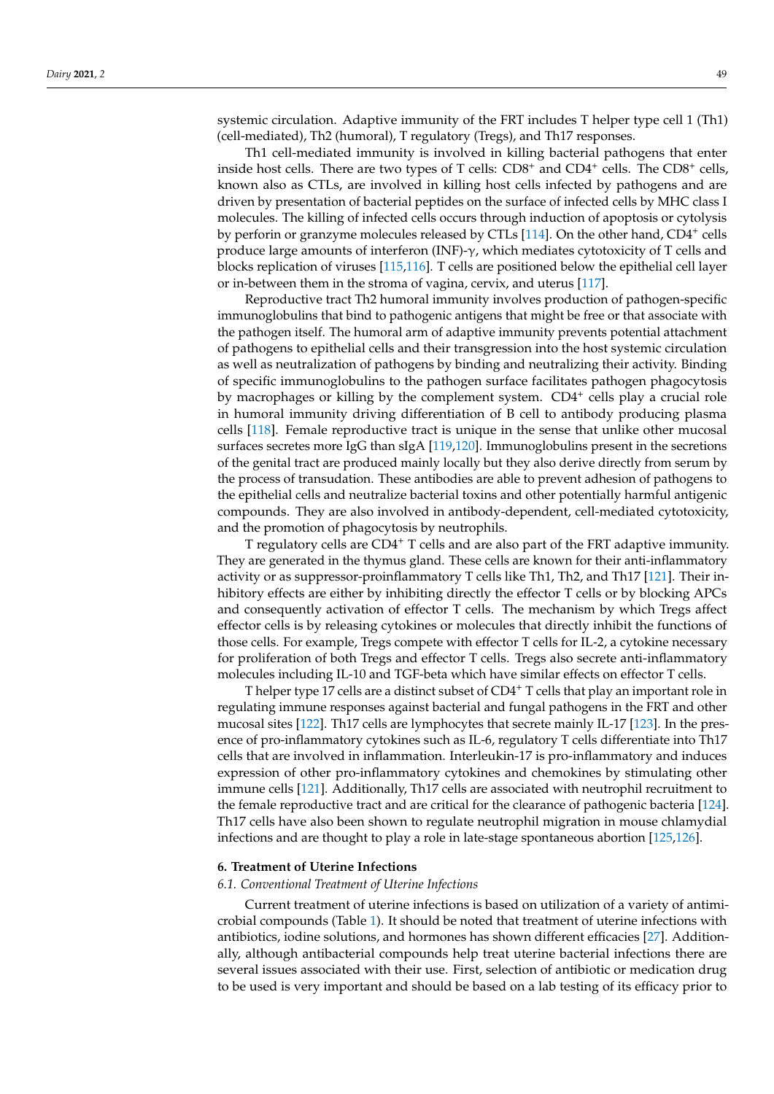systemic circulation. Adaptive immunity of the FRT includes T helper type cell 1 (Th1) (cell-mediated), Th2 (humoral), T regulatory (Tregs), and Th17 responses.

Th1 cell-mediated immunity is involved in killing bacterial pathogens that enter inside host cells. There are two types of T cells: CD8<sup>+</sup> and CD4<sup>+</sup> cells. The CD8<sup>+</sup> cells, known also as CTLs, are involved in killing host cells infected by pathogens and are driven by presentation of bacterial peptides on the surface of infected cells by MHC class I molecules. The killing of infected cells occurs through induction of apoptosis or cytolysis by perforin or granzyme molecules released by CTLs [\[114\]](#page-21-1). On the other hand, CD4<sup>+</sup> cells produce large amounts of interferon (INF)- $\gamma$ , which mediates cytotoxicity of T cells and blocks replication of viruses [\[115,](#page-21-2)[116\]](#page-21-3). T cells are positioned below the epithelial cell layer or in-between them in the stroma of vagina, cervix, and uterus [\[117\]](#page-21-4).

Reproductive tract Th2 humoral immunity involves production of pathogen-specific immunoglobulins that bind to pathogenic antigens that might be free or that associate with the pathogen itself. The humoral arm of adaptive immunity prevents potential attachment of pathogens to epithelial cells and their transgression into the host systemic circulation as well as neutralization of pathogens by binding and neutralizing their activity. Binding of specific immunoglobulins to the pathogen surface facilitates pathogen phagocytosis by macrophages or killing by the complement system. CD4<sup>+</sup> cells play a crucial role in humoral immunity driving differentiation of B cell to antibody producing plasma cells [\[118\]](#page-21-5). Female reproductive tract is unique in the sense that unlike other mucosal surfaces secretes more IgG than sIgA [\[119](#page-21-6)[,120\]](#page-21-7). Immunoglobulins present in the secretions of the genital tract are produced mainly locally but they also derive directly from serum by the process of transudation. These antibodies are able to prevent adhesion of pathogens to the epithelial cells and neutralize bacterial toxins and other potentially harmful antigenic compounds. They are also involved in antibody-dependent, cell-mediated cytotoxicity, and the promotion of phagocytosis by neutrophils.

T regulatory cells are CD4<sup>+</sup> T cells and are also part of the FRT adaptive immunity. They are generated in the thymus gland. These cells are known for their anti-inflammatory activity or as suppressor-proinflammatory T cells like Th1, Th2, and Th17 [\[121\]](#page-21-8). Their inhibitory effects are either by inhibiting directly the effector T cells or by blocking APCs and consequently activation of effector T cells. The mechanism by which Tregs affect effector cells is by releasing cytokines or molecules that directly inhibit the functions of those cells. For example, Tregs compete with effector T cells for IL-2, a cytokine necessary for proliferation of both Tregs and effector T cells. Tregs also secrete anti-inflammatory molecules including IL-10 and TGF-beta which have similar effects on effector T cells.

T helper type 17 cells are a distinct subset of CD4<sup>+</sup> T cells that play an important role in regulating immune responses against bacterial and fungal pathogens in the FRT and other mucosal sites [\[122\]](#page-21-9). Th17 cells are lymphocytes that secrete mainly IL-17 [\[123\]](#page-21-10). In the presence of pro-inflammatory cytokines such as IL-6, regulatory T cells differentiate into Th17 cells that are involved in inflammation. Interleukin-17 is pro-inflammatory and induces expression of other pro-inflammatory cytokines and chemokines by stimulating other immune cells [\[121\]](#page-21-8). Additionally, Th17 cells are associated with neutrophil recruitment to the female reproductive tract and are critical for the clearance of pathogenic bacteria [\[124\]](#page-21-11). Th17 cells have also been shown to regulate neutrophil migration in mouse chlamydial infections and are thought to play a role in late-stage spontaneous abortion [\[125](#page-21-12)[,126\]](#page-21-13).

## **6. Treatment of Uterine Infections**

### *6.1. Conventional Treatment of Uterine Infections*

Current treatment of uterine infections is based on utilization of a variety of antimicrobial compounds (Table [1\)](#page-10-0). It should be noted that treatment of uterine infections with antibiotics, iodine solutions, and hormones has shown different efficacies [\[27\]](#page-18-0). Additionally, although antibacterial compounds help treat uterine bacterial infections there are several issues associated with their use. First, selection of antibiotic or medication drug to be used is very important and should be based on a lab testing of its efficacy prior to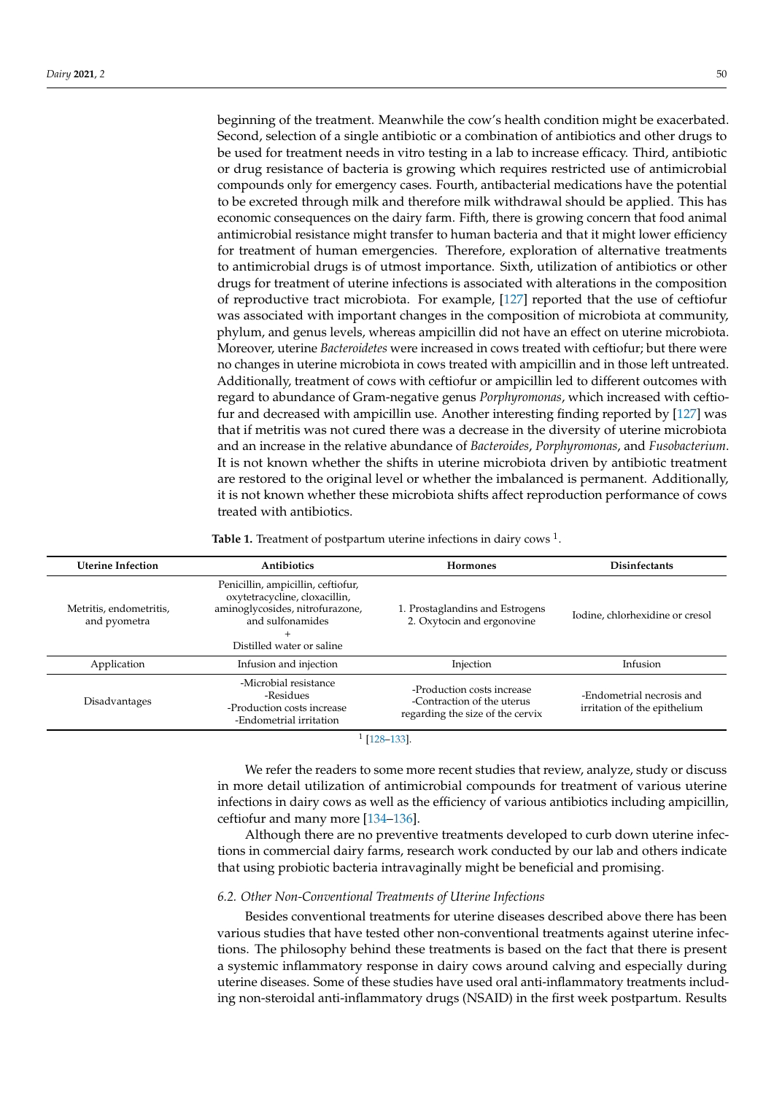beginning of the treatment. Meanwhile the cow's health condition might be exacerbated. Second, selection of a single antibiotic or a combination of antibiotics and other drugs to be used for treatment needs in vitro testing in a lab to increase efficacy. Third, antibiotic or drug resistance of bacteria is growing which requires restricted use of antimicrobial compounds only for emergency cases. Fourth, antibacterial medications have the potential to be excreted through milk and therefore milk withdrawal should be applied. This has economic consequences on the dairy farm. Fifth, there is growing concern that food animal antimicrobial resistance might transfer to human bacteria and that it might lower efficiency for treatment of human emergencies. Therefore, exploration of alternative treatments to antimicrobial drugs is of utmost importance. Sixth, utilization of antibiotics or other drugs for treatment of uterine infections is associated with alterations in the composition of reproductive tract microbiota. For example, [\[127\]](#page-21-14) reported that the use of ceftiofur was associated with important changes in the composition of microbiota at community, phylum, and genus levels, whereas ampicillin did not have an effect on uterine microbiota. Moreover, uterine *Bacteroidetes* were increased in cows treated with ceftiofur; but there were no changes in uterine microbiota in cows treated with ampicillin and in those left untreated. Additionally, treatment of cows with ceftiofur or ampicillin led to different outcomes with regard to abundance of Gram-negative genus *Porphyromonas*, which increased with ceftiofur and decreased with ampicillin use. Another interesting finding reported by [\[127\]](#page-21-14) was that if metritis was not cured there was a decrease in the diversity of uterine microbiota and an increase in the relative abundance of *Bacteroides*, *Porphyromonas*, and *Fusobacterium*. It is not known whether the shifts in uterine microbiota driven by antibiotic treatment are restored to the original level or whether the imbalanced is permanent. Additionally, it is not known whether these microbiota shifts affect reproduction performance of cows treated with antibiotics.

**Table 1.** Treatment of postpartum uterine infections in dairy cows  $^1$ .

<span id="page-10-0"></span>

| <b>Uterine Infection</b>                | <b>Antibiotics</b>                                                                                                                                                | <b>Hormones</b>                                                                              | Disinfectants                                             |
|-----------------------------------------|-------------------------------------------------------------------------------------------------------------------------------------------------------------------|----------------------------------------------------------------------------------------------|-----------------------------------------------------------|
| Metritis, endometritis,<br>and pyometra | Penicillin, ampicillin, ceftiofur,<br>oxytetracycline, cloxacillin,<br>aminoglycosides, nitrofurazone,<br>and sulfonamides<br>$^{+}$<br>Distilled water or saline | 1. Prostaglandins and Estrogens<br>2. Oxytocin and ergonovine                                | Iodine, chlorhexidine or cresol                           |
| Application                             | Infusion and injection                                                                                                                                            | Injection                                                                                    | Infusion                                                  |
| Disadvantages                           | -Microbial resistance<br>-Residues<br>-Production costs increase<br>-Endometrial irritation                                                                       | -Production costs increase<br>-Contraction of the uterus<br>regarding the size of the cervix | -Endometrial necrosis and<br>irritation of the epithelium |
|                                         |                                                                                                                                                                   | F400.4001                                                                                    |                                                           |

1 [\[128](#page-21-15)[–133\]](#page-21-16).

We refer the readers to some more recent studies that review, analyze, study or discuss in more detail utilization of antimicrobial compounds for treatment of various uterine infections in dairy cows as well as the efficiency of various antibiotics including ampicillin, ceftiofur and many more [\[134–](#page-21-17)[136\]](#page-21-18).

Although there are no preventive treatments developed to curb down uterine infections in commercial dairy farms, research work conducted by our lab and others indicate that using probiotic bacteria intravaginally might be beneficial and promising.

# *6.2. Other Non-Conventional Treatments of Uterine Infections*

Besides conventional treatments for uterine diseases described above there has been various studies that have tested other non-conventional treatments against uterine infections. The philosophy behind these treatments is based on the fact that there is present a systemic inflammatory response in dairy cows around calving and especially during uterine diseases. Some of these studies have used oral anti-inflammatory treatments including non-steroidal anti-inflammatory drugs (NSAID) in the first week postpartum. Results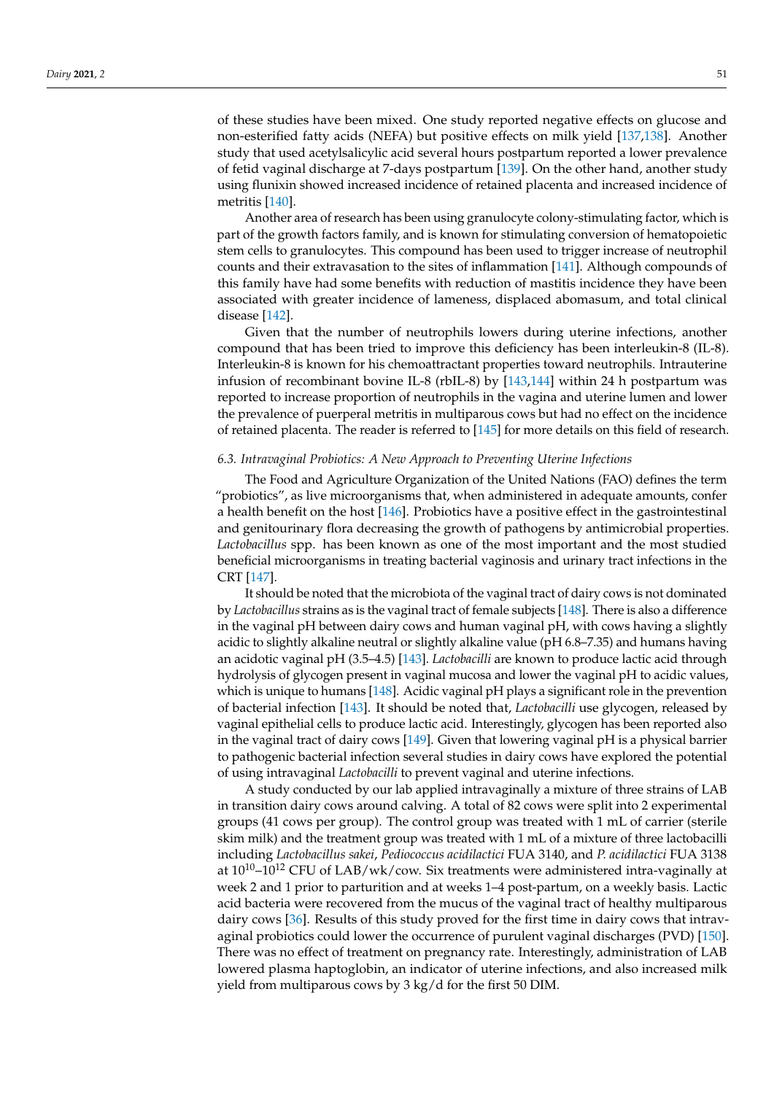of these studies have been mixed. One study reported negative effects on glucose and non-esterified fatty acids (NEFA) but positive effects on milk yield [\[137,](#page-21-19)[138\]](#page-21-20). Another study that used acetylsalicylic acid several hours postpartum reported a lower prevalence of fetid vaginal discharge at 7-days postpartum [\[139\]](#page-21-21). On the other hand, another study using flunixin showed increased incidence of retained placenta and increased incidence of metritis [\[140\]](#page-21-22).

Another area of research has been using granulocyte colony-stimulating factor, which is part of the growth factors family, and is known for stimulating conversion of hematopoietic stem cells to granulocytes. This compound has been used to trigger increase of neutrophil counts and their extravasation to the sites of inflammation [\[141\]](#page-22-0). Although compounds of this family have had some benefits with reduction of mastitis incidence they have been associated with greater incidence of lameness, displaced abomasum, and total clinical disease [\[142\]](#page-22-1).

Given that the number of neutrophils lowers during uterine infections, another compound that has been tried to improve this deficiency has been interleukin-8 (IL-8). Interleukin-8 is known for his chemoattractant properties toward neutrophils. Intrauterine infusion of recombinant bovine IL-8 (rbIL-8) by [\[143,](#page-22-2)[144\]](#page-22-3) within 24 h postpartum was reported to increase proportion of neutrophils in the vagina and uterine lumen and lower the prevalence of puerperal metritis in multiparous cows but had no effect on the incidence of retained placenta. The reader is referred to [\[145\]](#page-22-4) for more details on this field of research.

# *6.3. Intravaginal Probiotics: A New Approach to Preventing Uterine Infections*

The Food and Agriculture Organization of the United Nations (FAO) defines the term "probiotics", as live microorganisms that, when administered in adequate amounts, confer a health benefit on the host [\[146\]](#page-22-5). Probiotics have a positive effect in the gastrointestinal and genitourinary flora decreasing the growth of pathogens by antimicrobial properties. *Lactobacillus* spp. has been known as one of the most important and the most studied beneficial microorganisms in treating bacterial vaginosis and urinary tract infections in the CRT [\[147\]](#page-22-6).

It should be noted that the microbiota of the vaginal tract of dairy cows is not dominated by *Lactobacillus* strains as is the vaginal tract of female subjects [\[148\]](#page-22-7). There is also a difference in the vaginal pH between dairy cows and human vaginal pH, with cows having a slightly acidic to slightly alkaline neutral or slightly alkaline value (pH 6.8–7.35) and humans having an acidotic vaginal pH (3.5–4.5) [\[143\]](#page-22-2). *Lactobacilli* are known to produce lactic acid through hydrolysis of glycogen present in vaginal mucosa and lower the vaginal pH to acidic values, which is unique to humans  $[148]$ . Acidic vaginal pH plays a significant role in the prevention of bacterial infection [\[143\]](#page-22-2). It should be noted that, *Lactobacilli* use glycogen, released by vaginal epithelial cells to produce lactic acid. Interestingly, glycogen has been reported also in the vaginal tract of dairy cows [\[149\]](#page-22-8). Given that lowering vaginal pH is a physical barrier to pathogenic bacterial infection several studies in dairy cows have explored the potential of using intravaginal *Lactobacilli* to prevent vaginal and uterine infections.

A study conducted by our lab applied intravaginally a mixture of three strains of LAB in transition dairy cows around calving. A total of 82 cows were split into 2 experimental groups (41 cows per group). The control group was treated with 1 mL of carrier (sterile skim milk) and the treatment group was treated with 1 mL of a mixture of three lactobacilli including *Lactobacillus sakei*, *Pediococcus acidilactici* FUA 3140, and *P. acidilactici* FUA 3138 at  $10^{10}$ - $10^{12}$  CFU of LAB/wk/cow. Six treatments were administered intra-vaginally at week 2 and 1 prior to parturition and at weeks 1–4 post-partum, on a weekly basis. Lactic acid bacteria were recovered from the mucus of the vaginal tract of healthy multiparous dairy cows [\[36\]](#page-18-8). Results of this study proved for the first time in dairy cows that intravaginal probiotics could lower the occurrence of purulent vaginal discharges (PVD) [\[150\]](#page-22-9). There was no effect of treatment on pregnancy rate. Interestingly, administration of LAB lowered plasma haptoglobin, an indicator of uterine infections, and also increased milk yield from multiparous cows by 3 kg/d for the first 50 DIM.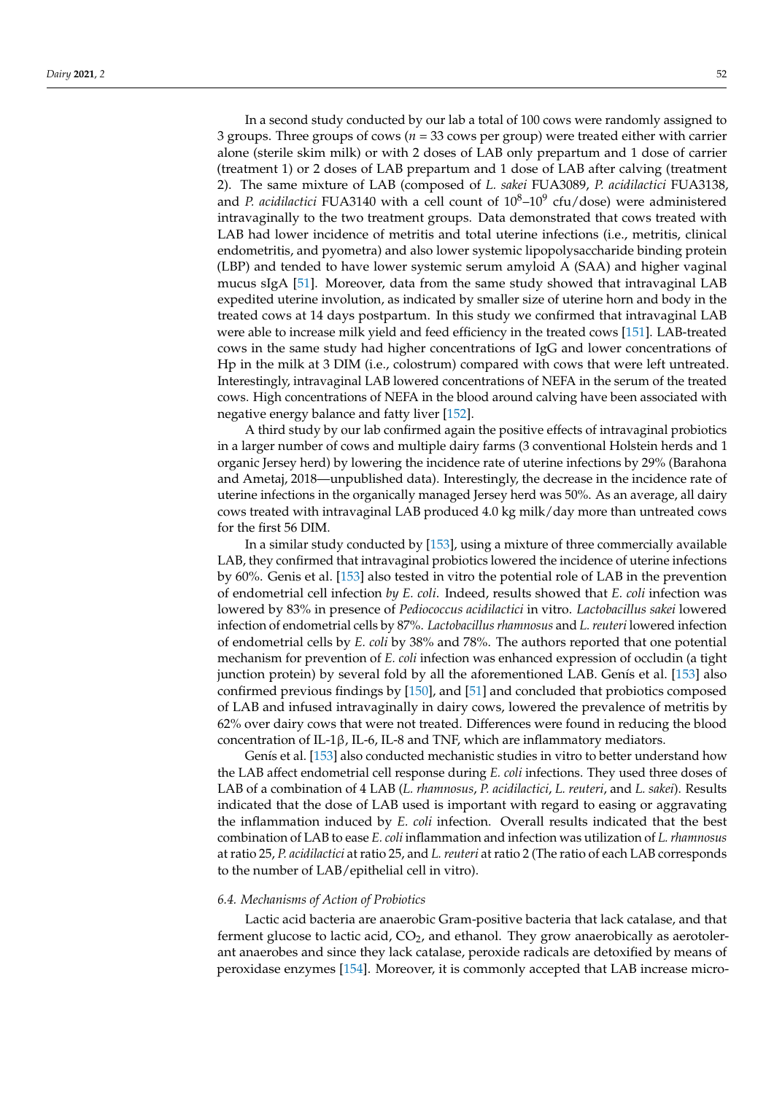In a second study conducted by our lab a total of 100 cows were randomly assigned to 3 groups. Three groups of cows (*n* = 33 cows per group) were treated either with carrier alone (sterile skim milk) or with 2 doses of LAB only prepartum and 1 dose of carrier (treatment 1) or 2 doses of LAB prepartum and 1 dose of LAB after calving (treatment 2). The same mixture of LAB (composed of *L. sakei* FUA3089, *P. acidilactici* FUA3138, and *P. acidilactici* FUA3140 with a cell count of  $10^8 - 10^9$  cfu/dose) were administered intravaginally to the two treatment groups. Data demonstrated that cows treated with LAB had lower incidence of metritis and total uterine infections (i.e., metritis, clinical endometritis, and pyometra) and also lower systemic lipopolysaccharide binding protein (LBP) and tended to have lower systemic serum amyloid A (SAA) and higher vaginal mucus sIgA [\[51\]](#page-18-21). Moreover, data from the same study showed that intravaginal LAB expedited uterine involution, as indicated by smaller size of uterine horn and body in the treated cows at 14 days postpartum. In this study we confirmed that intravaginal LAB were able to increase milk yield and feed efficiency in the treated cows [\[151\]](#page-22-10). LAB-treated cows in the same study had higher concentrations of IgG and lower concentrations of Hp in the milk at 3 DIM (i.e., colostrum) compared with cows that were left untreated. Interestingly, intravaginal LAB lowered concentrations of NEFA in the serum of the treated cows. High concentrations of NEFA in the blood around calving have been associated with negative energy balance and fatty liver [\[152\]](#page-22-11).

A third study by our lab confirmed again the positive effects of intravaginal probiotics in a larger number of cows and multiple dairy farms (3 conventional Holstein herds and 1 organic Jersey herd) by lowering the incidence rate of uterine infections by 29% (Barahona and Ametaj, 2018—unpublished data). Interestingly, the decrease in the incidence rate of uterine infections in the organically managed Jersey herd was 50%. As an average, all dairy cows treated with intravaginal LAB produced 4.0 kg milk/day more than untreated cows for the first 56 DIM.

In a similar study conducted by [\[153\]](#page-22-12), using a mixture of three commercially available LAB, they confirmed that intravaginal probiotics lowered the incidence of uterine infections by 60%. Genis et al. [\[153\]](#page-22-12) also tested in vitro the potential role of LAB in the prevention of endometrial cell infection *by E. coli*. Indeed, results showed that *E. coli* infection was lowered by 83% in presence of *Pediococcus acidilactici* in vitro. *Lactobacillus sakei* lowered infection of endometrial cells by 87%. *Lactobacillus rhamnosus* and *L. reuteri* lowered infection of endometrial cells by *E. coli* by 38% and 78%. The authors reported that one potential mechanism for prevention of *E. coli* infection was enhanced expression of occludin (a tight junction protein) by several fold by all the aforementioned LAB. Genís et al. [\[153\]](#page-22-12) also confirmed previous findings by [\[150\]](#page-22-9), and [\[51\]](#page-18-21) and concluded that probiotics composed of LAB and infused intravaginally in dairy cows, lowered the prevalence of metritis by 62% over dairy cows that were not treated. Differences were found in reducing the blood concentration of IL-1β, IL-6, IL-8 and TNF, which are inflammatory mediators.

Genís et al. [\[153\]](#page-22-12) also conducted mechanistic studies in vitro to better understand how the LAB affect endometrial cell response during *E. coli* infections. They used three doses of LAB of a combination of 4 LAB (*L. rhamnosus*, *P. acidilactici*, *L. reuteri*, and *L. sakei*). Results indicated that the dose of LAB used is important with regard to easing or aggravating the inflammation induced by *E. coli* infection. Overall results indicated that the best combination of LAB to ease *E. coli* inflammation and infection was utilization of *L. rhamnosus* at ratio 25, *P. acidilactici* at ratio 25, and *L. reuteri* at ratio 2 (The ratio of each LAB corresponds to the number of LAB/epithelial cell in vitro).

## *6.4. Mechanisms of Action of Probiotics*

Lactic acid bacteria are anaerobic Gram-positive bacteria that lack catalase, and that ferment glucose to lactic acid,  $CO<sub>2</sub>$ , and ethanol. They grow anaerobically as aerotolerant anaerobes and since they lack catalase, peroxide radicals are detoxified by means of peroxidase enzymes [\[154\]](#page-22-13). Moreover, it is commonly accepted that LAB increase micro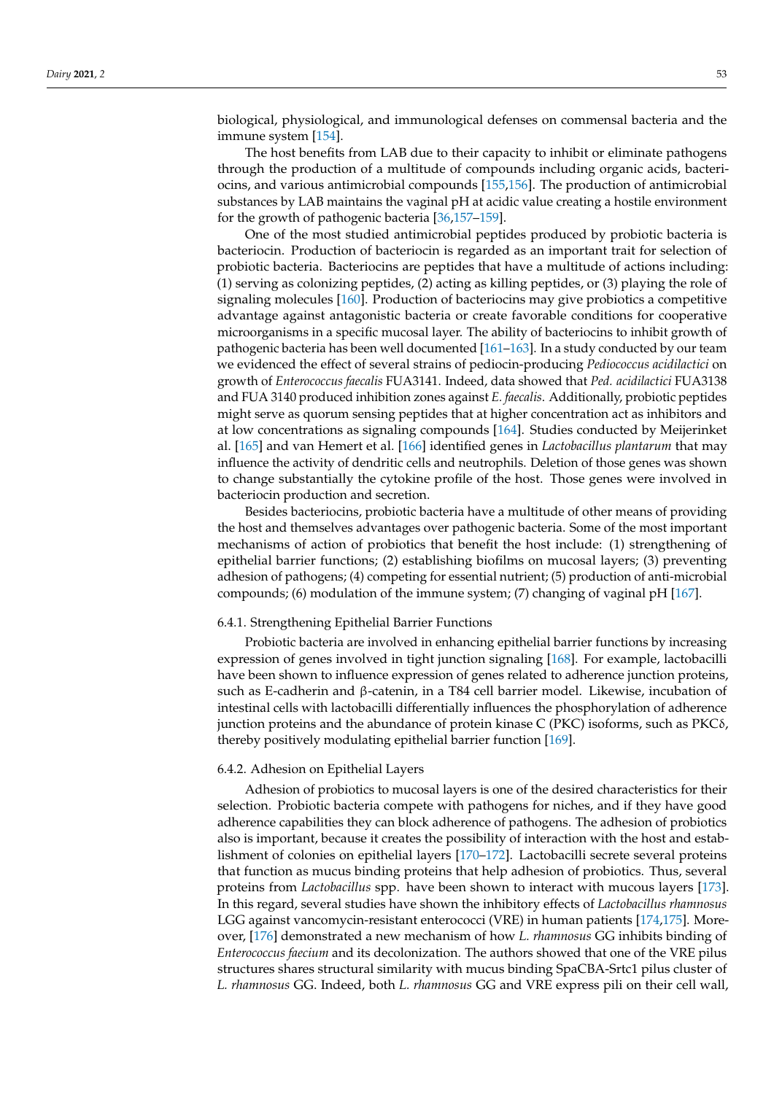biological, physiological, and immunological defenses on commensal bacteria and the immune system [\[154\]](#page-22-13).

The host benefits from LAB due to their capacity to inhibit or eliminate pathogens through the production of a multitude of compounds including organic acids, bacteriocins, and various antimicrobial compounds [\[155,](#page-22-14)[156\]](#page-22-15). The production of antimicrobial substances by LAB maintains the vaginal pH at acidic value creating a hostile environment for the growth of pathogenic bacteria [\[36](#page-18-8)[,157–](#page-22-16)[159\]](#page-22-17).

One of the most studied antimicrobial peptides produced by probiotic bacteria is bacteriocin. Production of bacteriocin is regarded as an important trait for selection of probiotic bacteria. Bacteriocins are peptides that have a multitude of actions including: (1) serving as colonizing peptides, (2) acting as killing peptides, or (3) playing the role of signaling molecules [\[160\]](#page-22-18). Production of bacteriocins may give probiotics a competitive advantage against antagonistic bacteria or create favorable conditions for cooperative microorganisms in a specific mucosal layer. The ability of bacteriocins to inhibit growth of pathogenic bacteria has been well documented [\[161](#page-22-19)[–163\]](#page-22-20). In a study conducted by our team we evidenced the effect of several strains of pediocin-producing *Pediococcus acidilactici* on growth of *Enterococcus faecalis* FUA3141. Indeed, data showed that *Ped. acidilactici* FUA3138 and FUA 3140 produced inhibition zones against *E. faecalis*. Additionally, probiotic peptides might serve as quorum sensing peptides that at higher concentration act as inhibitors and at low concentrations as signaling compounds [\[164\]](#page-22-21). Studies conducted by Meijerinket al. [\[165\]](#page-22-22) and van Hemert et al. [\[166\]](#page-22-23) identified genes in *Lactobacillus plantarum* that may influence the activity of dendritic cells and neutrophils. Deletion of those genes was shown to change substantially the cytokine profile of the host. Those genes were involved in bacteriocin production and secretion.

Besides bacteriocins, probiotic bacteria have a multitude of other means of providing the host and themselves advantages over pathogenic bacteria. Some of the most important mechanisms of action of probiotics that benefit the host include: (1) strengthening of epithelial barrier functions; (2) establishing biofilms on mucosal layers; (3) preventing adhesion of pathogens; (4) competing for essential nutrient; (5) production of anti-microbial compounds; (6) modulation of the immune system; (7) changing of vaginal pH [\[167\]](#page-22-24).

## 6.4.1. Strengthening Epithelial Barrier Functions

Probiotic bacteria are involved in enhancing epithelial barrier functions by increasing expression of genes involved in tight junction signaling [\[168\]](#page-22-25). For example, lactobacilli have been shown to influence expression of genes related to adherence junction proteins, such as E-cadherin and β-catenin, in a T84 cell barrier model. Likewise, incubation of intestinal cells with lactobacilli differentially influences the phosphorylation of adherence junction proteins and the abundance of protein kinase C (PKC) isoforms, such as PKCδ, thereby positively modulating epithelial barrier function [\[169\]](#page-22-26).

## 6.4.2. Adhesion on Epithelial Layers

Adhesion of probiotics to mucosal layers is one of the desired characteristics for their selection. Probiotic bacteria compete with pathogens for niches, and if they have good adherence capabilities they can block adherence of pathogens. The adhesion of probiotics also is important, because it creates the possibility of interaction with the host and establishment of colonies on epithelial layers [\[170–](#page-23-0)[172\]](#page-23-1). Lactobacilli secrete several proteins that function as mucus binding proteins that help adhesion of probiotics. Thus, several proteins from *Lactobacillus* spp. have been shown to interact with mucous layers [\[173\]](#page-23-2). In this regard, several studies have shown the inhibitory effects of *Lactobacillus rhamnosus* LGG against vancomycin-resistant enterococci (VRE) in human patients [\[174](#page-23-3)[,175\]](#page-23-4). Moreover, [\[176\]](#page-23-5) demonstrated a new mechanism of how *L. rhamnosus* GG inhibits binding of *Enterococcus faecium* and its decolonization. The authors showed that one of the VRE pilus structures shares structural similarity with mucus binding SpaCBA-Srtc1 pilus cluster of *L. rhamnosus* GG. Indeed, both *L. rhamnosus* GG and VRE express pili on their cell wall,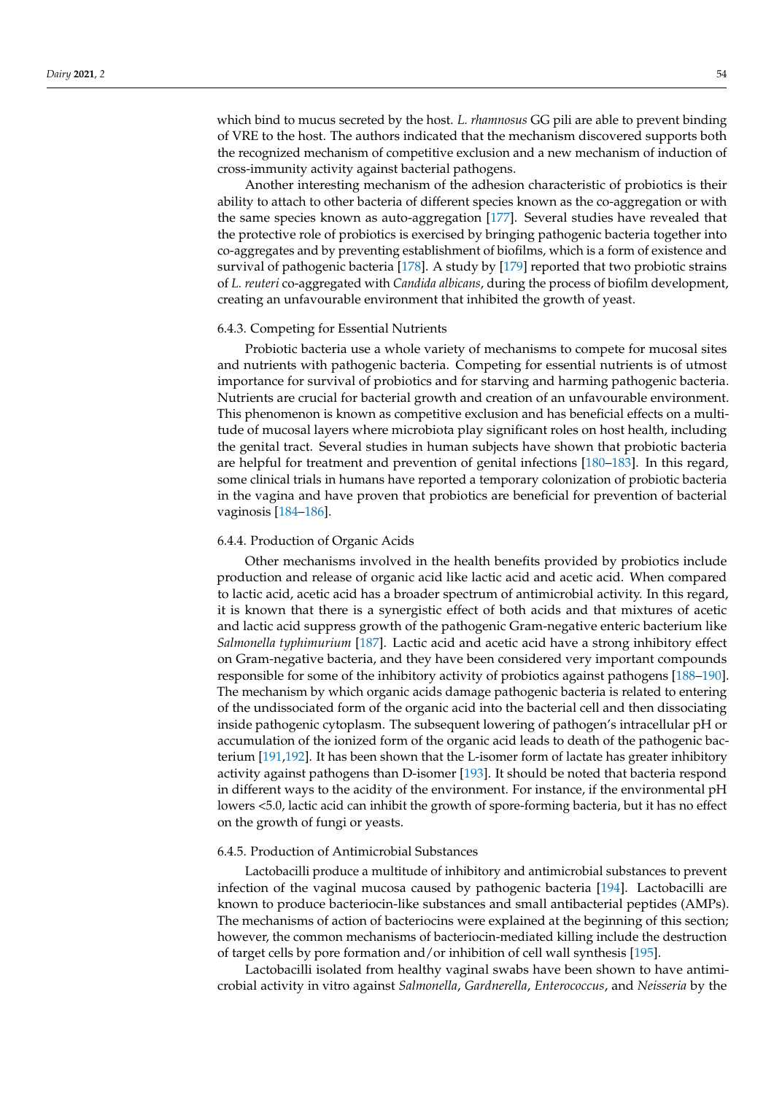which bind to mucus secreted by the host. *L. rhamnosus* GG pili are able to prevent binding of VRE to the host. The authors indicated that the mechanism discovered supports both the recognized mechanism of competitive exclusion and a new mechanism of induction of cross-immunity activity against bacterial pathogens.

Another interesting mechanism of the adhesion characteristic of probiotics is their ability to attach to other bacteria of different species known as the co-aggregation or with the same species known as auto-aggregation [\[177\]](#page-23-6). Several studies have revealed that the protective role of probiotics is exercised by bringing pathogenic bacteria together into co-aggregates and by preventing establishment of biofilms, which is a form of existence and survival of pathogenic bacteria [\[178\]](#page-23-7). A study by [\[179\]](#page-23-8) reported that two probiotic strains of *L. reuteri* co-aggregated with *Candida albicans*, during the process of biofilm development, creating an unfavourable environment that inhibited the growth of yeast.

### 6.4.3. Competing for Essential Nutrients

Probiotic bacteria use a whole variety of mechanisms to compete for mucosal sites and nutrients with pathogenic bacteria. Competing for essential nutrients is of utmost importance for survival of probiotics and for starving and harming pathogenic bacteria. Nutrients are crucial for bacterial growth and creation of an unfavourable environment. This phenomenon is known as competitive exclusion and has beneficial effects on a multitude of mucosal layers where microbiota play significant roles on host health, including the genital tract. Several studies in human subjects have shown that probiotic bacteria are helpful for treatment and prevention of genital infections [\[180–](#page-23-9)[183\]](#page-23-10). In this regard, some clinical trials in humans have reported a temporary colonization of probiotic bacteria in the vagina and have proven that probiotics are beneficial for prevention of bacterial vaginosis [\[184](#page-23-11)[–186\]](#page-23-12).

### 6.4.4. Production of Organic Acids

Other mechanisms involved in the health benefits provided by probiotics include production and release of organic acid like lactic acid and acetic acid. When compared to lactic acid, acetic acid has a broader spectrum of antimicrobial activity. In this regard, it is known that there is a synergistic effect of both acids and that mixtures of acetic and lactic acid suppress growth of the pathogenic Gram-negative enteric bacterium like *Salmonella typhimurium* [\[187\]](#page-23-13). Lactic acid and acetic acid have a strong inhibitory effect on Gram-negative bacteria, and they have been considered very important compounds responsible for some of the inhibitory activity of probiotics against pathogens [\[188](#page-23-14)[–190\]](#page-23-15). The mechanism by which organic acids damage pathogenic bacteria is related to entering of the undissociated form of the organic acid into the bacterial cell and then dissociating inside pathogenic cytoplasm. The subsequent lowering of pathogen's intracellular pH or accumulation of the ionized form of the organic acid leads to death of the pathogenic bacterium [\[191,](#page-23-16)[192\]](#page-23-17). It has been shown that the L-isomer form of lactate has greater inhibitory activity against pathogens than D-isomer [\[193\]](#page-23-18). It should be noted that bacteria respond in different ways to the acidity of the environment. For instance, if the environmental pH lowers <5.0, lactic acid can inhibit the growth of spore-forming bacteria, but it has no effect on the growth of fungi or yeasts.

## 6.4.5. Production of Antimicrobial Substances

Lactobacilli produce a multitude of inhibitory and antimicrobial substances to prevent infection of the vaginal mucosa caused by pathogenic bacteria [\[194\]](#page-23-19). Lactobacilli are known to produce bacteriocin-like substances and small antibacterial peptides (AMPs). The mechanisms of action of bacteriocins were explained at the beginning of this section; however, the common mechanisms of bacteriocin-mediated killing include the destruction of target cells by pore formation and/or inhibition of cell wall synthesis [\[195\]](#page-24-0).

Lactobacilli isolated from healthy vaginal swabs have been shown to have antimicrobial activity in vitro against *Salmonella*, *Gardnerella*, *Enterococcus*, and *Neisseria* by the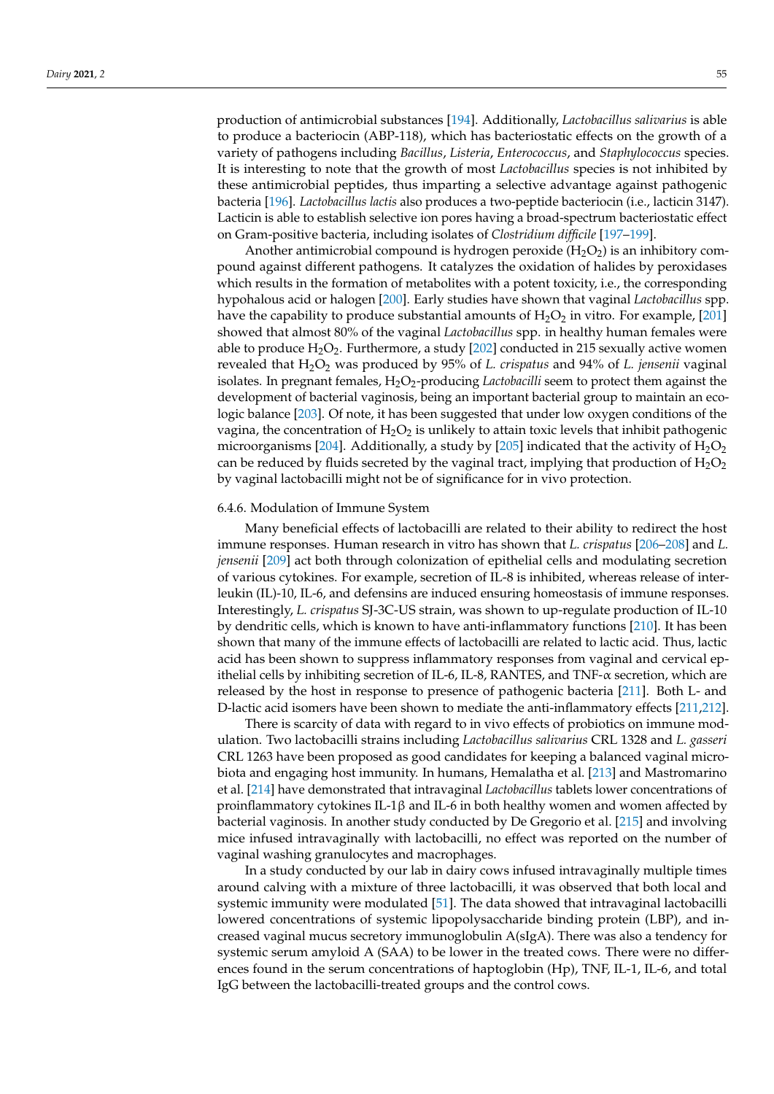production of antimicrobial substances [\[194\]](#page-23-19). Additionally, *Lactobacillus salivarius* is able to produce a bacteriocin (ABP-118), which has bacteriostatic effects on the growth of a variety of pathogens including *Bacillus*, *Listeria*, *Enterococcus*, and *Staphylococcus* species. It is interesting to note that the growth of most *Lactobacillus* species is not inhibited by these antimicrobial peptides, thus imparting a selective advantage against pathogenic bacteria [\[196\]](#page-24-1). *Lactobacillus lactis* also produces a two-peptide bacteriocin (i.e., lacticin 3147). Lacticin is able to establish selective ion pores having a broad-spectrum bacteriostatic effect on Gram-positive bacteria, including isolates of *Clostridium difficile* [\[197](#page-24-2)[–199\]](#page-24-3).

Another antimicrobial compound is hydrogen peroxide  $(H_2O_2)$  is an inhibitory compound against different pathogens. It catalyzes the oxidation of halides by peroxidases which results in the formation of metabolites with a potent toxicity, *i.e.*, the corresponding hypohalous acid or halogen [\[200\]](#page-24-4). Early studies have shown that vaginal *Lactobacillus* spp. have the capability to produce substantial amounts of  $H_2O_2$  in vitro. For example, [\[201\]](#page-24-5) showed that almost 80% of the vaginal *Lactobacillus* spp. in healthy human females were able to produce  $H_2O_2$ . Furthermore, a study [\[202\]](#page-24-6) conducted in 215 sexually active women revealed that H<sub>2</sub>O<sub>2</sub> was produced by 95% of *L. crispatus* and 94% of *L. jensenii* vaginal isolates. In pregnant females, H<sub>2</sub>O<sub>2</sub>-producing *Lactobacilli* seem to protect them against the development of bacterial vaginosis, being an important bacterial group to maintain an ecologic balance [\[203\]](#page-24-7). Of note, it has been suggested that under low oxygen conditions of the vagina, the concentration of  $H_2O_2$  is unlikely to attain toxic levels that inhibit pathogenic microorganisms [\[204\]](#page-24-8). Additionally, a study by [\[205\]](#page-24-9) indicated that the activity of  $H_2O_2$ can be reduced by fluids secreted by the vaginal tract, implying that production of  $H_2O_2$ by vaginal lactobacilli might not be of significance for in vivo protection.

# 6.4.6. Modulation of Immune System

Many beneficial effects of lactobacilli are related to their ability to redirect the host immune responses. Human research in vitro has shown that *L. crispatus* [\[206–](#page-24-10)[208\]](#page-24-11) and *L. jensenii* [\[209\]](#page-24-12) act both through colonization of epithelial cells and modulating secretion of various cytokines. For example, secretion of IL-8 is inhibited, whereas release of interleukin (IL)-10, IL-6, and defensins are induced ensuring homeostasis of immune responses. Interestingly, *L. crispatus* SJ-3C-US strain, was shown to up-regulate production of IL-10 by dendritic cells, which is known to have anti-inflammatory functions [\[210\]](#page-24-13). It has been shown that many of the immune effects of lactobacilli are related to lactic acid. Thus, lactic acid has been shown to suppress inflammatory responses from vaginal and cervical epithelial cells by inhibiting secretion of IL-6, IL-8, RANTES, and TNF- $\alpha$  secretion, which are released by the host in response to presence of pathogenic bacteria [\[211\]](#page-24-14). Both L- and D-lactic acid isomers have been shown to mediate the anti-inflammatory effects [\[211](#page-24-14)[,212\]](#page-24-15).

There is scarcity of data with regard to in vivo effects of probiotics on immune modulation. Two lactobacilli strains including *Lactobacillus salivarius* CRL 1328 and *L. gasseri* CRL 1263 have been proposed as good candidates for keeping a balanced vaginal microbiota and engaging host immunity. In humans, Hemalatha et al. [\[213\]](#page-24-16) and Mastromarino et al. [\[214\]](#page-24-17) have demonstrated that intravaginal *Lactobacillus* tablets lower concentrations of proinflammatory cytokines IL-1β and IL-6 in both healthy women and women affected by bacterial vaginosis. In another study conducted by De Gregorio et al. [\[215\]](#page-24-18) and involving mice infused intravaginally with lactobacilli, no effect was reported on the number of vaginal washing granulocytes and macrophages.

In a study conducted by our lab in dairy cows infused intravaginally multiple times around calving with a mixture of three lactobacilli, it was observed that both local and systemic immunity were modulated [\[51\]](#page-18-21). The data showed that intravaginal lactobacilli lowered concentrations of systemic lipopolysaccharide binding protein (LBP), and increased vaginal mucus secretory immunoglobulin A(sIgA). There was also a tendency for systemic serum amyloid A (SAA) to be lower in the treated cows. There were no differences found in the serum concentrations of haptoglobin (Hp), TNF, IL-1, IL-6, and total IgG between the lactobacilli-treated groups and the control cows.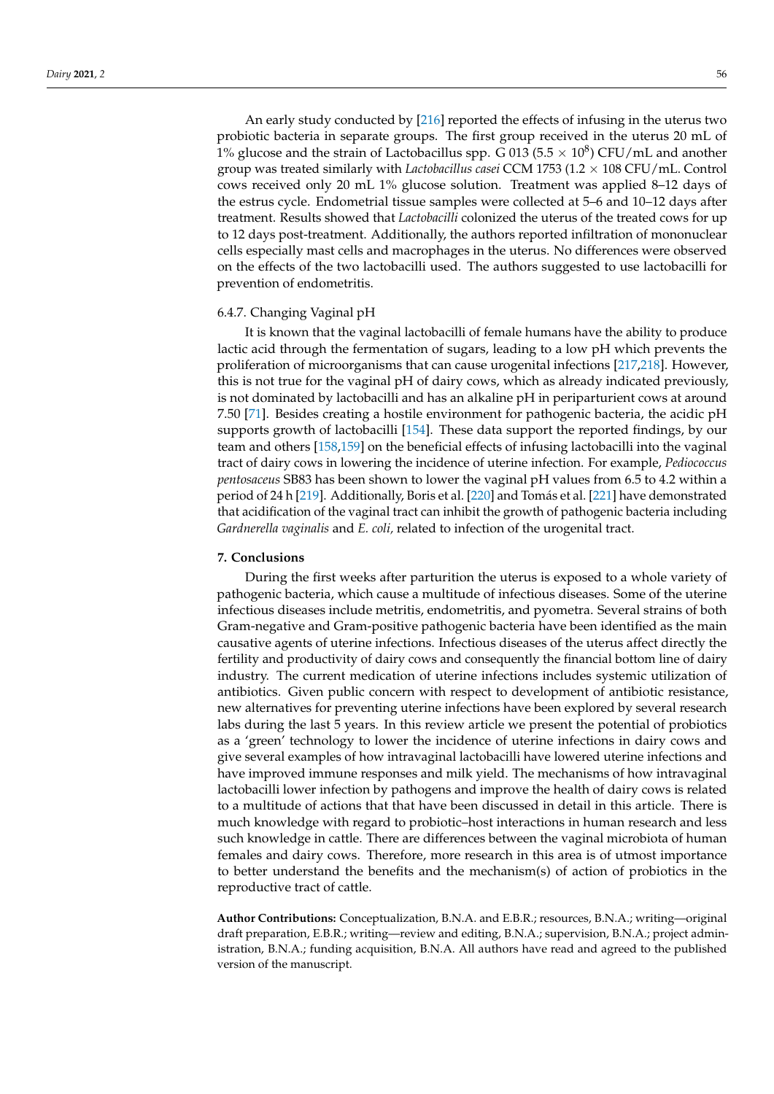An early study conducted by [\[216\]](#page-24-19) reported the effects of infusing in the uterus two probiotic bacteria in separate groups. The first group received in the uterus 20 mL of 1% glucose and the strain of Lactobacillus spp. G 013 (5.5  $\times$  10<sup>8</sup>) CFU/mL and another group was treated similarly with *Lactobacillus casei* CCM 1753 (1.2 × 108 CFU/mL. Control cows received only 20 mL 1% glucose solution. Treatment was applied 8–12 days of the estrus cycle. Endometrial tissue samples were collected at 5–6 and 10–12 days after treatment. Results showed that *Lactobacilli* colonized the uterus of the treated cows for up to 12 days post-treatment. Additionally, the authors reported infiltration of mononuclear cells especially mast cells and macrophages in the uterus. No differences were observed on the effects of the two lactobacilli used. The authors suggested to use lactobacilli for prevention of endometritis.

## 6.4.7. Changing Vaginal pH

It is known that the vaginal lactobacilli of female humans have the ability to produce lactic acid through the fermentation of sugars, leading to a low pH which prevents the proliferation of microorganisms that can cause urogenital infections [\[217](#page-24-20)[,218\]](#page-24-21). However, this is not true for the vaginal pH of dairy cows, which as already indicated previously, is not dominated by lactobacilli and has an alkaline pH in periparturient cows at around 7.50 [\[71\]](#page-19-15). Besides creating a hostile environment for pathogenic bacteria, the acidic pH supports growth of lactobacilli [\[154\]](#page-22-13). These data support the reported findings, by our team and others [\[158,](#page-22-27)[159\]](#page-22-17) on the beneficial effects of infusing lactobacilli into the vaginal tract of dairy cows in lowering the incidence of uterine infection. For example, *Pediococcus pentosaceus* SB83 has been shown to lower the vaginal pH values from 6.5 to 4.2 within a period of 24 h [\[219\]](#page-24-22). Additionally, Boris et al. [\[220\]](#page-24-23) and Tomás et al. [\[221\]](#page-24-24) have demonstrated that acidification of the vaginal tract can inhibit the growth of pathogenic bacteria including *Gardnerella vaginalis* and *E. coli,* related to infection of the urogenital tract.

## **7. Conclusions**

During the first weeks after parturition the uterus is exposed to a whole variety of pathogenic bacteria, which cause a multitude of infectious diseases. Some of the uterine infectious diseases include metritis, endometritis, and pyometra. Several strains of both Gram-negative and Gram-positive pathogenic bacteria have been identified as the main causative agents of uterine infections. Infectious diseases of the uterus affect directly the fertility and productivity of dairy cows and consequently the financial bottom line of dairy industry. The current medication of uterine infections includes systemic utilization of antibiotics. Given public concern with respect to development of antibiotic resistance, new alternatives for preventing uterine infections have been explored by several research labs during the last 5 years. In this review article we present the potential of probiotics as a 'green' technology to lower the incidence of uterine infections in dairy cows and give several examples of how intravaginal lactobacilli have lowered uterine infections and have improved immune responses and milk yield. The mechanisms of how intravaginal lactobacilli lower infection by pathogens and improve the health of dairy cows is related to a multitude of actions that that have been discussed in detail in this article. There is much knowledge with regard to probiotic–host interactions in human research and less such knowledge in cattle. There are differences between the vaginal microbiota of human females and dairy cows. Therefore, more research in this area is of utmost importance to better understand the benefits and the mechanism(s) of action of probiotics in the reproductive tract of cattle.

**Author Contributions:** Conceptualization, B.N.A. and E.B.R.; resources, B.N.A.; writing—original draft preparation, E.B.R.; writing—review and editing, B.N.A.; supervision, B.N.A.; project administration, B.N.A.; funding acquisition, B.N.A. All authors have read and agreed to the published version of the manuscript.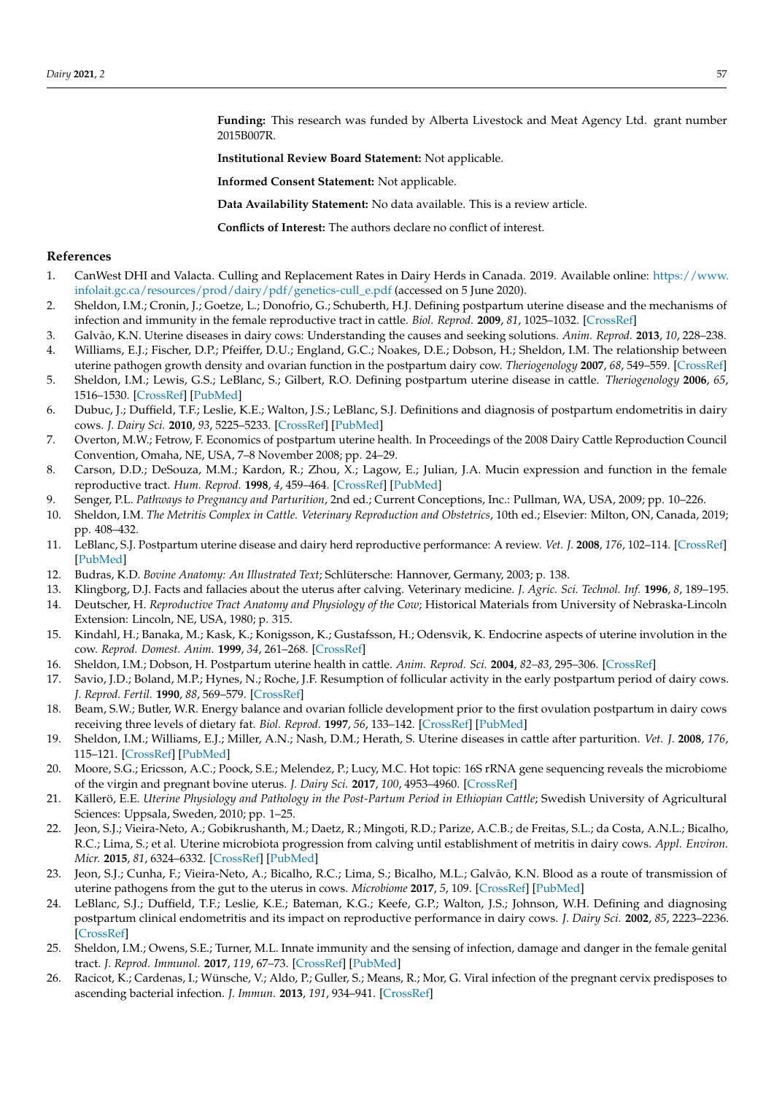**Funding:** This research was funded by Alberta Livestock and Meat Agency Ltd. grant number 2015B007R.

**Institutional Review Board Statement:** Not applicable.

**Informed Consent Statement:** Not applicable.

**Data Availability Statement:** No data available. This is a review article.

**Conflicts of Interest:** The authors declare no conflict of interest.

### **References**

- <span id="page-17-0"></span>1. CanWest DHI and Valacta. Culling and Replacement Rates in Dairy Herds in Canada. 2019. Available online: [https://www.](https://www.infolait.gc.ca/resources/prod/dairy/pdf/genetics-cull_e.pdf) [infolait.gc.ca/resources/prod/dairy/pdf/genetics-cull\\_e.pdf](https://www.infolait.gc.ca/resources/prod/dairy/pdf/genetics-cull_e.pdf) (accessed on 5 June 2020).
- <span id="page-17-1"></span>2. Sheldon, I.M.; Cronin, J.; Goetze, L.; Donofrio, G.; Schuberth, H.J. Defining postpartum uterine disease and the mechanisms of infection and immunity in the female reproductive tract in cattle. *Biol. Reprod.* **2009**, *81*, 1025–1032. [\[CrossRef\]](http://doi.org/10.1095/biolreprod.109.077370)
- <span id="page-17-2"></span>3. Galvão, K.N. Uterine diseases in dairy cows: Understanding the causes and seeking solutions. *Anim. Reprod.* **2013**, *10*, 228–238.
- <span id="page-17-3"></span>4. Williams, E.J.; Fischer, D.P.; Pfeiffer, D.U.; England, G.C.; Noakes, D.E.; Dobson, H.; Sheldon, I.M. The relationship between uterine pathogen growth density and ovarian function in the postpartum dairy cow. *Theriogenology* **2007**, *68*, 549–559. [\[CrossRef\]](http://doi.org/10.1016/j.theriogenology.2007.04.056)
- <span id="page-17-4"></span>5. Sheldon, I.M.; Lewis, G.S.; LeBlanc, S.; Gilbert, R.O. Defining postpartum uterine disease in cattle. *Theriogenology* **2006**, *65*, 1516–1530. [\[CrossRef\]](http://doi.org/10.1016/j.theriogenology.2005.08.021) [\[PubMed\]](http://www.ncbi.nlm.nih.gov/pubmed/16226305)
- <span id="page-17-5"></span>6. Dubuc, J.; Duffield, T.F.; Leslie, K.E.; Walton, J.S.; LeBlanc, S.J. Definitions and diagnosis of postpartum endometritis in dairy cows. *J. Dairy Sci.* **2010**, *93*, 5225–5233. [\[CrossRef\]](http://doi.org/10.3168/jds.2010-3428) [\[PubMed\]](http://www.ncbi.nlm.nih.gov/pubmed/20965337)
- <span id="page-17-6"></span>7. Overton, M.W.; Fetrow, F. Economics of postpartum uterine health. In Proceedings of the 2008 Dairy Cattle Reproduction Council Convention, Omaha, NE, USA, 7–8 November 2008; pp. 24–29.
- <span id="page-17-7"></span>8. Carson, D.D.; DeSouza, M.M.; Kardon, R.; Zhou, X.; Lagow, E.; Julian, J.A. Mucin expression and function in the female reproductive tract. *Hum. Reprod.* **1998**, *4*, 459–464. [\[CrossRef\]](http://doi.org/10.1093/humupd/4.5.459) [\[PubMed\]](http://www.ncbi.nlm.nih.gov/pubmed/10027596)
- <span id="page-17-8"></span>9. Senger, P.L. *Pathways to Pregnancy and Parturition*, 2nd ed.; Current Conceptions, Inc.: Pullman, WA, USA, 2009; pp. 10–226.
- <span id="page-17-9"></span>10. Sheldon, I.M. *The Metritis Complex in Cattle. Veterinary Reproduction and Obstetrics*, 10th ed.; Elsevier: Milton, ON, Canada, 2019; pp. 408–432.
- <span id="page-17-10"></span>11. LeBlanc, S.J. Postpartum uterine disease and dairy herd reproductive performance: A review. *Vet. J.* **2008**, *176*, 102–114. [\[CrossRef\]](http://doi.org/10.1016/j.tvjl.2007.12.019) [\[PubMed\]](http://www.ncbi.nlm.nih.gov/pubmed/18328749)
- <span id="page-17-11"></span>12. Budras, K.D. *Bovine Anatomy: An Illustrated Text*; Schlütersche: Hannover, Germany, 2003; p. 138.
- <span id="page-17-12"></span>13. Klingborg, D.J. Facts and fallacies about the uterus after calving. Veterinary medicine. *J. Agric. Sci. Technol. Inf.* **1996**, *8*, 189–195.
- <span id="page-17-13"></span>14. Deutscher, H. *Reproductive Tract Anatomy and Physiology of the Cow*; Historical Materials from University of Nebraska-Lincoln Extension: Lincoln, NE, USA, 1980; p. 315.
- 15. Kindahl, H.; Banaka, M.; Kask, K.; Konigsson, K.; Gustafsson, H.; Odensvik, K. Endocrine aspects of uterine involution in the cow. *Reprod. Domest. Anim.* **1999**, *34*, 261–268. [\[CrossRef\]](http://doi.org/10.1111/j.1439-0531.1999.tb01249.x)
- <span id="page-17-14"></span>16. Sheldon, I.M.; Dobson, H. Postpartum uterine health in cattle. *Anim. Reprod. Sci.* **2004**, *82–83*, 295–306. [\[CrossRef\]](http://doi.org/10.1016/j.anireprosci.2004.04.006)
- <span id="page-17-15"></span>17. Savio, J.D.; Boland, M.P.; Hynes, N.; Roche, J.F. Resumption of follicular activity in the early postpartum period of dairy cows. *J. Reprod. Fertil.* **1990**, *88*, 569–579. [\[CrossRef\]](http://doi.org/10.1530/jrf.0.0880569)
- 18. Beam, S.W.; Butler, W.R. Energy balance and ovarian follicle development prior to the first ovulation postpartum in dairy cows receiving three levels of dietary fat. *Biol. Reprod.* **1997**, *56*, 133–142. [\[CrossRef\]](http://doi.org/10.1095/biolreprod56.1.133) [\[PubMed\]](http://www.ncbi.nlm.nih.gov/pubmed/9002642)
- <span id="page-17-16"></span>19. Sheldon, I.M.; Williams, E.J.; Miller, A.N.; Nash, D.M.; Herath, S. Uterine diseases in cattle after parturition. *Vet. J.* **2008**, *176*, 115–121. [\[CrossRef\]](http://doi.org/10.1016/j.tvjl.2007.12.031) [\[PubMed\]](http://www.ncbi.nlm.nih.gov/pubmed/18329302)
- <span id="page-17-17"></span>20. Moore, S.G.; Ericsson, A.C.; Poock, S.E.; Melendez, P.; Lucy, M.C. Hot topic: 16S rRNA gene sequencing reveals the microbiome of the virgin and pregnant bovine uterus. *J. Dairy Sci.* **2017**, *100*, 4953–4960. [\[CrossRef\]](http://doi.org/10.3168/jds.2017-12592)
- <span id="page-17-18"></span>21. Källerö, E.E. *Uterine Physiology and Pathology in the Post-Partum Period in Ethiopian Cattle;* Swedish University of Agricultural Sciences: Uppsala, Sweden, 2010; pp. 1–25.
- <span id="page-17-19"></span>22. Jeon, S.J.; Vieira-Neto, A.; Gobikrushanth, M.; Daetz, R.; Mingoti, R.D.; Parize, A.C.B.; de Freitas, S.L.; da Costa, A.N.L.; Bicalho, R.C.; Lima, S.; et al. Uterine microbiota progression from calving until establishment of metritis in dairy cows. *Appl. Environ. Micr.* **2015**, *81*, 6324–6332. [\[CrossRef\]](http://doi.org/10.1128/AEM.01753-15) [\[PubMed\]](http://www.ncbi.nlm.nih.gov/pubmed/26150453)
- <span id="page-17-20"></span>23. Jeon, S.J.; Cunha, F.; Vieira-Neto, A.; Bicalho, R.C.; Lima, S.; Bicalho, M.L.; Galvão, K.N. Blood as a route of transmission of uterine pathogens from the gut to the uterus in cows. *Microbiome* **2017**, *5*, 109. [\[CrossRef\]](http://doi.org/10.1186/s40168-017-0328-9) [\[PubMed\]](http://www.ncbi.nlm.nih.gov/pubmed/28841911)
- <span id="page-17-21"></span>24. LeBlanc, S.J.; Duffield, T.F.; Leslie, K.E.; Bateman, K.G.; Keefe, G.P.; Walton, J.S.; Johnson, W.H. Defining and diagnosing postpartum clinical endometritis and its impact on reproductive performance in dairy cows. *J. Dairy Sci.* **2002**, *85*, 2223–2236. [\[CrossRef\]](http://doi.org/10.3168/jds.S0022-0302(02)74302-6)
- <span id="page-17-22"></span>25. Sheldon, I.M.; Owens, S.E.; Turner, M.L. Innate immunity and the sensing of infection, damage and danger in the female genital tract. *J. Reprod. Immunol.* **2017**, *119*, 67–73. [\[CrossRef\]](http://doi.org/10.1016/j.jri.2016.07.002) [\[PubMed\]](http://www.ncbi.nlm.nih.gov/pubmed/27498991)
- <span id="page-17-23"></span>26. Racicot, K.; Cardenas, I.; Wünsche, V.; Aldo, P.; Guller, S.; Means, R.; Mor, G. Viral infection of the pregnant cervix predisposes to ascending bacterial infection. *J. Immun.* **2013**, *191*, 934–941. [\[CrossRef\]](http://doi.org/10.4049/jimmunol.1300661)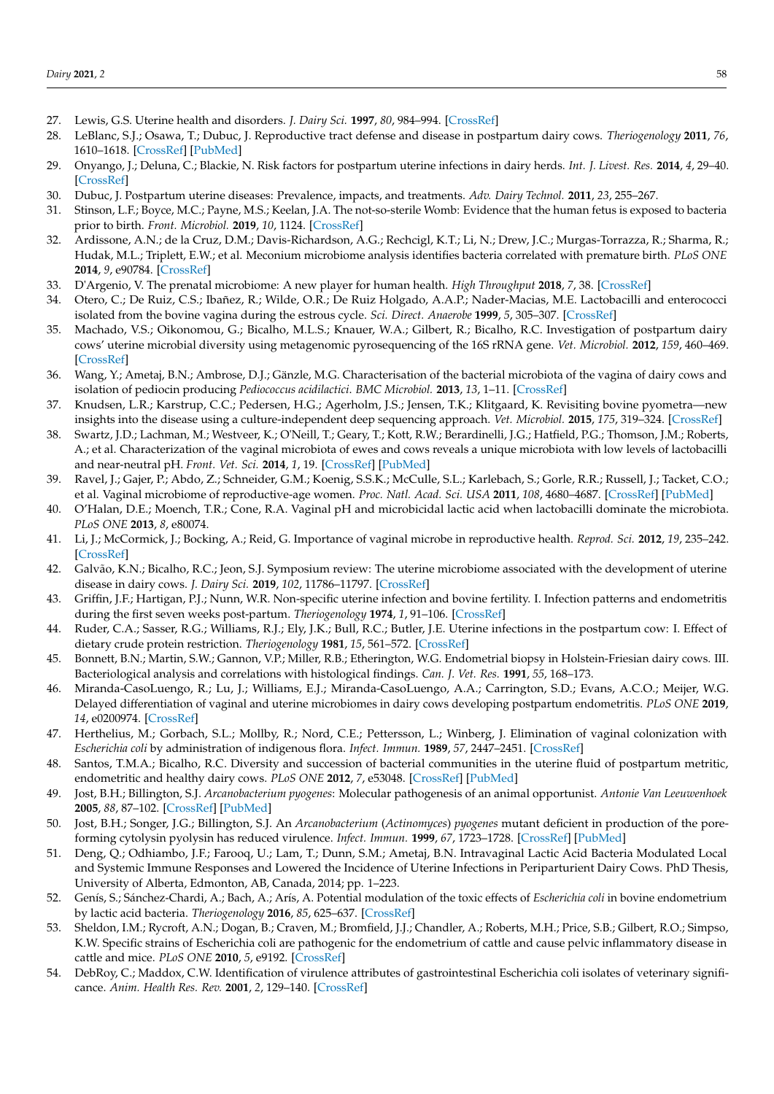- <span id="page-18-0"></span>27. Lewis, G.S. Uterine health and disorders. *J. Dairy Sci.* **1997**, *80*, 984–994. [\[CrossRef\]](http://doi.org/10.3168/jds.S0022-0302(97)76024-7)
- 28. LeBlanc, S.J.; Osawa, T.; Dubuc, J. Reproductive tract defense and disease in postpartum dairy cows. *Theriogenology* **2011**, *76*, 1610–1618. [\[CrossRef\]](http://doi.org/10.1016/j.theriogenology.2011.07.017) [\[PubMed\]](http://www.ncbi.nlm.nih.gov/pubmed/21890187)
- <span id="page-18-1"></span>29. Onyango, J.; Deluna, C.; Blackie, N. Risk factors for postpartum uterine infections in dairy herds. *Int. J. Livest. Res.* **2014**, *4*, 29–40. [\[CrossRef\]](http://doi.org/10.5455/ijlr.20140512103231)
- <span id="page-18-2"></span>30. Dubuc, J. Postpartum uterine diseases: Prevalence, impacts, and treatments. *Adv. Dairy Technol.* **2011**, *23*, 255–267.
- <span id="page-18-3"></span>31. Stinson, L.F.; Boyce, M.C.; Payne, M.S.; Keelan, J.A. The not-so-sterile Womb: Evidence that the human fetus is exposed to bacteria prior to birth. *Front. Microbiol.* **2019**, *10*, 1124. [\[CrossRef\]](http://doi.org/10.3389/fmicb.2019.01124)
- <span id="page-18-4"></span>32. Ardissone, A.N.; de la Cruz, D.M.; Davis-Richardson, A.G.; Rechcigl, K.T.; Li, N.; Drew, J.C.; Murgas-Torrazza, R.; Sharma, R.; Hudak, M.L.; Triplett, E.W.; et al. Meconium microbiome analysis identifies bacteria correlated with premature birth. *PLoS ONE* **2014**, *9*, e90784. [\[CrossRef\]](http://doi.org/10.1371/journal.pone.0090784)
- <span id="page-18-5"></span>33. D'Argenio, V. The prenatal microbiome: A new player for human health. *High Throughput* **2018**, *7*, 38. [\[CrossRef\]](http://doi.org/10.3390/ht7040038)
- <span id="page-18-6"></span>34. Otero, C.; De Ruiz, C.S.; Ibañez, R.; Wilde, O.R.; De Ruiz Holgado, A.A.P.; Nader-Macias, M.E. Lactobacilli and enterococci isolated from the bovine vagina during the estrous cycle. *Sci. Direct. Anaerobe* **1999**, *5*, 305–307. [\[CrossRef\]](http://doi.org/10.1006/anae.1999.0245)
- <span id="page-18-7"></span>35. Machado, V.S.; Oikonomou, G.; Bicalho, M.L.S.; Knauer, W.A.; Gilbert, R.; Bicalho, R.C. Investigation of postpartum dairy cows' uterine microbial diversity using metagenomic pyrosequencing of the 16S rRNA gene. *Vet. Microbiol.* **2012**, *159*, 460–469. [\[CrossRef\]](http://doi.org/10.1016/j.vetmic.2012.04.033)
- <span id="page-18-8"></span>36. Wang, Y.; Ametaj, B.N.; Ambrose, D.J.; Gänzle, M.G. Characterisation of the bacterial microbiota of the vagina of dairy cows and isolation of pediocin producing *Pediococcus acidilactici*. *BMC Microbiol.* **2013**, *13*, 1–11. [\[CrossRef\]](http://doi.org/10.1186/1471-2180-13-19)
- <span id="page-18-9"></span>37. Knudsen, L.R.; Karstrup, C.C.; Pedersen, H.G.; Agerholm, J.S.; Jensen, T.K.; Klitgaard, K. Revisiting bovine pyometra—new insights into the disease using a culture-independent deep sequencing approach. *Vet. Microbiol.* **2015**, *175*, 319–324. [\[CrossRef\]](http://doi.org/10.1016/j.vetmic.2014.12.006)
- <span id="page-18-10"></span>38. Swartz, J.D.; Lachman, M.; Westveer, K.; O'Neill, T.; Geary, T.; Kott, R.W.; Berardinelli, J.G.; Hatfield, P.G.; Thomson, J.M.; Roberts, A.; et al. Characterization of the vaginal microbiota of ewes and cows reveals a unique microbiota with low levels of lactobacilli and near-neutral pH. *Front. Vet. Sci.* **2014**, *1*, 19. [\[CrossRef\]](http://doi.org/10.3389/fvets.2014.00019) [\[PubMed\]](http://www.ncbi.nlm.nih.gov/pubmed/26664918)
- <span id="page-18-11"></span>39. Ravel, J.; Gajer, P.; Abdo, Z.; Schneider, G.M.; Koenig, S.S.K.; McCulle, S.L.; Karlebach, S.; Gorle, R.R.; Russell, J.; Tacket, C.O.; et al. Vaginal microbiome of reproductive-age women. *Proc. Natl. Acad. Sci. USA* **2011**, *108*, 4680–4687. [\[CrossRef\]](http://doi.org/10.1073/pnas.1002611107) [\[PubMed\]](http://www.ncbi.nlm.nih.gov/pubmed/20534435)
- <span id="page-18-12"></span>40. O'Halan, D.E.; Moench, T.R.; Cone, R.A. Vaginal pH and microbicidal lactic acid when lactobacilli dominate the microbiota. *PLoS ONE* **2013**, *8*, e80074.
- <span id="page-18-13"></span>41. Li, J.; McCormick, J.; Bocking, A.; Reid, G. Importance of vaginal microbe in reproductive health. *Reprod. Sci.* **2012**, *19*, 235–242. [\[CrossRef\]](http://doi.org/10.1177/1933719111418379)
- <span id="page-18-14"></span>42. Galvão, K.N.; Bicalho, R.C.; Jeon, S.J. Symposium review: The uterine microbiome associated with the development of uterine disease in dairy cows. *J. Dairy Sci.* **2019**, *102*, 11786–11797. [\[CrossRef\]](http://doi.org/10.3168/jds.2019-17106)
- 43. Griffin, J.F.; Hartigan, P.J.; Nunn, W.R. Non-specific uterine infection and bovine fertility. I. Infection patterns and endometritis during the first seven weeks post-partum. *Theriogenology* **1974**, *1*, 91–106. [\[CrossRef\]](http://doi.org/10.1016/0093-691X(74)90052-1)
- <span id="page-18-25"></span>44. Ruder, C.A.; Sasser, R.G.; Williams, R.J.; Ely, J.K.; Bull, R.C.; Butler, J.E. Uterine infections in the postpartum cow: I. Effect of dietary crude protein restriction. *Theriogenology* **1981**, *15*, 561–572. [\[CrossRef\]](http://doi.org/10.1016/0093-691X(81)90059-5)
- <span id="page-18-15"></span>45. Bonnett, B.N.; Martin, S.W.; Gannon, V.P.; Miller, R.B.; Etherington, W.G. Endometrial biopsy in Holstein-Friesian dairy cows. III. Bacteriological analysis and correlations with histological findings. *Can. J. Vet. Res.* **1991**, *55*, 168–173.
- <span id="page-18-16"></span>46. Miranda-CasoLuengo, R.; Lu, J.; Williams, E.J.; Miranda-CasoLuengo, A.A.; Carrington, S.D.; Evans, A.C.O.; Meijer, W.G. Delayed differentiation of vaginal and uterine microbiomes in dairy cows developing postpartum endometritis. *PLoS ONE* **2019**, *14*, e0200974. [\[CrossRef\]](http://doi.org/10.1371/journal.pone.0200974)
- <span id="page-18-17"></span>47. Herthelius, M.; Gorbach, S.L.; Mollby, R.; Nord, C.E.; Pettersson, L.; Winberg, J. Elimination of vaginal colonization with *Escherichia coli* by administration of indigenous flora. *Infect. Immun.* **1989**, *57*, 2447–2451. [\[CrossRef\]](http://doi.org/10.1128/IAI.57.8.2447-2451.1989)
- <span id="page-18-18"></span>48. Santos, T.M.A.; Bicalho, R.C. Diversity and succession of bacterial communities in the uterine fluid of postpartum metritic, endometritic and healthy dairy cows. *PLoS ONE* **2012**, *7*, e53048. [\[CrossRef\]](http://doi.org/10.1371/journal.pone.0053048) [\[PubMed\]](http://www.ncbi.nlm.nih.gov/pubmed/23300859)
- <span id="page-18-19"></span>49. Jost, B.H.; Billington, S.J. *Arcanobacterium pyogenes*: Molecular pathogenesis of an animal opportunist. *Antonie Van Leeuwenhoek* **2005**, *88*, 87–102. [\[CrossRef\]](http://doi.org/10.1007/s10482-005-2316-5) [\[PubMed\]](http://www.ncbi.nlm.nih.gov/pubmed/16096685)
- <span id="page-18-20"></span>50. Jost, B.H.; Songer, J.G.; Billington, S.J. An *Arcanobacterium* (*Actinomyces*) *pyogenes* mutant deficient in production of the poreforming cytolysin pyolysin has reduced virulence. *Infect. Immun.* **1999**, *67*, 1723–1728. [\[CrossRef\]](http://doi.org/10.1128/IAI.67.4.1723-1728.1999) [\[PubMed\]](http://www.ncbi.nlm.nih.gov/pubmed/10085010)
- <span id="page-18-21"></span>51. Deng, Q.; Odhiambo, J.F.; Farooq, U.; Lam, T.; Dunn, S.M.; Ametaj, B.N. Intravaginal Lactic Acid Bacteria Modulated Local and Systemic Immune Responses and Lowered the Incidence of Uterine Infections in Periparturient Dairy Cows. PhD Thesis, University of Alberta, Edmonton, AB, Canada, 2014; pp. 1–223.
- <span id="page-18-22"></span>52. Genís, S.; Sánchez-Chardi, A.; Bach, A.; Arís, A. Potential modulation of the toxic effects of *Escherichia coli* in bovine endometrium by lactic acid bacteria. *Theriogenology* **2016**, *85*, 625–637. [\[CrossRef\]](http://doi.org/10.1016/j.theriogenology.2015.09.054)
- <span id="page-18-23"></span>53. Sheldon, I.M.; Rycroft, A.N.; Dogan, B.; Craven, M.; Bromfield, J.J.; Chandler, A.; Roberts, M.H.; Price, S.B.; Gilbert, R.O.; Simpso, K.W. Specific strains of Escherichia coli are pathogenic for the endometrium of cattle and cause pelvic inflammatory disease in cattle and mice. *PLoS ONE* **2010**, *5*, e9192. [\[CrossRef\]](http://doi.org/10.1371/journal.pone.0009192)
- <span id="page-18-24"></span>54. DebRoy, C.; Maddox, C.W. Identification of virulence attributes of gastrointestinal Escherichia coli isolates of veterinary significance. *Anim. Health Res. Rev.* **2001**, *2*, 129–140. [\[CrossRef\]](http://doi.org/10.1079/AHRR200131)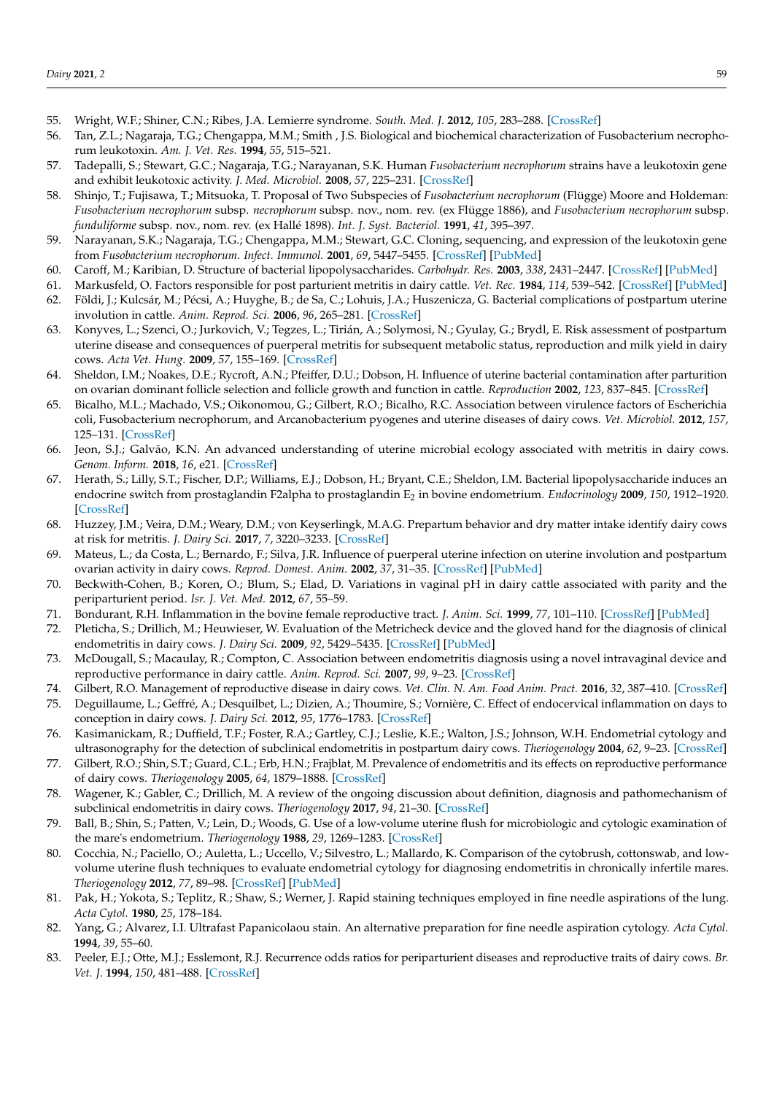- <span id="page-19-0"></span>55. Wright, W.F.; Shiner, C.N.; Ribes, J.A. Lemierre syndrome. *South. Med. J.* **2012**, *105*, 283–288. [\[CrossRef\]](http://doi.org/10.1097/SMJ.0b013e31825581ef)
- <span id="page-19-1"></span>56. Tan, Z.L.; Nagaraja, T.G.; Chengappa, M.M.; Smith , J.S. Biological and biochemical characterization of Fusobacterium necrophorum leukotoxin. *Am. J. Vet. Res.* **1994**, *55*, 515–521.
- <span id="page-19-2"></span>57. Tadepalli, S.; Stewart, G.C.; Nagaraja, T.G.; Narayanan, S.K. Human *Fusobacterium necrophorum* strains have a leukotoxin gene and exhibit leukotoxic activity. *J. Med. Microbiol.* **2008**, *57*, 225–231. [\[CrossRef\]](http://doi.org/10.1099/jmm.0.47598-0)
- <span id="page-19-3"></span>58. Shinjo, T.; Fujisawa, T.; Mitsuoka, T. Proposal of Two Subspecies of *Fusobacterium necrophorum* (Flügge) Moore and Holdeman: *Fusobacterium necrophorum* subsp. *necrophorum* subsp. nov., nom. rev. (ex Flügge 1886), and *Fusobacterium necrophorum* subsp. *funduliforme* subsp. nov., nom. rev. (ex Hallé 1898). *Int. J. Syst. Bacteriol.* **1991**, *41*, 395–397.
- <span id="page-19-4"></span>59. Narayanan, S.K.; Nagaraja, T.G.; Chengappa, M.M.; Stewart, G.C. Cloning, sequencing, and expression of the leukotoxin gene from *Fusobacterium necrophorum*. *Infect. Immunol.* **2001**, *69*, 5447–5455. [\[CrossRef\]](http://doi.org/10.1128/IAI.69.9.5447-5455.2001) [\[PubMed\]](http://www.ncbi.nlm.nih.gov/pubmed/11500416)
- <span id="page-19-5"></span>60. Caroff, M.; Karibian, D. Structure of bacterial lipopolysaccharides. *Carbohydr. Res.* **2003**, *338*, 2431–2447. [\[CrossRef\]](http://doi.org/10.1016/j.carres.2003.07.010) [\[PubMed\]](http://www.ncbi.nlm.nih.gov/pubmed/14670707)
- <span id="page-19-6"></span>61. Markusfeld, O. Factors responsible for post parturient metritis in dairy cattle. *Vet. Rec.* **1984**, *114*, 539–542. [\[CrossRef\]](http://doi.org/10.1136/vr.114.22.539) [\[PubMed\]](http://www.ncbi.nlm.nih.gov/pubmed/6464315)
- 62. Földi, J.; Kulcsár, M.; Pécsi, A.; Huyghe, B.; de Sa, C.; Lohuis, J.A.; Huszenicza, G. Bacterial complications of postpartum uterine involution in cattle. *Anim. Reprod. Sci.* **2006**, *96*, 265–281. [\[CrossRef\]](http://doi.org/10.1016/j.anireprosci.2006.08.006)
- <span id="page-19-7"></span>63. Konyves, L.; Szenci, O.; Jurkovich, V.; Tegzes, L.; Tirián, A.; Solymosi, N.; Gyulay, G.; Brydl, E. Risk assessment of postpartum uterine disease and consequences of puerperal metritis for subsequent metabolic status, reproduction and milk yield in dairy cows. *Acta Vet. Hung.* **2009**, *57*, 155–169. [\[CrossRef\]](http://doi.org/10.1556/avet.57.2009.1.16)
- <span id="page-19-8"></span>64. Sheldon, I.M.; Noakes, D.E.; Rycroft, A.N.; Pfeiffer, D.U.; Dobson, H. Influence of uterine bacterial contamination after parturition on ovarian dominant follicle selection and follicle growth and function in cattle. *Reproduction* **2002**, *123*, 837–845. [\[CrossRef\]](http://doi.org/10.1530/rep.0.1230837)
- <span id="page-19-9"></span>65. Bicalho, M.L.; Machado, V.S.; Oikonomou, G.; Gilbert, R.O.; Bicalho, R.C. Association between virulence factors of Escherichia coli, Fusobacterium necrophorum, and Arcanobacterium pyogenes and uterine diseases of dairy cows. *Vet. Microbiol.* **2012**, *157*, 125–131. [\[CrossRef\]](http://doi.org/10.1016/j.vetmic.2011.11.034)
- <span id="page-19-10"></span>66. Jeon, S.J.; Galvão, K.N. An advanced understanding of uterine microbial ecology associated with metritis in dairy cows. *Genom. Inform.* **2018**, *16*, e21. [\[CrossRef\]](http://doi.org/10.5808/GI.2018.16.4.e21)
- <span id="page-19-11"></span>67. Herath, S.; Lilly, S.T.; Fischer, D.P.; Williams, E.J.; Dobson, H.; Bryant, C.E.; Sheldon, I.M. Bacterial lipopolysaccharide induces an endocrine switch from prostaglandin F2alpha to prostaglandin E<sup>2</sup> in bovine endometrium. *Endocrinology* **2009**, *150*, 1912–1920. [\[CrossRef\]](http://doi.org/10.1210/en.2008-1379)
- <span id="page-19-12"></span>68. Huzzey, J.M.; Veira, D.M.; Weary, D.M.; von Keyserlingk, M.A.G. Prepartum behavior and dry matter intake identify dairy cows at risk for metritis. *J. Dairy Sci.* **2017**, *7*, 3220–3233. [\[CrossRef\]](http://doi.org/10.3168/jds.2006-807)
- <span id="page-19-13"></span>69. Mateus, L.; da Costa, L.; Bernardo, F.; Silva, J.R. Influence of puerperal uterine infection on uterine involution and postpartum ovarian activity in dairy cows. *Reprod. Domest. Anim.* **2002**, *37*, 31–35. [\[CrossRef\]](http://doi.org/10.1046/j.1439-0531.2002.00317.x) [\[PubMed\]](http://www.ncbi.nlm.nih.gov/pubmed/11882243)
- <span id="page-19-14"></span>70. Beckwith-Cohen, B.; Koren, O.; Blum, S.; Elad, D. Variations in vaginal pH in dairy cattle associated with parity and the periparturient period. *Isr. J. Vet. Med.* **2012**, *67*, 55–59.
- <span id="page-19-15"></span>71. Bondurant, R.H. Inflammation in the bovine female reproductive tract. *J. Anim. Sci.* **1999**, *77*, 101–110. [\[CrossRef\]](http://doi.org/10.2527/1999.77suppl_2101x) [\[PubMed\]](http://www.ncbi.nlm.nih.gov/pubmed/15526785)
- <span id="page-19-16"></span>72. Pleticha, S.; Drillich, M.; Heuwieser, W. Evaluation of the Metricheck device and the gloved hand for the diagnosis of clinical endometritis in dairy cows. *J. Dairy Sci.* **2009**, *92*, 5429–5435. [\[CrossRef\]](http://doi.org/10.3168/jds.2009-2117) [\[PubMed\]](http://www.ncbi.nlm.nih.gov/pubmed/19841205)
- <span id="page-19-17"></span>73. McDougall, S.; Macaulay, R.; Compton, C. Association between endometritis diagnosis using a novel intravaginal device and reproductive performance in dairy cattle. *Anim. Reprod. Sci.* **2007**, *99*, 9–23. [\[CrossRef\]](http://doi.org/10.1016/j.anireprosci.2006.03.017)
- <span id="page-19-18"></span>74. Gilbert, R.O. Management of reproductive disease in dairy cows. *Vet. Clin. N. Am. Food Anim. Pract.* **2016**, *32*, 387–410. [\[CrossRef\]](http://doi.org/10.1016/j.cvfa.2016.01.009)
- <span id="page-19-19"></span>75. Deguillaume, L.; Geffré, A.; Desquilbet, L.; Dizien, A.; Thoumire, S.; Vornière, C. Effect of endocervical inflammation on days to conception in dairy cows. *J. Dairy Sci.* **2012**, *95*, 1776–1783. [\[CrossRef\]](http://doi.org/10.3168/jds.2011-4602)
- <span id="page-19-20"></span>76. Kasimanickam, R.; Duffield, T.F.; Foster, R.A.; Gartley, C.J.; Leslie, K.E.; Walton, J.S.; Johnson, W.H. Endometrial cytology and ultrasonography for the detection of subclinical endometritis in postpartum dairy cows. *Theriogenology* **2004**, *62*, 9–23. [\[CrossRef\]](http://doi.org/10.1016/j.theriogenology.2003.03.001)
- <span id="page-19-21"></span>77. Gilbert, R.O.; Shin, S.T.; Guard, C.L.; Erb, H.N.; Frajblat, M. Prevalence of endometritis and its effects on reproductive performance of dairy cows. *Theriogenology* **2005**, *64*, 1879–1888. [\[CrossRef\]](http://doi.org/10.1016/j.theriogenology.2005.04.022)
- <span id="page-19-22"></span>78. Wagener, K.; Gabler, C.; Drillich, M. A review of the ongoing discussion about definition, diagnosis and pathomechanism of subclinical endometritis in dairy cows. *Theriogenology* **2017**, *94*, 21–30. [\[CrossRef\]](http://doi.org/10.1016/j.theriogenology.2017.02.005)
- <span id="page-19-23"></span>79. Ball, B.; Shin, S.; Patten, V.; Lein, D.; Woods, G. Use of a low-volume uterine flush for microbiologic and cytologic examination of the mare's endometrium. *Theriogenology* **1988**, *29*, 1269–1283. [\[CrossRef\]](http://doi.org/10.1016/0093-691X(88)90007-6)
- <span id="page-19-24"></span>80. Cocchia, N.; Paciello, O.; Auletta, L.; Uccello, V.; Silvestro, L.; Mallardo, K. Comparison of the cytobrush, cottonswab, and lowvolume uterine flush techniques to evaluate endometrial cytology for diagnosing endometritis in chronically infertile mares. *Theriogenology* **2012**, *77*, 89–98. [\[CrossRef\]](http://doi.org/10.1016/j.theriogenology.2011.07.020) [\[PubMed\]](http://www.ncbi.nlm.nih.gov/pubmed/21855980)
- <span id="page-19-25"></span>81. Pak, H.; Yokota, S.; Teplitz, R.; Shaw, S.; Werner, J. Rapid staining techniques employed in fine needle aspirations of the lung. *Acta Cytol.* **1980**, *25*, 178–184.
- <span id="page-19-26"></span>82. Yang, G.; Alvarez, I.I. Ultrafast Papanicolaou stain. An alternative preparation for fine needle aspiration cytology. *Acta Cytol.* **1994**, *39*, 55–60.
- <span id="page-19-27"></span>83. Peeler, E.J.; Otte, M.J.; Esslemont, R.J. Recurrence odds ratios for periparturient diseases and reproductive traits of dairy cows. *Br. Vet. J.* **1994**, *150*, 481–488. [\[CrossRef\]](http://doi.org/10.1016/S0007-1935(05)80201-5)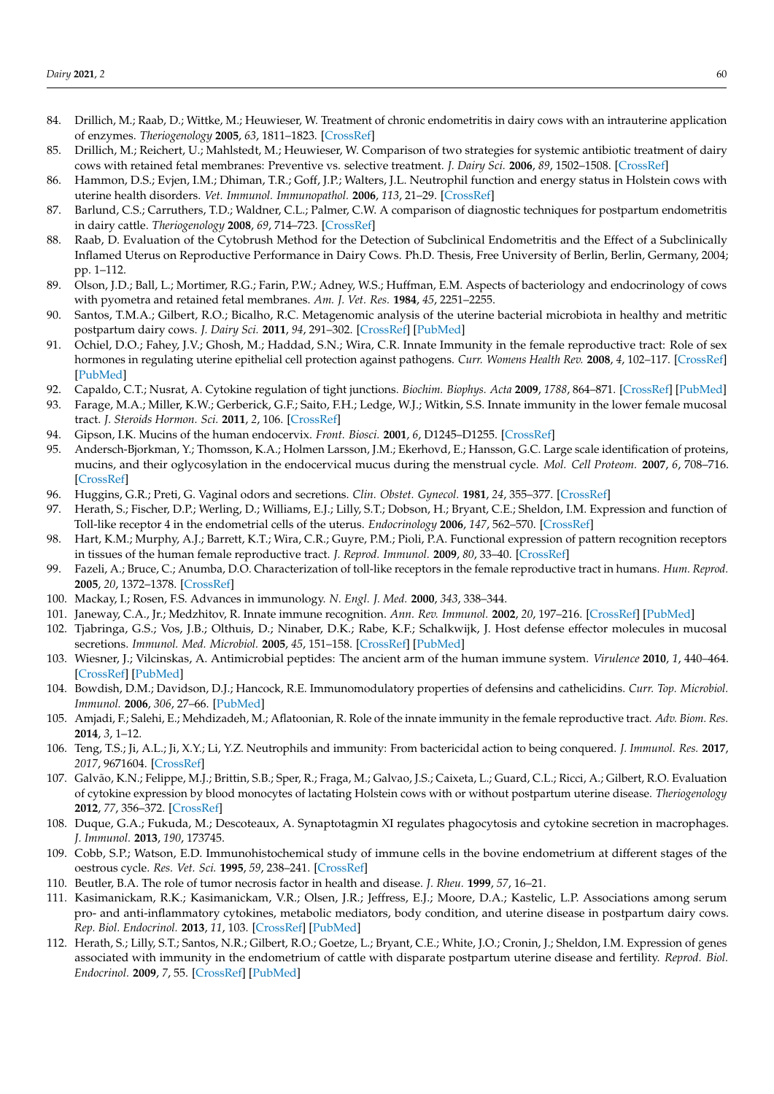- 84. Drillich, M.; Raab, D.; Wittke, M.; Heuwieser, W. Treatment of chronic endometritis in dairy cows with an intrauterine application of enzymes. *Theriogenology* **2005**, *63*, 1811–1823. [\[CrossRef\]](http://doi.org/10.1016/j.theriogenology.2004.05.031)
- <span id="page-20-0"></span>85. Drillich, M.; Reichert, U.; Mahlstedt, M.; Heuwieser, W. Comparison of two strategies for systemic antibiotic treatment of dairy cows with retained fetal membranes: Preventive vs. selective treatment. *J. Dairy Sci.* **2006**, *89*, 1502–1508. [\[CrossRef\]](http://doi.org/10.3168/jds.S0022-0302(06)72217-2)
- <span id="page-20-1"></span>86. Hammon, D.S.; Evjen, I.M.; Dhiman, T.R.; Goff, J.P.; Walters, J.L. Neutrophil function and energy status in Holstein cows with uterine health disorders. *Vet. Immunol. Immunopathol.* **2006**, *113*, 21–29. [\[CrossRef\]](http://doi.org/10.1016/j.vetimm.2006.03.022)
- <span id="page-20-2"></span>87. Barlund, C.S.; Carruthers, T.D.; Waldner, C.L.; Palmer, C.W. A comparison of diagnostic techniques for postpartum endometritis in dairy cattle. *Theriogenology* **2008**, *69*, 714–723. [\[CrossRef\]](http://doi.org/10.1016/j.theriogenology.2007.12.005)
- <span id="page-20-3"></span>88. Raab, D. Evaluation of the Cytobrush Method for the Detection of Subclinical Endometritis and the Effect of a Subclinically Inflamed Uterus on Reproductive Performance in Dairy Cows. Ph.D. Thesis, Free University of Berlin, Berlin, Germany, 2004; pp. 1–112.
- <span id="page-20-4"></span>89. Olson, J.D.; Ball, L.; Mortimer, R.G.; Farin, P.W.; Adney, W.S.; Huffman, E.M. Aspects of bacteriology and endocrinology of cows with pyometra and retained fetal membranes. *Am. J. Vet. Res.* **1984**, *45*, 2251–2255.
- <span id="page-20-5"></span>90. Santos, T.M.A.; Gilbert, R.O.; Bicalho, R.C. Metagenomic analysis of the uterine bacterial microbiota in healthy and metritic postpartum dairy cows. *J. Dairy Sci.* **2011**, *94*, 291–302. [\[CrossRef\]](http://doi.org/10.3168/jds.2010-3668) [\[PubMed\]](http://www.ncbi.nlm.nih.gov/pubmed/21183039)
- <span id="page-20-6"></span>91. Ochiel, D.O.; Fahey, J.V.; Ghosh, M.; Haddad, S.N.; Wira, C.R. Innate Immunity in the female reproductive tract: Role of sex hormones in regulating uterine epithelial cell protection against pathogens. *Curr. Womens Health Rev.* **2008**, *4*, 102–117. [\[CrossRef\]](http://doi.org/10.2174/157340408784246395) [\[PubMed\]](http://www.ncbi.nlm.nih.gov/pubmed/19644567)
- <span id="page-20-7"></span>92. Capaldo, C.T.; Nusrat, A. Cytokine regulation of tight junctions. *Biochim. Biophys. Acta* **2009**, *1788*, 864–871. [\[CrossRef\]](http://doi.org/10.1016/j.bbamem.2008.08.027) [\[PubMed\]](http://www.ncbi.nlm.nih.gov/pubmed/18952050)
- <span id="page-20-8"></span>93. Farage, M.A.; Miller, K.W.; Gerberick, G.F.; Saito, F.H.; Ledge, W.J.; Witkin, S.S. Innate immunity in the lower female mucosal tract. *J. Steroids Hormon. Sci.* **2011**, *2*, 106. [\[CrossRef\]](http://doi.org/10.4172/2157-7536.1000106)
- <span id="page-20-9"></span>94. Gipson, I.K. Mucins of the human endocervix. *Front. Biosci.* **2001**, *6*, D1245–D1255. [\[CrossRef\]](http://doi.org/10.2741/A677)
- <span id="page-20-10"></span>95. Andersch-Bjorkman, Y.; Thomsson, K.A.; Holmen Larsson, J.M.; Ekerhovd, E.; Hansson, G.C. Large scale identification of proteins, mucins, and their oglycosylation in the endocervical mucus during the menstrual cycle. *Mol. Cell Proteom.* **2007**, *6*, 708–716. [\[CrossRef\]](http://doi.org/10.1074/mcp.M600439-MCP200)
- <span id="page-20-11"></span>96. Huggins, G.R.; Preti, G. Vaginal odors and secretions. *Clin. Obstet. Gynecol.* **1981**, *24*, 355–377. [\[CrossRef\]](http://doi.org/10.1097/00003081-198106000-00005)
- <span id="page-20-12"></span>97. Herath, S.; Fischer, D.P.; Werling, D.; Williams, E.J.; Lilly, S.T.; Dobson, H.; Bryant, C.E.; Sheldon, I.M. Expression and function of Toll-like receptor 4 in the endometrial cells of the uterus. *Endocrinology* **2006**, *147*, 562–570. [\[CrossRef\]](http://doi.org/10.1210/en.2005-1113)
- <span id="page-20-13"></span>98. Hart, K.M.; Murphy, A.J.; Barrett, K.T.; Wira, C.R.; Guyre, P.M.; Pioli, P.A. Functional expression of pattern recognition receptors in tissues of the human female reproductive tract. *J. Reprod. Immunol.* **2009**, *80*, 33–40. [\[CrossRef\]](http://doi.org/10.1016/j.jri.2008.12.004)
- <span id="page-20-14"></span>99. Fazeli, A.; Bruce, C.; Anumba, D.O. Characterization of toll-like receptors in the female reproductive tract in humans. *Hum. Reprod.* **2005**, *20*, 1372–1378. [\[CrossRef\]](http://doi.org/10.1093/humrep/deh775)
- <span id="page-20-15"></span>100. Mackay, I.; Rosen, F.S. Advances in immunology. *N. Engl. J. Med.* **2000**, *343*, 338–344.
- <span id="page-20-16"></span>101. Janeway, C.A., Jr.; Medzhitov, R. Innate immune recognition. *Ann. Rev. Immunol.* **2002**, *20*, 197–216. [\[CrossRef\]](http://doi.org/10.1146/annurev.immunol.20.083001.084359) [\[PubMed\]](http://www.ncbi.nlm.nih.gov/pubmed/11861602)
- <span id="page-20-17"></span>102. Tjabringa, G.S.; Vos, J.B.; Olthuis, D.; Ninaber, D.K.; Rabe, K.F.; Schalkwijk, J. Host defense effector molecules in mucosal secretions. *Immunol. Med. Microbiol.* **2005**, *45*, 151–158. [\[CrossRef\]](http://doi.org/10.1016/j.femsim.2005.03.004) [\[PubMed\]](http://www.ncbi.nlm.nih.gov/pubmed/16051067)
- <span id="page-20-18"></span>103. Wiesner, J.; Vilcinskas, A. Antimicrobial peptides: The ancient arm of the human immune system. *Virulence* **2010**, *1*, 440–464. [\[CrossRef\]](http://doi.org/10.4161/viru.1.5.12983) [\[PubMed\]](http://www.ncbi.nlm.nih.gov/pubmed/21178486)
- <span id="page-20-19"></span>104. Bowdish, D.M.; Davidson, D.J.; Hancock, R.E. Immunomodulatory properties of defensins and cathelicidins. *Curr. Top. Microbiol. Immunol.* **2006**, *306*, 27–66. [\[PubMed\]](http://www.ncbi.nlm.nih.gov/pubmed/16909917)
- <span id="page-20-20"></span>105. Amjadi, F.; Salehi, E.; Mehdizadeh, M.; Aflatoonian, R. Role of the innate immunity in the female reproductive tract. *Adv. Biom. Res.* **2014**, *3*, 1–12.
- <span id="page-20-21"></span>106. Teng, T.S.; Ji, A.L.; Ji, X.Y.; Li, Y.Z. Neutrophils and immunity: From bactericidal action to being conquered. *J. Immunol. Res.* **2017**, *2017*, 9671604. [\[CrossRef\]](http://doi.org/10.1155/2017/9671604)
- <span id="page-20-22"></span>107. Galvão, K.N.; Felippe, M.J.; Brittin, S.B.; Sper, R.; Fraga, M.; Galvao, J.S.; Caixeta, L.; Guard, C.L.; Ricci, A.; Gilbert, R.O. Evaluation of cytokine expression by blood monocytes of lactating Holstein cows with or without postpartum uterine disease. *Theriogenology* **2012**, *77*, 356–372. [\[CrossRef\]](http://doi.org/10.1016/j.theriogenology.2011.08.008)
- <span id="page-20-23"></span>108. Duque, G.A.; Fukuda, M.; Descoteaux, A. Synaptotagmin XI regulates phagocytosis and cytokine secretion in macrophages. *J. Immunol.* **2013**, *190*, 173745.
- <span id="page-20-24"></span>109. Cobb, S.P.; Watson, E.D. Immunohistochemical study of immune cells in the bovine endometrium at different stages of the oestrous cycle. *Res. Vet. Sci.* **1995**, *59*, 238–241. [\[CrossRef\]](http://doi.org/10.1016/0034-5288(95)90010-1)
- <span id="page-20-25"></span>110. Beutler, B.A. The role of tumor necrosis factor in health and disease. *J. Rheu.* **1999**, *57*, 16–21.
- <span id="page-20-26"></span>111. Kasimanickam, R.K.; Kasimanickam, V.R.; Olsen, J.R.; Jeffress, E.J.; Moore, D.A.; Kastelic, L.P. Associations among serum pro- and anti-inflammatory cytokines, metabolic mediators, body condition, and uterine disease in postpartum dairy cows. *Rep. Biol. Endocrinol.* **2013**, *11*, 103. [\[CrossRef\]](http://doi.org/10.1186/1477-7827-11-103) [\[PubMed\]](http://www.ncbi.nlm.nih.gov/pubmed/24209779)
- <span id="page-20-27"></span>112. Herath, S.; Lilly, S.T.; Santos, N.R.; Gilbert, R.O.; Goetze, L.; Bryant, C.E.; White, J.O.; Cronin, J.; Sheldon, I.M. Expression of genes associated with immunity in the endometrium of cattle with disparate postpartum uterine disease and fertility. *Reprod. Biol. Endocrinol.* **2009**, *7*, 55. [\[CrossRef\]](http://doi.org/10.1186/1477-7827-7-55) [\[PubMed\]](http://www.ncbi.nlm.nih.gov/pubmed/19476661)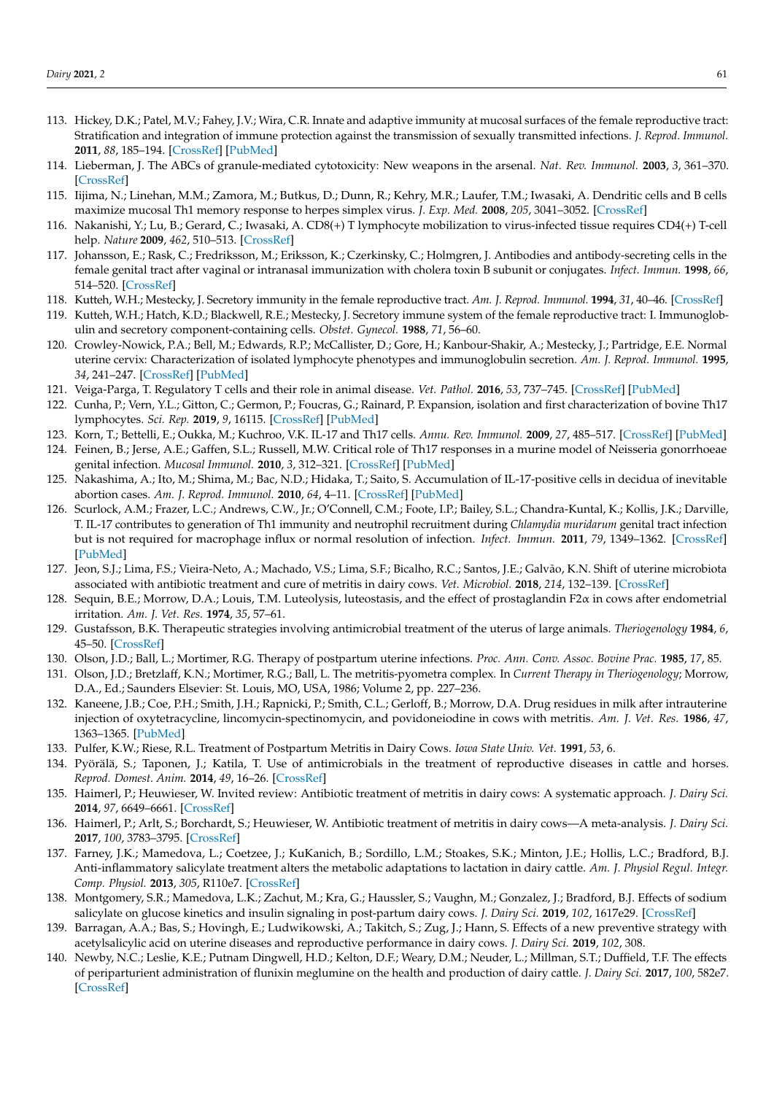- <span id="page-21-0"></span>113. Hickey, D.K.; Patel, M.V.; Fahey, J.V.; Wira, C.R. Innate and adaptive immunity at mucosal surfaces of the female reproductive tract: Stratification and integration of immune protection against the transmission of sexually transmitted infections. *J. Reprod. Immunol.* **2011**, *88*, 185–194. [\[CrossRef\]](http://doi.org/10.1016/j.jri.2011.01.005) [\[PubMed\]](http://www.ncbi.nlm.nih.gov/pubmed/21353708)
- <span id="page-21-1"></span>114. Lieberman, J. The ABCs of granule-mediated cytotoxicity: New weapons in the arsenal. *Nat. Rev. Immunol.* **2003**, *3*, 361–370. [\[CrossRef\]](http://doi.org/10.1038/nri1083)
- <span id="page-21-2"></span>115. Iijima, N.; Linehan, M.M.; Zamora, M.; Butkus, D.; Dunn, R.; Kehry, M.R.; Laufer, T.M.; Iwasaki, A. Dendritic cells and B cells maximize mucosal Th1 memory response to herpes simplex virus. *J. Exp. Med.* **2008**, *205*, 3041–3052. [\[CrossRef\]](http://doi.org/10.1084/jem.20082039)
- <span id="page-21-3"></span>116. Nakanishi, Y.; Lu, B.; Gerard, C.; Iwasaki, A. CD8(+) T lymphocyte mobilization to virus-infected tissue requires CD4(+) T-cell help. *Nature* **2009**, *462*, 510–513. [\[CrossRef\]](http://doi.org/10.1038/nature08511)
- <span id="page-21-4"></span>117. Johansson, E.; Rask, C.; Fredriksson, M.; Eriksson, K.; Czerkinsky, C.; Holmgren, J. Antibodies and antibody-secreting cells in the female genital tract after vaginal or intranasal immunization with cholera toxin B subunit or conjugates. *Infect. Immun.* **1998**, *66*, 514–520. [\[CrossRef\]](http://doi.org/10.1128/IAI.66.2.514-520.1998)
- <span id="page-21-5"></span>118. Kutteh, W.H.; Mestecky, J. Secretory immunity in the female reproductive tract. *Am. J. Reprod. Immunol.* **1994**, *31*, 40–46. [\[CrossRef\]](http://doi.org/10.1111/j.1600-0897.1994.tb00845.x)
- <span id="page-21-6"></span>119. Kutteh, W.H.; Hatch, K.D.; Blackwell, R.E.; Mestecky, J. Secretory immune system of the female reproductive tract: I. Immunoglobulin and secretory component-containing cells. *Obstet. Gynecol.* **1988**, *71*, 56–60.
- <span id="page-21-7"></span>120. Crowley-Nowick, P.A.; Bell, M.; Edwards, R.P.; McCallister, D.; Gore, H.; Kanbour-Shakir, A.; Mestecky, J.; Partridge, E.E. Normal uterine cervix: Characterization of isolated lymphocyte phenotypes and immunoglobulin secretion. *Am. J. Reprod. Immunol.* **1995**, *34*, 241–247. [\[CrossRef\]](http://doi.org/10.1111/j.1600-0897.1995.tb00948.x) [\[PubMed\]](http://www.ncbi.nlm.nih.gov/pubmed/8579762)
- <span id="page-21-8"></span>121. Veiga-Parga, T. Regulatory T cells and their role in animal disease. *Vet. Pathol.* **2016**, *53*, 737–745. [\[CrossRef\]](http://doi.org/10.1177/0300985816629719) [\[PubMed\]](http://www.ncbi.nlm.nih.gov/pubmed/26945003)
- <span id="page-21-9"></span>122. Cunha, P.; Vern, Y.L.; Gitton, C.; Germon, P.; Foucras, G.; Rainard, P. Expansion, isolation and first characterization of bovine Th17 lymphocytes. *Sci. Rep.* **2019**, *9*, 16115. [\[CrossRef\]](http://doi.org/10.1038/s41598-019-52562-2) [\[PubMed\]](http://www.ncbi.nlm.nih.gov/pubmed/31695097)
- <span id="page-21-10"></span>123. Korn, T.; Bettelli, E.; Oukka, M.; Kuchroo, V.K. IL-17 and Th17 cells. *Annu. Rev. Immunol.* **2009**, *27*, 485–517. [\[CrossRef\]](http://doi.org/10.1146/annurev.immunol.021908.132710) [\[PubMed\]](http://www.ncbi.nlm.nih.gov/pubmed/19132915)
- <span id="page-21-11"></span>124. Feinen, B.; Jerse, A.E.; Gaffen, S.L.; Russell, M.W. Critical role of Th17 responses in a murine model of Neisseria gonorrhoeae genital infection. *Mucosal Immunol.* **2010**, *3*, 312–321. [\[CrossRef\]](http://doi.org/10.1038/mi.2009.139) [\[PubMed\]](http://www.ncbi.nlm.nih.gov/pubmed/20107432)
- <span id="page-21-12"></span>125. Nakashima, A.; Ito, M.; Shima, M.; Bac, N.D.; Hidaka, T.; Saito, S. Accumulation of IL-17-positive cells in decidua of inevitable abortion cases. *Am. J. Reprod. Immunol.* **2010**, *64*, 4–11. [\[CrossRef\]](http://doi.org/10.1111/j.1600-0897.2010.00812.x) [\[PubMed\]](http://www.ncbi.nlm.nih.gov/pubmed/20219063)
- <span id="page-21-13"></span>126. Scurlock, A.M.; Frazer, L.C.; Andrews, C.W., Jr.; O'Connell, C.M.; Foote, I.P.; Bailey, S.L.; Chandra-Kuntal, K.; Kollis, J.K.; Darville, T. IL-17 contributes to generation of Th1 immunity and neutrophil recruitment during *Chlamydia muridarum* genital tract infection but is not required for macrophage influx or normal resolution of infection. *Infect. Immun.* **2011**, *79*, 1349–1362. [\[CrossRef\]](http://doi.org/10.1128/IAI.00984-10) [\[PubMed\]](http://www.ncbi.nlm.nih.gov/pubmed/21149587)
- <span id="page-21-14"></span>127. Jeon, S.J.; Lima, F.S.; Vieira-Neto, A.; Machado, V.S.; Lima, S.F.; Bicalho, R.C.; Santos, J.E.; Galvão, K.N. Shift of uterine microbiota associated with antibiotic treatment and cure of metritis in dairy cows. *Vet. Microbiol.* **2018**, *214*, 132–139. [\[CrossRef\]](http://doi.org/10.1016/j.vetmic.2017.12.022)
- <span id="page-21-15"></span>128. Sequin, B.E.; Morrow, D.A.; Louis, T.M. Luteolysis, luteostasis, and the effect of prostaglandin F2α in cows after endometrial irritation. *Am. J. Vet. Res.* **1974**, *35*, 57–61.
- 129. Gustafsson, B.K. Therapeutic strategies involving antimicrobial treatment of the uterus of large animals. *Theriogenology* **1984**, *6*, 45–50. [\[CrossRef\]](http://doi.org/10.1016/0093-691X(76)90187-4)
- 130. Olson, J.D.; Ball, L.; Mortimer, R.G. Therapy of postpartum uterine infections. *Proc. Ann. Conv. Assoc. Bovine Prac.* **1985**, *17*, 85.
- 131. Olson, J.D.; Bretzlaff, K.N.; Mortimer, R.G.; Ball, L. The metritis-pyometra complex. In *Current Therapy in Theriogenology*; Morrow, D.A., Ed.; Saunders Elsevier: St. Louis, MO, USA, 1986; Volume 2, pp. 227–236.
- 132. Kaneene, J.B.; Coe, P.H.; Smith, J.H.; Rapnicki, P.; Smith, C.L.; Gerloff, B.; Morrow, D.A. Drug residues in milk after intrauterine injection of oxytetracycline, lincomycin-spectinomycin, and povidoneiodine in cows with metritis. *Am. J. Vet. Res.* **1986**, *47*, 1363–1365. [\[PubMed\]](http://www.ncbi.nlm.nih.gov/pubmed/2942064)
- <span id="page-21-16"></span>133. Pulfer, K.W.; Riese, R.L. Treatment of Postpartum Metritis in Dairy Cows. *Iowa State Univ. Vet.* **1991**, *53*, 6.
- <span id="page-21-17"></span>134. Pyörälä, S.; Taponen, J.; Katila, T. Use of antimicrobials in the treatment of reproductive diseases in cattle and horses. *Reprod. Domest. Anim.* **2014**, *49*, 16–26. [\[CrossRef\]](http://doi.org/10.1111/rda.12324)
- 135. Haimerl, P.; Heuwieser, W. Invited review: Antibiotic treatment of metritis in dairy cows: A systematic approach. *J. Dairy Sci.* **2014**, *97*, 6649–6661. [\[CrossRef\]](http://doi.org/10.3168/jds.2014-8462)
- <span id="page-21-18"></span>136. Haimerl, P.; Arlt, S.; Borchardt, S.; Heuwieser, W. Antibiotic treatment of metritis in dairy cows—A meta-analysis. *J. Dairy Sci.* **2017**, *100*, 3783–3795. [\[CrossRef\]](http://doi.org/10.3168/jds.2016-11834)
- <span id="page-21-19"></span>137. Farney, J.K.; Mamedova, L.; Coetzee, J.; KuKanich, B.; Sordillo, L.M.; Stoakes, S.K.; Minton, J.E.; Hollis, L.C.; Bradford, B.J. Anti-inflammatory salicylate treatment alters the metabolic adaptations to lactation in dairy cattle. *Am. J. Physiol Regul. Integr. Comp. Physiol.* **2013**, *305*, R110e7. [\[CrossRef\]](http://doi.org/10.1152/ajpregu.00152.2013)
- <span id="page-21-20"></span>138. Montgomery, S.R.; Mamedova, L.K.; Zachut, M.; Kra, G.; Haussler, S.; Vaughn, M.; Gonzalez, J.; Bradford, B.J. Effects of sodium salicylate on glucose kinetics and insulin signaling in post-partum dairy cows. *J. Dairy Sci.* **2019**, *102*, 1617e29. [\[CrossRef\]](http://doi.org/10.3168/jds.2018-15312)
- <span id="page-21-21"></span>139. Barragan, A.A.; Bas, S.; Hovingh, E.; Ludwikowski, A.; Takitch, S.; Zug, J.; Hann, S. Effects of a new preventive strategy with acetylsalicylic acid on uterine diseases and reproductive performance in dairy cows. *J. Dairy Sci.* **2019**, *102*, 308.
- <span id="page-21-22"></span>140. Newby, N.C.; Leslie, K.E.; Putnam Dingwell, H.D.; Kelton, D.F.; Weary, D.M.; Neuder, L.; Millman, S.T.; Duffield, T.F. The effects of periparturient administration of flunixin meglumine on the health and production of dairy cattle. *J. Dairy Sci.* **2017**, *100*, 582e7. [\[CrossRef\]](http://doi.org/10.3168/jds.2016-11747)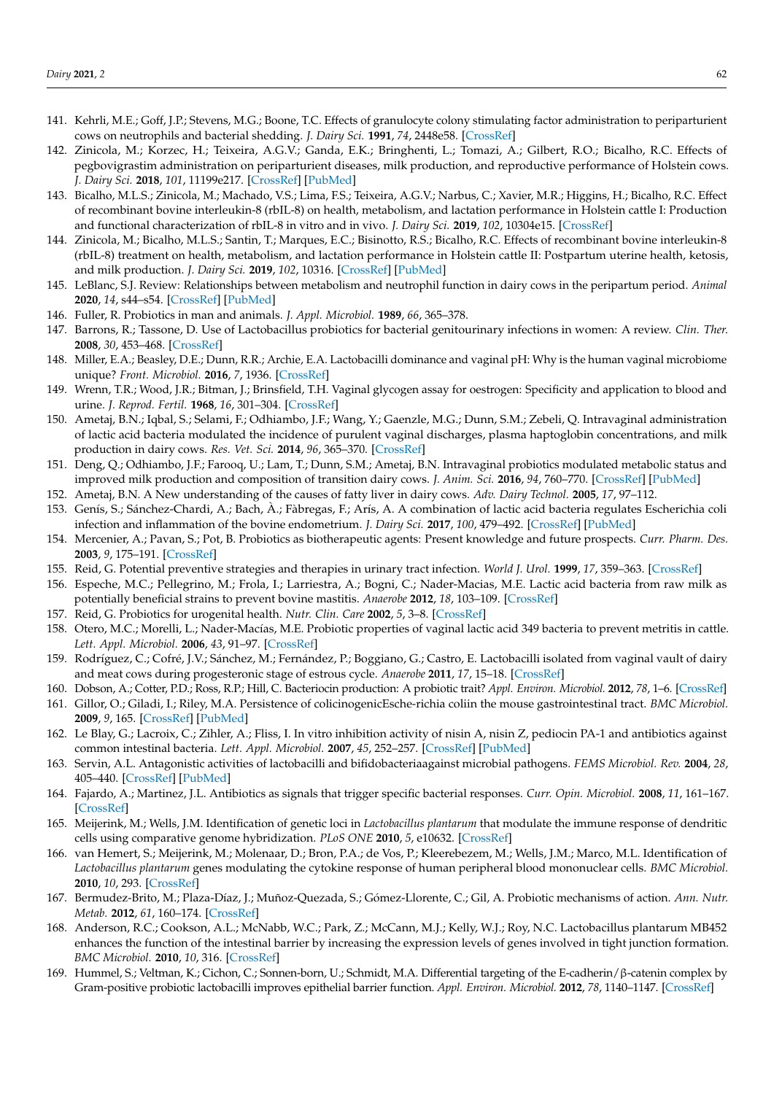- <span id="page-22-0"></span>141. Kehrli, M.E.; Goff, J.P.; Stevens, M.G.; Boone, T.C. Effects of granulocyte colony stimulating factor administration to periparturient cows on neutrophils and bacterial shedding. *J. Dairy Sci.* **1991**, *74*, 2448e58. [\[CrossRef\]](http://doi.org/10.3168/jds.S0022-0302(91)78420-8)
- <span id="page-22-1"></span>142. Zinicola, M.; Korzec, H.; Teixeira, A.G.V.; Ganda, E.K.; Bringhenti, L.; Tomazi, A.; Gilbert, R.O.; Bicalho, R.C. Effects of pegbovigrastim administration on periparturient diseases, milk production, and reproductive performance of Holstein cows. *J. Dairy Sci.* **2018**, *101*, 11199e217. [\[CrossRef\]](http://doi.org/10.3168/jds.2018-14869) [\[PubMed\]](http://www.ncbi.nlm.nih.gov/pubmed/30316593)
- <span id="page-22-2"></span>143. Bicalho, M.L.S.; Zinicola, M.; Machado, V.S.; Lima, F.S.; Teixeira, A.G.V.; Narbus, C.; Xavier, M.R.; Higgins, H.; Bicalho, R.C. Effect of recombinant bovine interleukin-8 (rbIL-8) on health, metabolism, and lactation performance in Holstein cattle I: Production and functional characterization of rbIL-8 in vitro and in vivo. *J. Dairy Sci.* **2019**, *102*, 10304e15. [\[CrossRef\]](http://doi.org/10.3168/jds.2019-16334)
- <span id="page-22-3"></span>144. Zinicola, M.; Bicalho, M.L.S.; Santin, T.; Marques, E.C.; Bisinotto, R.S.; Bicalho, R.C. Effects of recombinant bovine interleukin-8 (rbIL-8) treatment on health, metabolism, and lactation performance in Holstein cattle II: Postpartum uterine health, ketosis, and milk production. *J. Dairy Sci.* **2019**, *102*, 10316. [\[CrossRef\]](http://doi.org/10.3168/jds.2019-16335) [\[PubMed\]](http://www.ncbi.nlm.nih.gov/pubmed/31495609)
- <span id="page-22-4"></span>145. LeBlanc, S.J. Review: Relationships between metabolism and neutrophil function in dairy cows in the peripartum period. *Animal* **2020**, *14*, s44–s54. [\[CrossRef\]](http://doi.org/10.1017/S1751731119003227) [\[PubMed\]](http://www.ncbi.nlm.nih.gov/pubmed/32024567)
- <span id="page-22-5"></span>146. Fuller, R. Probiotics in man and animals. *J. Appl. Microbiol.* **1989**, *66*, 365–378.
- <span id="page-22-6"></span>147. Barrons, R.; Tassone, D. Use of Lactobacillus probiotics for bacterial genitourinary infections in women: A review. *Clin. Ther.* **2008**, *30*, 453–468. [\[CrossRef\]](http://doi.org/10.1016/j.clinthera.2008.03.013)
- <span id="page-22-7"></span>148. Miller, E.A.; Beasley, D.E.; Dunn, R.R.; Archie, E.A. Lactobacilli dominance and vaginal pH: Why is the human vaginal microbiome unique? *Front. Microbiol.* **2016**, *7*, 1936. [\[CrossRef\]](http://doi.org/10.3389/fmicb.2016.01936)
- <span id="page-22-8"></span>149. Wrenn, T.R.; Wood, J.R.; Bitman, J.; Brinsfield, T.H. Vaginal glycogen assay for oestrogen: Specificity and application to blood and urine. *J. Reprod. Fertil.* **1968**, *16*, 301–304. [\[CrossRef\]](http://doi.org/10.1530/jrf.0.0160301)
- <span id="page-22-9"></span>150. Ametaj, B.N.; Iqbal, S.; Selami, F.; Odhiambo, J.F.; Wang, Y.; Gaenzle, M.G.; Dunn, S.M.; Zebeli, Q. Intravaginal administration of lactic acid bacteria modulated the incidence of purulent vaginal discharges, plasma haptoglobin concentrations, and milk production in dairy cows. *Res. Vet. Sci.* **2014**, *96*, 365–370. [\[CrossRef\]](http://doi.org/10.1016/j.rvsc.2014.02.007)
- <span id="page-22-10"></span>151. Deng, Q.; Odhiambo, J.F.; Farooq, U.; Lam, T.; Dunn, S.M.; Ametaj, B.N. Intravaginal probiotics modulated metabolic status and improved milk production and composition of transition dairy cows. *J. Anim. Sci.* **2016**, *94*, 760–770. [\[CrossRef\]](http://doi.org/10.2527/jas.2015-9650) [\[PubMed\]](http://www.ncbi.nlm.nih.gov/pubmed/27065146)
- <span id="page-22-11"></span>152. Ametaj, B.N. A New understanding of the causes of fatty liver in dairy cows. *Adv. Dairy Technol.* **2005**, *17*, 97–112.
- <span id="page-22-12"></span>153. Genís, S.; Sánchez-Chardi, A.; Bach, À.; Fàbregas, F.; Arís, A. A combination of lactic acid bacteria regulates Escherichia coli infection and inflammation of the bovine endometrium. *J. Dairy Sci.* **2017**, *100*, 479–492. [\[CrossRef\]](http://doi.org/10.3168/jds.2016-11671) [\[PubMed\]](http://www.ncbi.nlm.nih.gov/pubmed/27837977)
- <span id="page-22-13"></span>154. Mercenier, A.; Pavan, S.; Pot, B. Probiotics as biotherapeutic agents: Present knowledge and future prospects. *Curr. Pharm. Des.* **2003**, *9*, 175–191. [\[CrossRef\]](http://doi.org/10.2174/1381612033392224)
- <span id="page-22-14"></span>155. Reid, G. Potential preventive strategies and therapies in urinary tract infection. *World J. Urol.* **1999**, *17*, 359–363. [\[CrossRef\]](http://doi.org/10.1007/s003450050161)
- <span id="page-22-15"></span>156. Espeche, M.C.; Pellegrino, M.; Frola, I.; Larriestra, A.; Bogni, C.; Nader-Macias, M.E. Lactic acid bacteria from raw milk as potentially beneficial strains to prevent bovine mastitis. *Anaerobe* **2012**, *18*, 103–109. [\[CrossRef\]](http://doi.org/10.1016/j.anaerobe.2012.01.002)
- <span id="page-22-16"></span>157. Reid, G. Probiotics for urogenital health. *Nutr. Clin. Care* **2002**, *5*, 3–8. [\[CrossRef\]](http://doi.org/10.1046/j.1523-5408.2002.00512.x)
- <span id="page-22-27"></span>158. Otero, M.C.; Morelli, L.; Nader-Macías, M.E. Probiotic properties of vaginal lactic acid 349 bacteria to prevent metritis in cattle. *Lett. Appl. Microbiol.* **2006**, *43*, 91–97. [\[CrossRef\]](http://doi.org/10.1111/j.1472-765X.2006.01914.x)
- <span id="page-22-17"></span>159. Rodríguez, C.; Cofré, J.V.; Sánchez, M.; Fernández, P.; Boggiano, G.; Castro, E. Lactobacilli isolated from vaginal vault of dairy and meat cows during progesteronic stage of estrous cycle. *Anaerobe* **2011**, *17*, 15–18. [\[CrossRef\]](http://doi.org/10.1016/j.anaerobe.2010.12.001)
- <span id="page-22-18"></span>160. Dobson, A.; Cotter, P.D.; Ross, R.P.; Hill, C. Bacteriocin production: A probiotic trait? *Appl. Environ. Microbiol.* **2012**, *78*, 1–6. [\[CrossRef\]](http://doi.org/10.1128/AEM.05576-11)
- <span id="page-22-19"></span>161. Gillor, O.; Giladi, I.; Riley, M.A. Persistence of colicinogenicEsche-richia coliin the mouse gastrointestinal tract. *BMC Microbiol.* **2009**, *9*, 165. [\[CrossRef\]](http://doi.org/10.1186/1471-2180-9-165) [\[PubMed\]](http://www.ncbi.nlm.nih.gov/pubmed/19674447)
- 162. Le Blay, G.; Lacroix, C.; Zihler, A.; Fliss, I. In vitro inhibition activity of nisin A, nisin Z, pediocin PA-1 and antibiotics against common intestinal bacteria. *Lett. Appl. Microbiol.* **2007**, *45*, 252–257. [\[CrossRef\]](http://doi.org/10.1111/j.1472-765X.2007.02178.x) [\[PubMed\]](http://www.ncbi.nlm.nih.gov/pubmed/17718835)
- <span id="page-22-20"></span>163. Servin, A.L. Antagonistic activities of lactobacilli and bifidobacteriaagainst microbial pathogens. *FEMS Microbiol. Rev.* **2004**, *28*, 405–440. [\[CrossRef\]](http://doi.org/10.1016/j.femsre.2004.01.003) [\[PubMed\]](http://www.ncbi.nlm.nih.gov/pubmed/15374659)
- <span id="page-22-21"></span>164. Fajardo, A.; Martinez, J.L. Antibiotics as signals that trigger specific bacterial responses. *Curr. Opin. Microbiol.* **2008**, *11*, 161–167. [\[CrossRef\]](http://doi.org/10.1016/j.mib.2008.02.006)
- <span id="page-22-22"></span>165. Meijerink, M.; Wells, J.M. Identification of genetic loci in *Lactobacillus plantarum* that modulate the immune response of dendritic cells using comparative genome hybridization. *PLoS ONE* **2010**, *5*, e10632. [\[CrossRef\]](http://doi.org/10.1371/journal.pone.0010632)
- <span id="page-22-23"></span>166. van Hemert, S.; Meijerink, M.; Molenaar, D.; Bron, P.A.; de Vos, P.; Kleerebezem, M.; Wells, J.M.; Marco, M.L. Identification of *Lactobacillus plantarum* genes modulating the cytokine response of human peripheral blood mononuclear cells. *BMC Microbiol.* **2010**, *10*, 293. [\[CrossRef\]](http://doi.org/10.1186/1471-2180-10-293)
- <span id="page-22-24"></span>167. Bermudez-Brito, M.; Plaza-Díaz, J.; Muñoz-Quezada, S.; Gómez-Llorente, C.; Gil, A. Probiotic mechanisms of action. *Ann. Nutr. Metab.* **2012**, *61*, 160–174. [\[CrossRef\]](http://doi.org/10.1159/000342079)
- <span id="page-22-25"></span>168. Anderson, R.C.; Cookson, A.L.; McNabb, W.C.; Park, Z.; McCann, M.J.; Kelly, W.J.; Roy, N.C. Lactobacillus plantarum MB452 enhances the function of the intestinal barrier by increasing the expression levels of genes involved in tight junction formation. *BMC Microbiol.* **2010**, *10*, 316. [\[CrossRef\]](http://doi.org/10.1186/1471-2180-10-316)
- <span id="page-22-26"></span>169. Hummel, S.; Veltman, K.; Cichon, C.; Sonnen-born, U.; Schmidt, M.A. Differential targeting of the E-cadherin/β-catenin complex by Gram-positive probiotic lactobacilli improves epithelial barrier function. *Appl. Environ. Microbiol.* **2012**, *78*, 1140–1147. [\[CrossRef\]](http://doi.org/10.1128/AEM.06983-11)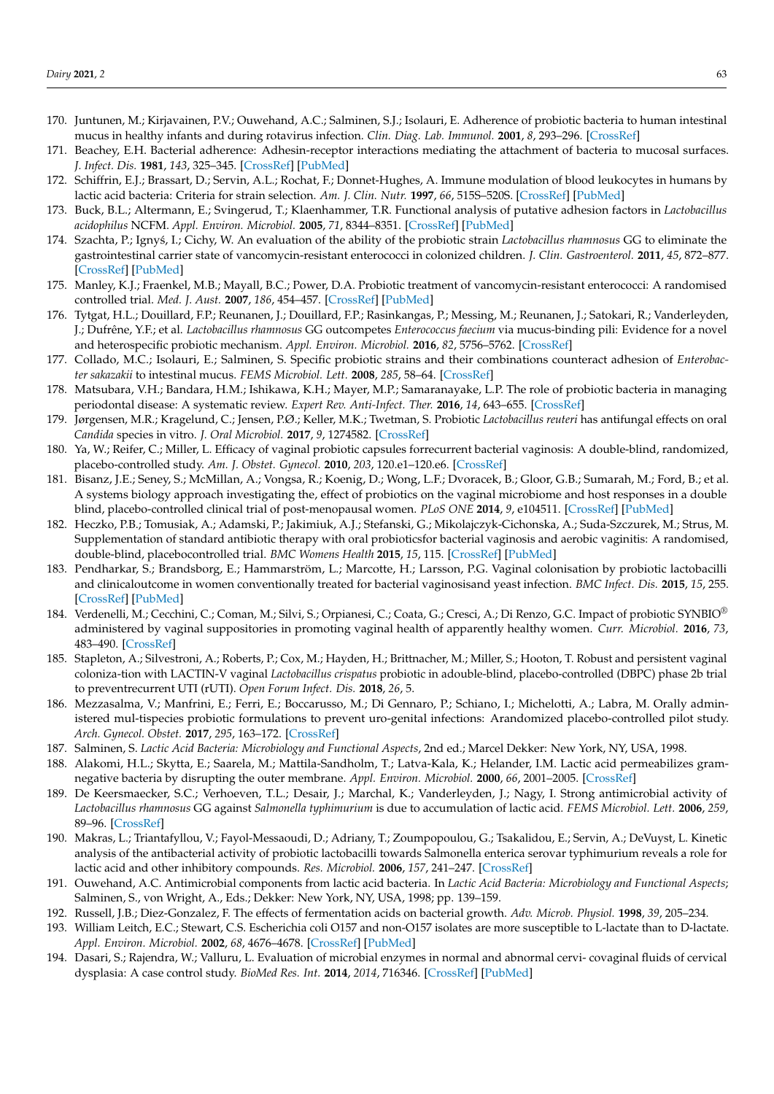- <span id="page-23-0"></span>170. Juntunen, M.; Kirjavainen, P.V.; Ouwehand, A.C.; Salminen, S.J.; Isolauri, E. Adherence of probiotic bacteria to human intestinal mucus in healthy infants and during rotavirus infection. *Clin. Diag. Lab. Immunol.* **2001**, *8*, 293–296. [\[CrossRef\]](http://doi.org/10.1128/CDLI.8.2.293-296.2001)
- 171. Beachey, E.H. Bacterial adherence: Adhesin-receptor interactions mediating the attachment of bacteria to mucosal surfaces. *J. Infect. Dis.* **1981**, *143*, 325–345. [\[CrossRef\]](http://doi.org/10.1093/infdis/143.3.325) [\[PubMed\]](http://www.ncbi.nlm.nih.gov/pubmed/7014727)
- <span id="page-23-1"></span>172. Schiffrin, E.J.; Brassart, D.; Servin, A.L.; Rochat, F.; Donnet-Hughes, A. Immune modulation of blood leukocytes in humans by lactic acid bacteria: Criteria for strain selection. *Am. J. Clin. Nutr.* **1997**, *66*, 515S–520S. [\[CrossRef\]](http://doi.org/10.1093/ajcn/66.2.515S) [\[PubMed\]](http://www.ncbi.nlm.nih.gov/pubmed/9250141)
- <span id="page-23-2"></span>173. Buck, B.L.; Altermann, E.; Svingerud, T.; Klaenhammer, T.R. Functional analysis of putative adhesion factors in *Lactobacillus acidophilus* NCFM. *Appl. Environ. Microbiol.* **2005**, *71*, 8344–8351. [\[CrossRef\]](http://doi.org/10.1128/AEM.71.12.8344-8351.2005) [\[PubMed\]](http://www.ncbi.nlm.nih.gov/pubmed/16332821)
- <span id="page-23-3"></span>174. Szachta, P.; Igny´s, I.; Cichy, W. An evaluation of the ability of the probiotic strain *Lactobacillus rhamnosus* GG to eliminate the gastrointestinal carrier state of vancomycin-resistant enterococci in colonized children. *J. Clin. Gastroenterol.* **2011**, *45*, 872–877. [\[CrossRef\]](http://doi.org/10.1097/MCG.0b013e318227439f) [\[PubMed\]](http://www.ncbi.nlm.nih.gov/pubmed/21814146)
- <span id="page-23-4"></span>175. Manley, K.J.; Fraenkel, M.B.; Mayall, B.C.; Power, D.A. Probiotic treatment of vancomycin-resistant enterococci: A randomised controlled trial. *Med. J. Aust.* **2007**, *186*, 454–457. [\[CrossRef\]](http://doi.org/10.5694/j.1326-5377.2007.tb00995.x) [\[PubMed\]](http://www.ncbi.nlm.nih.gov/pubmed/17484706)
- <span id="page-23-5"></span>176. Tytgat, H.L.; Douillard, F.P.; Reunanen, J.; Douillard, F.P.; Rasinkangas, P.; Messing, M.; Reunanen, J.; Satokari, R.; Vanderleyden, J.; Dufrêne, Y.F.; et al. *Lactobacillus rhamnosus* GG outcompetes *Enterococcus faecium* via mucus-binding pili: Evidence for a novel and heterospecific probiotic mechanism. *Appl. Environ. Microbiol.* **2016**, *82*, 5756–5762. [\[CrossRef\]](http://doi.org/10.1128/AEM.01243-16)
- <span id="page-23-6"></span>177. Collado, M.C.; Isolauri, E.; Salminen, S. Specific probiotic strains and their combinations counteract adhesion of *Enterobacter sakazakii* to intestinal mucus. *FEMS Microbiol. Lett.* **2008**, *285*, 58–64. [\[CrossRef\]](http://doi.org/10.1111/j.1574-6968.2008.01211.x)
- <span id="page-23-7"></span>178. Matsubara, V.H.; Bandara, H.M.; Ishikawa, K.H.; Mayer, M.P.; Samaranayake, L.P. The role of probiotic bacteria in managing periodontal disease: A systematic review. *Expert Rev. Anti-Infect. Ther.* **2016**, *14*, 643–655. [\[CrossRef\]](http://doi.org/10.1080/14787210.2016.1194198)
- <span id="page-23-8"></span>179. Jørgensen, M.R.; Kragelund, C.; Jensen, P.Ø.; Keller, M.K.; Twetman, S. Probiotic *Lactobacillus reuteri* has antifungal effects on oral *Candida* species in vitro. *J. Oral Microbiol.* **2017**, *9*, 1274582. [\[CrossRef\]](http://doi.org/10.1080/20002297.2016.1274582)
- <span id="page-23-9"></span>180. Ya, W.; Reifer, C.; Miller, L. Efficacy of vaginal probiotic capsules forrecurrent bacterial vaginosis: A double-blind, randomized, placebo-controlled study. *Am. J. Obstet. Gynecol.* **2010**, *203*, 120.e1–120.e6. [\[CrossRef\]](http://doi.org/10.1016/j.ajog.2010.05.023)
- 181. Bisanz, J.E.; Seney, S.; McMillan, A.; Vongsa, R.; Koenig, D.; Wong, L.F.; Dvoracek, B.; Gloor, G.B.; Sumarah, M.; Ford, B.; et al. A systems biology approach investigating the, effect of probiotics on the vaginal microbiome and host responses in a double blind, placebo-controlled clinical trial of post-menopausal women. *PLoS ONE* **2014**, *9*, e104511. [\[CrossRef\]](http://doi.org/10.1371/journal.pone.0104511) [\[PubMed\]](http://www.ncbi.nlm.nih.gov/pubmed/25127240)
- 182. Heczko, P.B.; Tomusiak, A.; Adamski, P.; Jakimiuk, A.J.; Stefanski, G.; Mikolajczyk-Cichonska, A.; Suda-Szczurek, M.; Strus, M. Supplementation of standard antibiotic therapy with oral probioticsfor bacterial vaginosis and aerobic vaginitis: A randomised, double-blind, placebocontrolled trial. *BMC Womens Health* **2015**, *15*, 115. [\[CrossRef\]](http://doi.org/10.1186/s12905-015-0246-6) [\[PubMed\]](http://www.ncbi.nlm.nih.gov/pubmed/26635090)
- <span id="page-23-10"></span>183. Pendharkar, S.; Brandsborg, E.; Hammarström, L.; Marcotte, H.; Larsson, P.G. Vaginal colonisation by probiotic lactobacilli and clinicaloutcome in women conventionally treated for bacterial vaginosisand yeast infection. *BMC Infect. Dis.* **2015**, *15*, 255. [\[CrossRef\]](http://doi.org/10.1186/s12879-015-0971-3) [\[PubMed\]](http://www.ncbi.nlm.nih.gov/pubmed/26137971)
- <span id="page-23-11"></span>184. Verdenelli, M.; Cecchini, C.; Coman, M.; Silvi, S.; Orpianesi, C.; Coata, G.; Cresci, A.; Di Renzo, G.C. Impact of probiotic SYNBIO® administered by vaginal suppositories in promoting vaginal health of apparently healthy women. *Curr. Microbiol.* **2016**, *73*, 483–490. [\[CrossRef\]](http://doi.org/10.1007/s00284-016-1085-x)
- 185. Stapleton, A.; Silvestroni, A.; Roberts, P.; Cox, M.; Hayden, H.; Brittnacher, M.; Miller, S.; Hooton, T. Robust and persistent vaginal coloniza-tion with LACTIN-V vaginal *Lactobacillus crispatus* probiotic in adouble-blind, placebo-controlled (DBPC) phase 2b trial to preventrecurrent UTI (rUTI). *Open Forum Infect. Dis.* **2018**, *26*, 5.
- <span id="page-23-12"></span>186. Mezzasalma, V.; Manfrini, E.; Ferri, E.; Boccarusso, M.; Di Gennaro, P.; Schiano, I.; Michelotti, A.; Labra, M. Orally administered mul-tispecies probiotic formulations to prevent uro-genital infections: Arandomized placebo-controlled pilot study. *Arch. Gynecol. Obstet.* **2017**, *295*, 163–172. [\[CrossRef\]](http://doi.org/10.1007/s00404-016-4235-2)
- <span id="page-23-13"></span>187. Salminen, S. *Lactic Acid Bacteria: Microbiology and Functional Aspects*, 2nd ed.; Marcel Dekker: New York, NY, USA, 1998.
- <span id="page-23-14"></span>188. Alakomi, H.L.; Skytta, E.; Saarela, M.; Mattila-Sandholm, T.; Latva-Kala, K.; Helander, I.M. Lactic acid permeabilizes gramnegative bacteria by disrupting the outer membrane. *Appl. Environ. Microbiol.* **2000**, *66*, 2001–2005. [\[CrossRef\]](http://doi.org/10.1128/AEM.66.5.2001-2005.2000)
- 189. De Keersmaecker, S.C.; Verhoeven, T.L.; Desair, J.; Marchal, K.; Vanderleyden, J.; Nagy, I. Strong antimicrobial activity of *Lactobacillus rhamnosus* GG against *Salmonella typhimurium* is due to accumulation of lactic acid. *FEMS Microbiol. Lett.* **2006**, *259*, 89–96. [\[CrossRef\]](http://doi.org/10.1111/j.1574-6968.2006.00250.x)
- <span id="page-23-15"></span>190. Makras, L.; Triantafyllou, V.; Fayol-Messaoudi, D.; Adriany, T.; Zoumpopoulou, G.; Tsakalidou, E.; Servin, A.; DeVuyst, L. Kinetic analysis of the antibacterial activity of probiotic lactobacilli towards Salmonella enterica serovar typhimurium reveals a role for lactic acid and other inhibitory compounds. *Res. Microbiol.* **2006**, *157*, 241–247. [\[CrossRef\]](http://doi.org/10.1016/j.resmic.2005.09.002)
- <span id="page-23-16"></span>191. Ouwehand, A.C. Antimicrobial components from lactic acid bacteria. In *Lactic Acid Bacteria: Microbiology and Functional Aspects*; Salminen, S., von Wright, A., Eds.; Dekker: New York, NY, USA, 1998; pp. 139–159.
- <span id="page-23-17"></span>192. Russell, J.B.; Diez-Gonzalez, F. The effects of fermentation acids on bacterial growth. *Adv. Microb. Physiol.* **1998**, *39*, 205–234.
- <span id="page-23-18"></span>193. William Leitch, E.C.; Stewart, C.S. Escherichia coli O157 and non-O157 isolates are more susceptible to L-lactate than to D-lactate. *Appl. Environ. Microbiol.* **2002**, *68*, 4676–4678. [\[CrossRef\]](http://doi.org/10.1128/AEM.68.9.4676-4678.2002) [\[PubMed\]](http://www.ncbi.nlm.nih.gov/pubmed/12200331)
- <span id="page-23-19"></span>194. Dasari, S.; Rajendra, W.; Valluru, L. Evaluation of microbial enzymes in normal and abnormal cervi- covaginal fluids of cervical dysplasia: A case control study. *BioMed Res. Int.* **2014**, *2014*, 716346. [\[CrossRef\]](http://doi.org/10.1155/2014/716346) [\[PubMed\]](http://www.ncbi.nlm.nih.gov/pubmed/24967392)